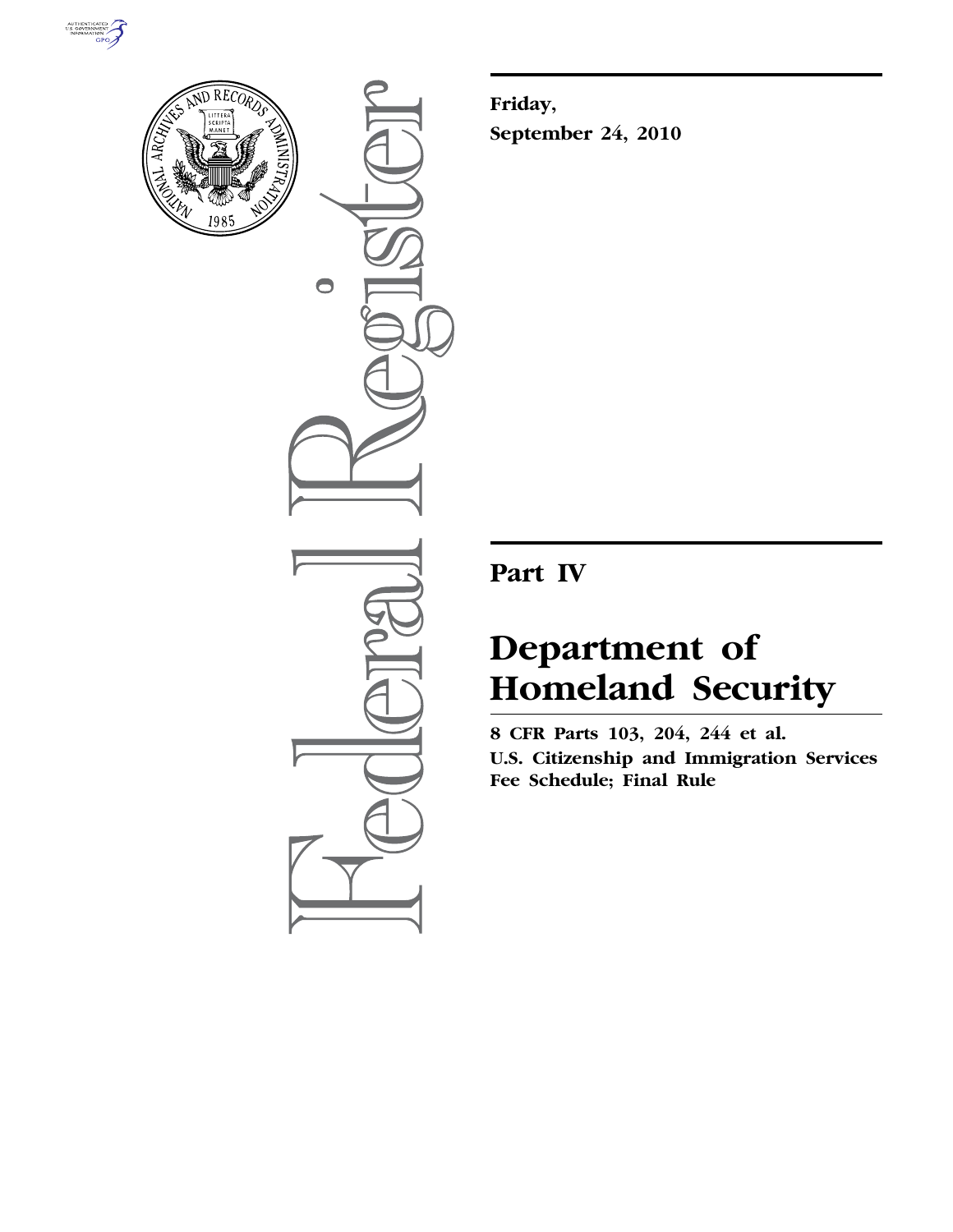



 $\bullet$ 

**Friday, September 24, 2010** 

**Part IV** 

# **Department of Homeland Security**

**8 CFR Parts 103, 204, 244 et al. U.S. Citizenship and Immigration Services Fee Schedule; Final Rule**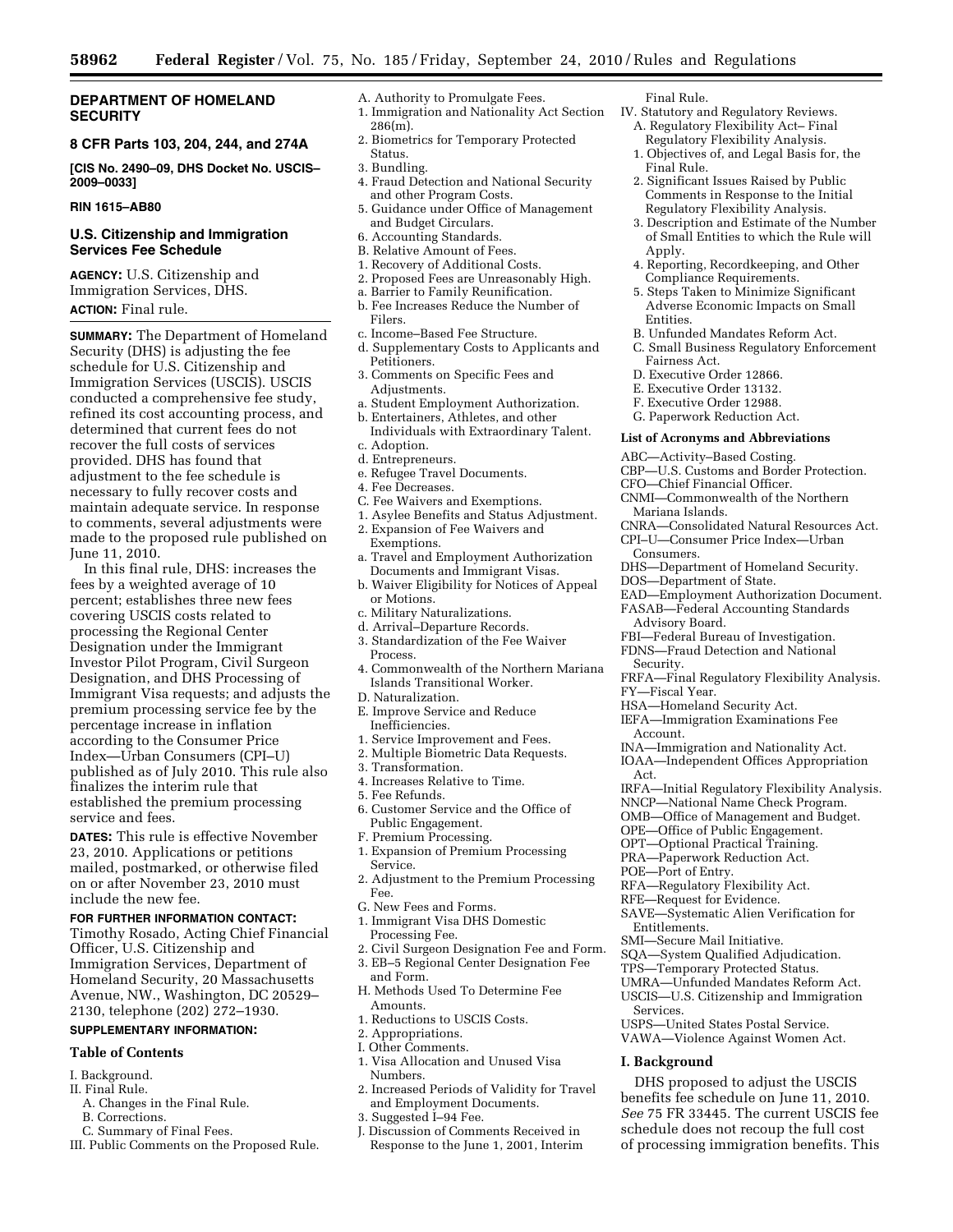# **DEPARTMENT OF HOMELAND SECURITY**

# **8 CFR Parts 103, 204, 244, and 274A**

**[CIS No. 2490–09, DHS Docket No. USCIS– 2009–0033]** 

# **RIN 1615–AB80**

# **U.S. Citizenship and Immigration Services Fee Schedule**

**AGENCY:** U.S. Citizenship and Immigration Services, DHS. **ACTION:** Final rule.

**SUMMARY:** The Department of Homeland Security (DHS) is adjusting the fee schedule for U.S. Citizenship and Immigration Services (USCIS). USCIS conducted a comprehensive fee study, refined its cost accounting process, and determined that current fees do not recover the full costs of services provided. DHS has found that adjustment to the fee schedule is necessary to fully recover costs and maintain adequate service. In response to comments, several adjustments were made to the proposed rule published on June 11, 2010.

In this final rule, DHS: increases the fees by a weighted average of 10 percent; establishes three new fees covering USCIS costs related to processing the Regional Center Designation under the Immigrant Investor Pilot Program, Civil Surgeon Designation, and DHS Processing of Immigrant Visa requests; and adjusts the premium processing service fee by the percentage increase in inflation according to the Consumer Price Index—Urban Consumers (CPI–U) published as of July 2010. This rule also finalizes the interim rule that established the premium processing service and fees.

**DATES:** This rule is effective November 23, 2010. Applications or petitions mailed, postmarked, or otherwise filed on or after November 23, 2010 must include the new fee.

# **FOR FURTHER INFORMATION CONTACT:**

Timothy Rosado, Acting Chief Financial Officer, U.S. Citizenship and Immigration Services, Department of Homeland Security, 20 Massachusetts Avenue, NW., Washington, DC 20529– 2130, telephone (202) 272–1930.

# **SUPPLEMENTARY INFORMATION:**

#### **Table of Contents**

- I. Background.
- II. Final Rule.
	- A. Changes in the Final Rule.
- B. Corrections. C. Summary of Final Fees.
- III. Public Comments on the Proposed Rule.
- A. Authority to Promulgate Fees.
	- 1. Immigration and Nationality Act Section 286(m). 2. Biometrics for Temporary Protected
	- Status.
	- 3. Bundling.
	- 4. Fraud Detection and National Security and other Program Costs.
	- 5. Guidance under Office of Management and Budget Circulars.
	- 6. Accounting Standards.
	- B. Relative Amount of Fees.
	- 1. Recovery of Additional Costs.
	- 2. Proposed Fees are Unreasonably High.
	- a. Barrier to Family Reunification.
	- b. Fee Increases Reduce the Number of Filers.
	- c. Income–Based Fee Structure.
	- d. Supplementary Costs to Applicants and Petitioners.
	- 3. Comments on Specific Fees and Adjustments.
	- a. Student Employment Authorization. b. Entertainers, Athletes, and other
	- Individuals with Extraordinary Talent. c. Adoption.
	- d. Entrepreneurs.
	- e. Refugee Travel Documents.
	-
	- 4. Fee Decreases.
	- C. Fee Waivers and Exemptions. 1. Asylee Benefits and Status Adjustment.
	- 2. Expansion of Fee Waivers and
	- Exemptions.
	- a. Travel and Employment Authorization Documents and Immigrant Visas.
	- b. Waiver Eligibility for Notices of Appeal or Motions.
	- c. Military Naturalizations.
	- d. Arrival–Departure Records.
	- 3. Standardization of the Fee Waiver Process.
	- 4. Commonwealth of the Northern Mariana Islands Transitional Worker.
	- D. Naturalization.
	- E. Improve Service and Reduce Inefficiencies.
	- 1. Service Improvement and Fees.
	- 2. Multiple Biometric Data Requests.
	- 3. Transformation.
	- 4. Increases Relative to Time.
	- 5. Fee Refunds.
	- 6. Customer Service and the Office of Public Engagement.
	- F. Premium Processing.
	- 1. Expansion of Premium Processing Service.
	- 2. Adjustment to the Premium Processing Fee.
	- G. New Fees and Forms.
	- 1. Immigrant Visa DHS Domestic Processing Fee.
	- 2. Civil Surgeon Designation Fee and Form.
	- 3. EB–5 Regional Center Designation Fee
	- and Form.
	- H. Methods Used To Determine Fee Amounts.
	- 1. Reductions to USCIS Costs.
	- 2. Appropriations.
	- I. Other Comments.
	- 1. Visa Allocation and Unused Visa Numbers.
	- 2. Increased Periods of Validity for Travel and Employment Documents.
	- 3. Suggested I–94 Fee.
	- J. Discussion of Comments Received in Response to the June 1, 2001, Interim

Final Rule.

- IV. Statutory and Regulatory Reviews. A. Regulatory Flexibility Act– Final
	- Regulatory Flexibility Analysis. 1. Objectives of, and Legal Basis for, the
	- Final Rule.
	- 2. Significant Issues Raised by Public Comments in Response to the Initial Regulatory Flexibility Analysis.
	- 3. Description and Estimate of the Number of Small Entities to which the Rule will Apply.
	- 4. Reporting, Recordkeeping, and Other Compliance Requirements.
	- 5. Steps Taken to Minimize Significant Adverse Economic Impacts on Small Entities.
	- B. Unfunded Mandates Reform Act.
	- C. Small Business Regulatory Enforcement Fairness Act.
	- D. Executive Order 12866.
	- E. Executive Order 13132.
	- F. Executive Order 12988.
	- G. Paperwork Reduction Act.

#### **List of Acronyms and Abbreviations**

- ABC—Activity–Based Costing.
- CBP—U.S. Customs and Border Protection.
- CFO—Chief Financial Officer.
- CNMI—Commonwealth of the Northern
	- Mariana Islands.
- CNRA—Consolidated Natural Resources Act. CPI–U—Consumer Price Index—Urban
- Consumers.
- DHS—Department of Homeland Security.
- DOS—Department of State.

HSA—Homeland Security Act. IEFA—Immigration Examinations Fee

EAD—Employment Authorization Document. FASAB—Federal Accounting Standards

FRFA—Final Regulatory Flexibility Analysis.

IRFA—Initial Regulatory Flexibility Analysis. NNCP—National Name Check Program. OMB—Office of Management and Budget. OPE—Office of Public Engagement. OPT—Optional Practical Training. PRA—Paperwork Reduction Act.

Advisory Board.

Security.

Account.

Act.

FY—Fiscal Year.

POE—Port of Entry.

Entitlements.

Services.

**I. Background** 

RFA—Regulatory Flexibility Act. RFE—Request for Evidence.

SMI—Secure Mail Initiative.

SAVE—Systematic Alien Verification for

SQA—System Qualified Adjudication. TPS—Temporary Protected Status. UMRA—Unfunded Mandates Reform Act. USCIS—U.S. Citizenship and Immigration

USPS—United States Postal Service. VAWA—Violence Against Women Act.

DHS proposed to adjust the USCIS benefits fee schedule on June 11, 2010. *See* 75 FR 33445. The current USCIS fee schedule does not recoup the full cost of processing immigration benefits. This

FBI—Federal Bureau of Investigation. FDNS—Fraud Detection and National

INA—Immigration and Nationality Act. IOAA—Independent Offices Appropriation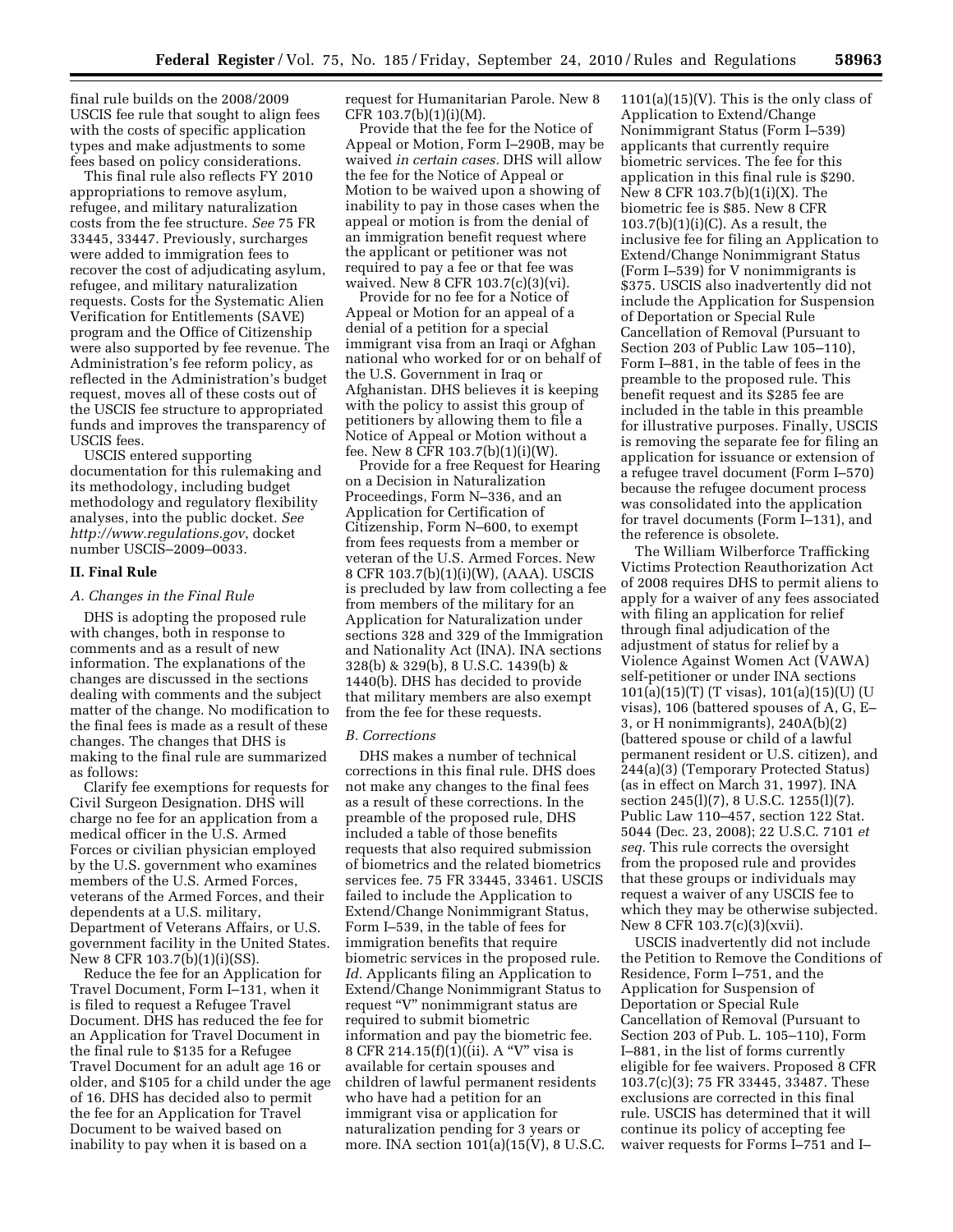final rule builds on the 2008/2009 USCIS fee rule that sought to align fees with the costs of specific application types and make adjustments to some fees based on policy considerations.

This final rule also reflects FY 2010 appropriations to remove asylum, refugee, and military naturalization costs from the fee structure. *See* 75 FR 33445, 33447. Previously, surcharges were added to immigration fees to recover the cost of adjudicating asylum, refugee, and military naturalization requests. Costs for the Systematic Alien Verification for Entitlements (SAVE) program and the Office of Citizenship were also supported by fee revenue. The Administration's fee reform policy, as reflected in the Administration's budget request, moves all of these costs out of the USCIS fee structure to appropriated funds and improves the transparency of USCIS fees.

USCIS entered supporting documentation for this rulemaking and its methodology, including budget methodology and regulatory flexibility analyses, into the public docket. *See <http://www.regulations.gov>*, docket number USCIS–2009–0033.

# **II. Final Rule**

# *A. Changes in the Final Rule*

DHS is adopting the proposed rule with changes, both in response to comments and as a result of new information. The explanations of the changes are discussed in the sections dealing with comments and the subject matter of the change. No modification to the final fees is made as a result of these changes. The changes that DHS is making to the final rule are summarized as follows:

Clarify fee exemptions for requests for Civil Surgeon Designation. DHS will charge no fee for an application from a medical officer in the U.S. Armed Forces or civilian physician employed by the U.S. government who examines members of the U.S. Armed Forces, veterans of the Armed Forces, and their dependents at a U.S. military, Department of Veterans Affairs, or U.S. government facility in the United States. New 8 CFR 103.7(b)(1)(i)(SS).

Reduce the fee for an Application for Travel Document, Form I–131, when it is filed to request a Refugee Travel Document. DHS has reduced the fee for an Application for Travel Document in the final rule to \$135 for a Refugee Travel Document for an adult age 16 or older, and \$105 for a child under the age of 16. DHS has decided also to permit the fee for an Application for Travel Document to be waived based on inability to pay when it is based on a

request for Humanitarian Parole. New 8 CFR 103.7(b)(1)(i)(M).

Provide that the fee for the Notice of Appeal or Motion, Form I–290B, may be waived *in certain cases.* DHS will allow the fee for the Notice of Appeal or Motion to be waived upon a showing of inability to pay in those cases when the appeal or motion is from the denial of an immigration benefit request where the applicant or petitioner was not required to pay a fee or that fee was waived. New 8 CFR 103.7(c)(3)(vi).

Provide for no fee for a Notice of Appeal or Motion for an appeal of a denial of a petition for a special immigrant visa from an Iraqi or Afghan national who worked for or on behalf of the U.S. Government in Iraq or Afghanistan. DHS believes it is keeping with the policy to assist this group of petitioners by allowing them to file a Notice of Appeal or Motion without a fee. New 8  $CFR 103.7(b)(1)(i)(W)$ .

Provide for a free Request for Hearing on a Decision in Naturalization Proceedings, Form N–336, and an Application for Certification of Citizenship, Form N–600, to exempt from fees requests from a member or veteran of the U.S. Armed Forces. New 8 CFR 103.7(b)(1)(i)(W), (AAA). USCIS is precluded by law from collecting a fee from members of the military for an Application for Naturalization under sections 328 and 329 of the Immigration and Nationality Act (INA). INA sections 328(b) & 329(b), 8 U.S.C. 1439(b) & 1440(b). DHS has decided to provide that military members are also exempt from the fee for these requests.

#### *B. Corrections*

DHS makes a number of technical corrections in this final rule. DHS does not make any changes to the final fees as a result of these corrections. In the preamble of the proposed rule, DHS included a table of those benefits requests that also required submission of biometrics and the related biometrics services fee. 75 FR 33445, 33461. USCIS failed to include the Application to Extend/Change Nonimmigrant Status, Form I–539, in the table of fees for immigration benefits that require biometric services in the proposed rule. *Id.* Applicants filing an Application to Extend/Change Nonimmigrant Status to request ''V'' nonimmigrant status are required to submit biometric information and pay the biometric fee. 8 CFR 214.15(f)(1)((ii). A ''V'' visa is available for certain spouses and children of lawful permanent residents who have had a petition for an immigrant visa or application for naturalization pending for 3 years or more. INA section 101(a)(15(V), 8 U.S.C.

 $1101(a)(15)(V)$ . This is the only class of Application to Extend/Change Nonimmigrant Status (Form I–539) applicants that currently require biometric services. The fee for this application in this final rule is \$290. New 8 CFR 103.7(b)(1(i)(X). The biometric fee is \$85. New 8 CFR  $103.7(b)(1)(i)(C)$ . As a result, the inclusive fee for filing an Application to Extend/Change Nonimmigrant Status (Form I–539) for V nonimmigrants is \$375. USCIS also inadvertently did not include the Application for Suspension of Deportation or Special Rule Cancellation of Removal (Pursuant to Section 203 of Public Law 105–110), Form I–881, in the table of fees in the preamble to the proposed rule. This benefit request and its \$285 fee are included in the table in this preamble for illustrative purposes. Finally, USCIS is removing the separate fee for filing an application for issuance or extension of a refugee travel document (Form I–570) because the refugee document process was consolidated into the application for travel documents (Form I–131), and the reference is obsolete.

The William Wilberforce Trafficking Victims Protection Reauthorization Act of 2008 requires DHS to permit aliens to apply for a waiver of any fees associated with filing an application for relief through final adjudication of the adjustment of status for relief by a Violence Against Women Act (VAWA) self-petitioner or under INA sections 101(a)(15)(T) (T visas), 101(a)(15)(U) (U visas), 106 (battered spouses of A, G, E– 3, or H nonimmigrants), 240A(b)(2) (battered spouse or child of a lawful permanent resident or U.S. citizen), and 244(a)(3) (Temporary Protected Status) (as in effect on March 31, 1997). INA section 245(l)(7), 8 U.S.C. 1255(l)(7). Public Law 110–457, section 122 Stat. 5044 (Dec. 23, 2008); 22 U.S.C. 7101 *et seq.* This rule corrects the oversight from the proposed rule and provides that these groups or individuals may request a waiver of any USCIS fee to which they may be otherwise subjected. New 8 CFR 103.7(c)(3)(xvii).

USCIS inadvertently did not include the Petition to Remove the Conditions of Residence, Form I–751, and the Application for Suspension of Deportation or Special Rule Cancellation of Removal (Pursuant to Section 203 of Pub. L. 105–110), Form I–881, in the list of forms currently eligible for fee waivers. Proposed 8 CFR 103.7(c)(3); 75 FR 33445, 33487. These exclusions are corrected in this final rule. USCIS has determined that it will continue its policy of accepting fee waiver requests for Forms I–751 and I–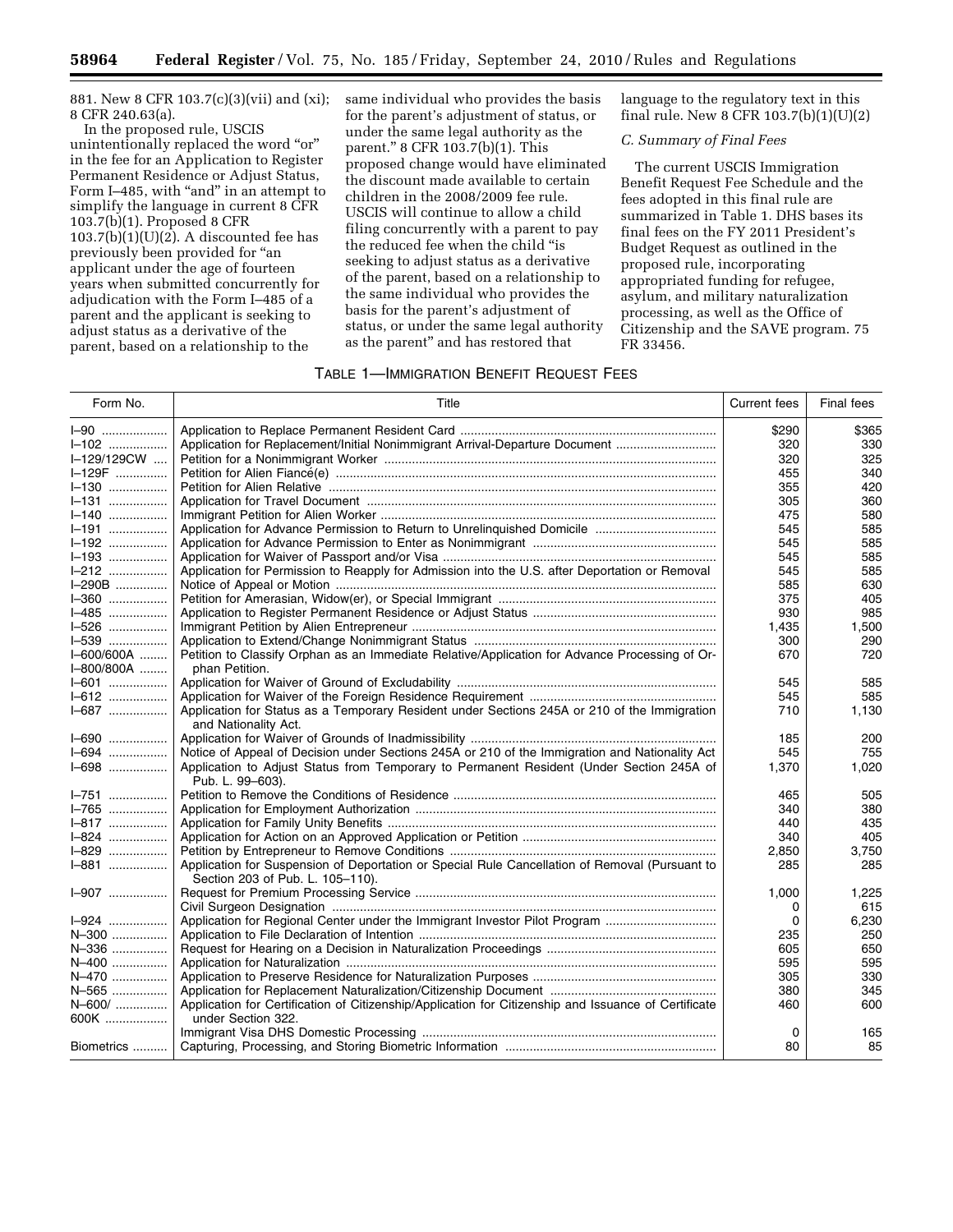881. New 8 CFR 103.7(c)(3)(vii) and (xi); 8 CFR 240.63(a).

In the proposed rule, USCIS unintentionally replaced the word "or" in the fee for an Application to Register Permanent Residence or Adjust Status, Form I–485, with "and" in an attempt to simplify the language in current 8 CFR 103.7(b)(1). Proposed 8 CFR  $103.7(b)(1)(U)(2)$ . A discounted fee has previously been provided for "an applicant under the age of fourteen years when submitted concurrently for adjudication with the Form I–485 of a parent and the applicant is seeking to adjust status as a derivative of the parent, based on a relationship to the

same individual who provides the basis for the parent's adjustment of status, or under the same legal authority as the parent.'' 8 CFR 103.7(b)(1). This proposed change would have eliminated the discount made available to certain children in the 2008/2009 fee rule. USCIS will continue to allow a child filing concurrently with a parent to pay the reduced fee when the child ''is seeking to adjust status as a derivative of the parent, based on a relationship to the same individual who provides the basis for the parent's adjustment of status, or under the same legal authority as the parent'' and has restored that

# language to the regulatory text in this final rule. New 8 CFR 103.7(b)(1)(U)(2)

# *C. Summary of Final Fees*

The current USCIS Immigration Benefit Request Fee Schedule and the fees adopted in this final rule are summarized in Table 1. DHS bases its final fees on the FY 2011 President's Budget Request as outlined in the proposed rule, incorporating appropriated funding for refugee, asylum, and military naturalization processing, as well as the Office of Citizenship and the SAVE program. 75 FR 33456.

# TABLE 1—IMMIGRATION BENEFIT REQUEST FEES

| Form No.    | Title                                                                                                                              | <b>Current fees</b> | Final fees |
|-------------|------------------------------------------------------------------------------------------------------------------------------------|---------------------|------------|
| <b>I-90</b> |                                                                                                                                    | \$290               | \$365      |
| $I - 102$   | Application for Replacement/Initial Nonimmigrant Arrival-Departure Document                                                        | 320                 | 330        |
| I-129/129CW |                                                                                                                                    | 320                 | 325        |
| I-129F      |                                                                                                                                    | 455                 | 340        |
| I-130       |                                                                                                                                    | 355                 | 420        |
| $I = 131$   |                                                                                                                                    | 305                 | 360        |
| I-140       |                                                                                                                                    | 475                 | 580        |
| I-191       |                                                                                                                                    | 545                 | 585        |
| 1-192       |                                                                                                                                    | 545                 | 585        |
| $I - 193$   |                                                                                                                                    | 545                 | 585        |
| $I - 212$   | Application for Permission to Reapply for Admission into the U.S. after Deportation or Removal                                     | 545                 | 585        |
| $I = 290B$  |                                                                                                                                    | 585                 | 630        |
| $I - 360$   |                                                                                                                                    | 375                 | 405        |
| I-485       |                                                                                                                                    | 930                 | 985        |
| $I - 526$   |                                                                                                                                    | 1.435               | 1,500      |
| $I - 539$   |                                                                                                                                    | 300                 | 290        |
| I-600/600A  | Petition to Classify Orphan as an Immediate Relative/Application for Advance Processing of Or-                                     | 670                 | 720        |
| I-800/800A  | phan Petition.                                                                                                                     |                     |            |
| $I = 601$   |                                                                                                                                    | 545                 | 585        |
| I-612       |                                                                                                                                    | 545                 | 585        |
| I-687       | Application for Status as a Temporary Resident under Sections 245A or 210 of the Immigration<br>and Nationality Act.               | 710                 | 1,130      |
| $I - 690$   |                                                                                                                                    | 185                 | 200        |
| $I - 694$   | Notice of Appeal of Decision under Sections 245A or 210 of the Immigration and Nationality Act                                     | 545                 | 755        |
| 1-698       | Application to Adjust Status from Temporary to Permanent Resident (Under Section 245A of<br>Pub. L. 99-603).                       | 1,370               | 1,020      |
| $I - 751$   |                                                                                                                                    | 465                 | 505        |
| I-765       |                                                                                                                                    | 340                 | 380        |
| $I - 817$   |                                                                                                                                    | 440                 | 435        |
| $I - 824$   |                                                                                                                                    | 340                 | 405        |
| I-829       |                                                                                                                                    | 2,850               | 3,750      |
| $I - 881$   | Application for Suspension of Deportation or Special Rule Cancellation of Removal (Pursuant to<br>Section 203 of Pub. L. 105-110). | 285                 | 285        |
| I-907       |                                                                                                                                    | 1,000               | 1,225      |
|             |                                                                                                                                    | 0                   | 615        |
| $I - 924$   | Application for Regional Center under the Immigrant Investor Pilot Program                                                         | 0                   | 6,230      |
| N-300       |                                                                                                                                    | 235                 | 250        |
| N-336       |                                                                                                                                    | 605                 | 650        |
| N-400       |                                                                                                                                    | 595                 | 595        |
| N-470       |                                                                                                                                    | 305                 | 330        |
| N-565       |                                                                                                                                    | 380                 | 345        |
| N-600/      | Application for Certification of Citizenship/Application for Citizenship and Issuance of Certificate                               | 460                 | 600        |
| 600K        | under Section 322.                                                                                                                 |                     |            |
|             |                                                                                                                                    | 0                   | 165        |
| Biometrics  |                                                                                                                                    | 80                  | 85         |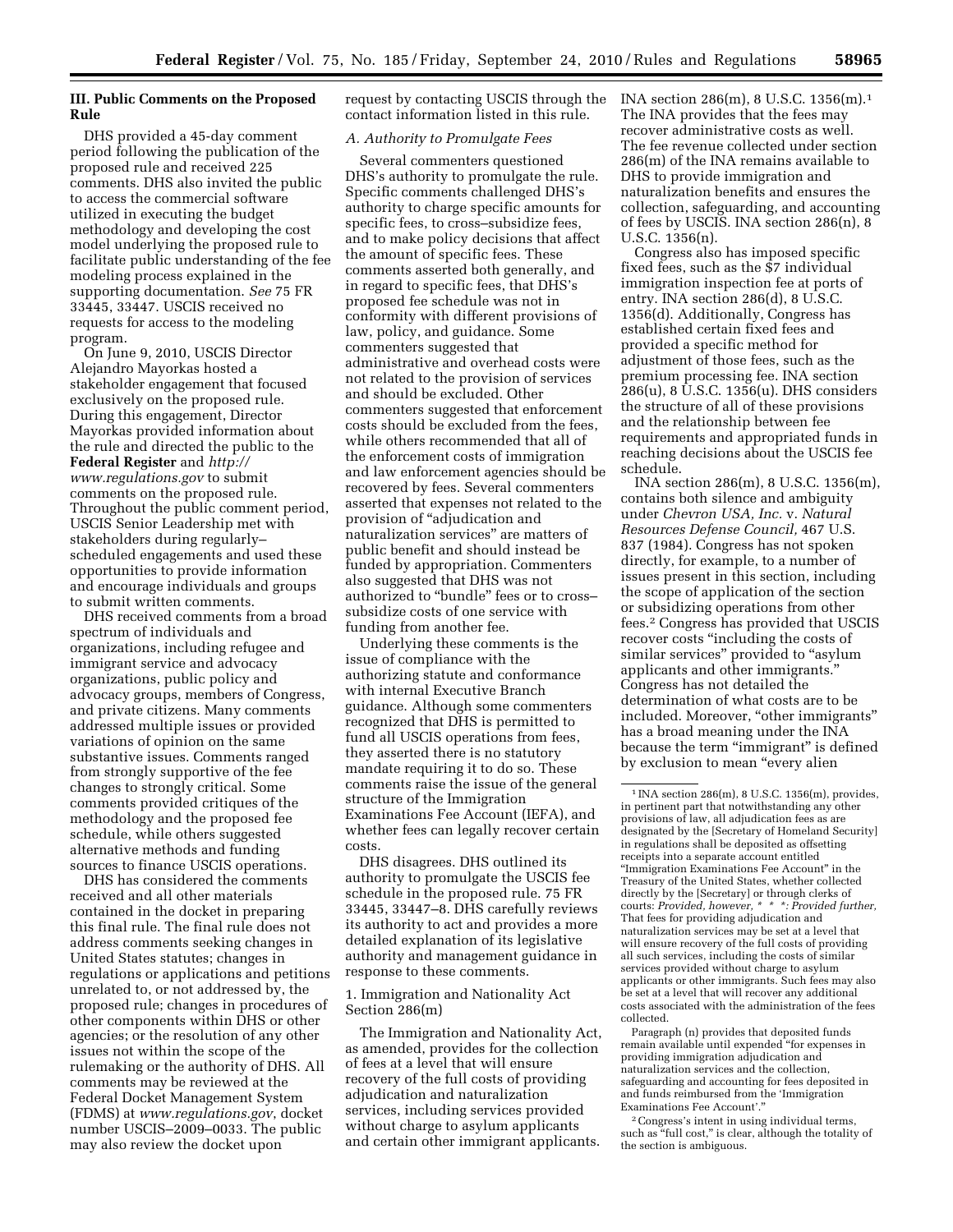# **III. Public Comments on the Proposed Rule**

DHS provided a 45-day comment period following the publication of the proposed rule and received 225 comments. DHS also invited the public to access the commercial software utilized in executing the budget methodology and developing the cost model underlying the proposed rule to facilitate public understanding of the fee modeling process explained in the supporting documentation. *See* 75 FR 33445, 33447. USCIS received no requests for access to the modeling program.

On June 9, 2010, USCIS Director Alejandro Mayorkas hosted a stakeholder engagement that focused exclusively on the proposed rule. During this engagement, Director Mayorkas provided information about the rule and directed the public to the **Federal Register** and *[http://](http://www.regulations.gov) [www.regulations.gov](http://www.regulations.gov)* to submit comments on the proposed rule. Throughout the public comment period, USCIS Senior Leadership met with stakeholders during regularly– scheduled engagements and used these opportunities to provide information and encourage individuals and groups to submit written comments.

DHS received comments from a broad spectrum of individuals and organizations, including refugee and immigrant service and advocacy organizations, public policy and advocacy groups, members of Congress, and private citizens. Many comments addressed multiple issues or provided variations of opinion on the same substantive issues. Comments ranged from strongly supportive of the fee changes to strongly critical. Some comments provided critiques of the methodology and the proposed fee schedule, while others suggested alternative methods and funding sources to finance USCIS operations.

DHS has considered the comments received and all other materials contained in the docket in preparing this final rule. The final rule does not address comments seeking changes in United States statutes; changes in regulations or applications and petitions unrelated to, or not addressed by, the proposed rule; changes in procedures of other components within DHS or other agencies; or the resolution of any other issues not within the scope of the rulemaking or the authority of DHS. All comments may be reviewed at the Federal Docket Management System (FDMS) at *[www.regulations.gov](http://www.regulations.gov)*, docket number USCIS–2009–0033. The public may also review the docket upon

request by contacting USCIS through the contact information listed in this rule.

# *A. Authority to Promulgate Fees*

Several commenters questioned DHS's authority to promulgate the rule. Specific comments challenged DHS's authority to charge specific amounts for specific fees, to cross–subsidize fees, and to make policy decisions that affect the amount of specific fees. These comments asserted both generally, and in regard to specific fees, that DHS's proposed fee schedule was not in conformity with different provisions of law, policy, and guidance. Some commenters suggested that administrative and overhead costs were not related to the provision of services and should be excluded. Other commenters suggested that enforcement costs should be excluded from the fees, while others recommended that all of the enforcement costs of immigration and law enforcement agencies should be recovered by fees. Several commenters asserted that expenses not related to the provision of ''adjudication and naturalization services'' are matters of public benefit and should instead be funded by appropriation. Commenters also suggested that DHS was not authorized to "bundle" fees or to crosssubsidize costs of one service with funding from another fee.

Underlying these comments is the issue of compliance with the authorizing statute and conformance with internal Executive Branch guidance. Although some commenters recognized that DHS is permitted to fund all USCIS operations from fees, they asserted there is no statutory mandate requiring it to do so. These comments raise the issue of the general structure of the Immigration Examinations Fee Account (IEFA), and whether fees can legally recover certain costs.

DHS disagrees. DHS outlined its authority to promulgate the USCIS fee schedule in the proposed rule. 75 FR 33445, 33447–8. DHS carefully reviews its authority to act and provides a more detailed explanation of its legislative authority and management guidance in response to these comments.

# 1. Immigration and Nationality Act Section 286(m)

The Immigration and Nationality Act, as amended, provides for the collection of fees at a level that will ensure recovery of the full costs of providing adjudication and naturalization services, including services provided without charge to asylum applicants and certain other immigrant applicants.

INA section 286(m), 8 U.S.C. 1356(m).1 The INA provides that the fees may recover administrative costs as well. The fee revenue collected under section 286(m) of the INA remains available to DHS to provide immigration and naturalization benefits and ensures the collection, safeguarding, and accounting of fees by USCIS. INA section 286(n), 8 U.S.C. 1356(n).

Congress also has imposed specific fixed fees, such as the \$7 individual immigration inspection fee at ports of entry. INA section 286(d), 8 U.S.C. 1356(d). Additionally, Congress has established certain fixed fees and provided a specific method for adjustment of those fees, such as the premium processing fee. INA section 286(u), 8 U.S.C. 1356(u). DHS considers the structure of all of these provisions and the relationship between fee requirements and appropriated funds in reaching decisions about the USCIS fee schedule.

INA section 286(m), 8 U.S.C. 1356(m), contains both silence and ambiguity under *Chevron USA, Inc.* v. *Natural Resources Defense Council,* 467 U.S. 837 (1984). Congress has not spoken directly, for example, to a number of issues present in this section, including the scope of application of the section or subsidizing operations from other fees.2 Congress has provided that USCIS recover costs ''including the costs of similar services" provided to "asylum applicants and other immigrants.'' Congress has not detailed the determination of what costs are to be included. Moreover, ''other immigrants'' has a broad meaning under the INA because the term "immigrant" is defined by exclusion to mean "every alien

Paragraph (n) provides that deposited funds remain available until expended ''for expenses in providing immigration adjudication and naturalization services and the collection, safeguarding and accounting for fees deposited in and funds reimbursed from the 'Immigration Examinations Fee Account'.''

2Congress's intent in using individual terms, such as "full cost," is clear, although the totality of the section is ambiguous.

<sup>1</sup> INA section 286(m), 8 U.S.C. 1356(m), provides, in pertinent part that notwithstanding any other provisions of law, all adjudication fees as are designated by the [Secretary of Homeland Security] in regulations shall be deposited as offsetting receipts into a separate account entitled ''Immigration Examinations Fee Account'' in the Treasury of the United States, whether collected directly by the [Secretary] or through clerks of courts: *Provided, however, \* \* \*: Provided further,*  That fees for providing adjudication and naturalization services may be set at a level that will ensure recovery of the full costs of providing all such services, including the costs of similar services provided without charge to asylum applicants or other immigrants. Such fees may also be set at a level that will recover any additional costs associated with the administration of the fees collected.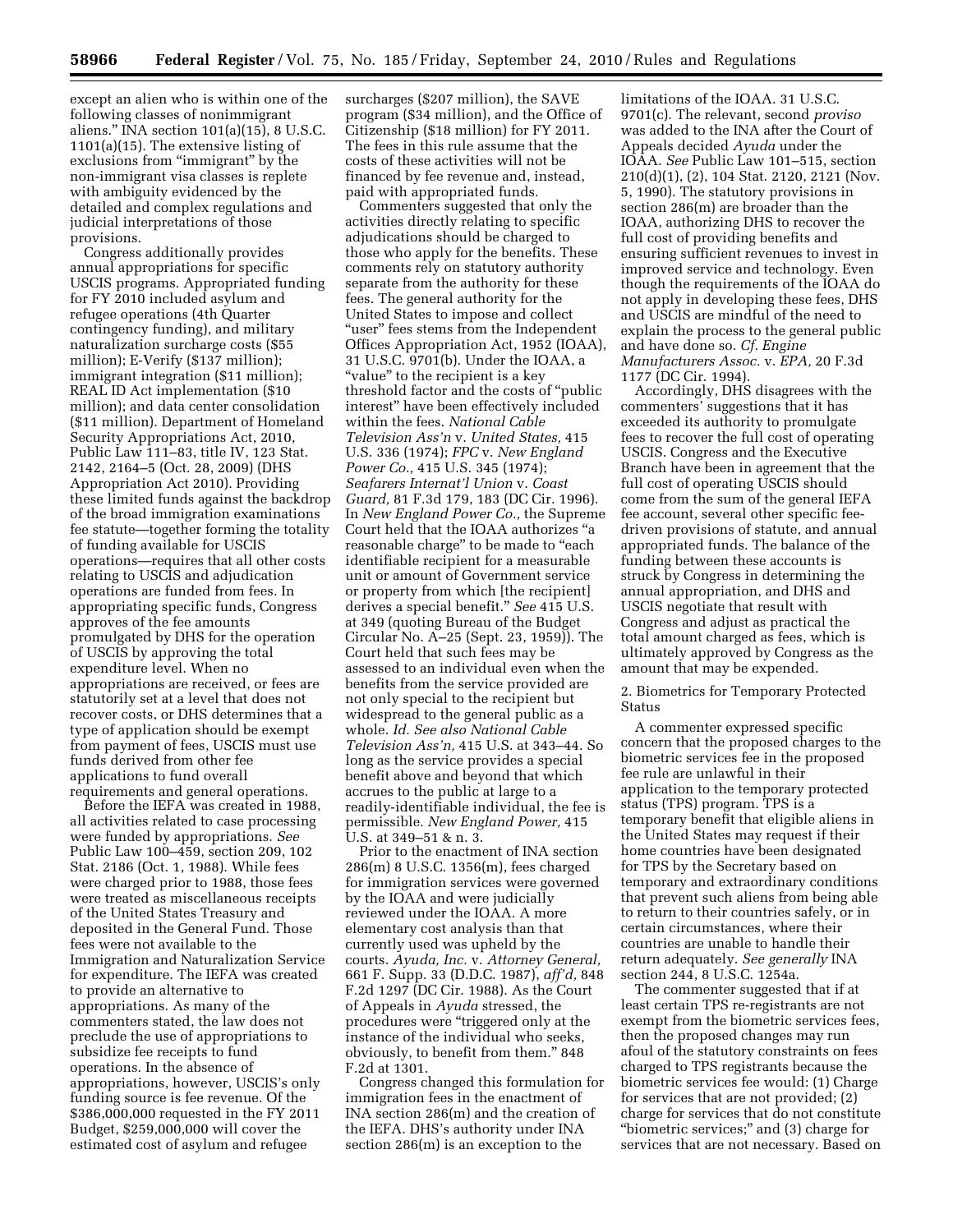except an alien who is within one of the following classes of nonimmigrant aliens.'' INA section 101(a)(15), 8 U.S.C. 1101(a)(15). The extensive listing of exclusions from "immigrant" by the non-immigrant visa classes is replete with ambiguity evidenced by the detailed and complex regulations and judicial interpretations of those provisions.

Congress additionally provides annual appropriations for specific USCIS programs. Appropriated funding for FY 2010 included asylum and refugee operations (4th Quarter contingency funding), and military naturalization surcharge costs (\$55 million); E-Verify (\$137 million); immigrant integration (\$11 million); REAL ID Act implementation (\$10 million); and data center consolidation (\$11 million). Department of Homeland Security Appropriations Act, 2010, Public Law 111–83, title IV, 123 Stat. 2142, 2164–5 (Oct. 28, 2009) (DHS Appropriation Act 2010). Providing these limited funds against the backdrop of the broad immigration examinations fee statute—together forming the totality of funding available for USCIS operations—requires that all other costs relating to USCIS and adjudication operations are funded from fees. In appropriating specific funds, Congress approves of the fee amounts promulgated by DHS for the operation of USCIS by approving the total expenditure level. When no appropriations are received, or fees are statutorily set at a level that does not recover costs, or DHS determines that a type of application should be exempt from payment of fees, USCIS must use funds derived from other fee applications to fund overall requirements and general operations.

Before the IEFA was created in 1988, all activities related to case processing were funded by appropriations. *See*  Public Law 100–459, section 209, 102 Stat. 2186 (Oct. 1, 1988). While fees were charged prior to 1988, those fees were treated as miscellaneous receipts of the United States Treasury and deposited in the General Fund. Those fees were not available to the Immigration and Naturalization Service for expenditure. The IEFA was created to provide an alternative to appropriations. As many of the commenters stated, the law does not preclude the use of appropriations to subsidize fee receipts to fund operations. In the absence of appropriations, however, USCIS's only funding source is fee revenue. Of the \$386,000,000 requested in the FY 2011 Budget, \$259,000,000 will cover the estimated cost of asylum and refugee

surcharges (\$207 million), the SAVE program (\$34 million), and the Office of Citizenship (\$18 million) for FY 2011. The fees in this rule assume that the costs of these activities will not be financed by fee revenue and, instead, paid with appropriated funds.

Commenters suggested that only the activities directly relating to specific adjudications should be charged to those who apply for the benefits. These comments rely on statutory authority separate from the authority for these fees. The general authority for the United States to impose and collect "user" fees stems from the Independent Offices Appropriation Act, 1952 (IOAA), 31 U.S.C. 9701(b). Under the IOAA, a "value" to the recipient is a key threshold factor and the costs of ''public interest'' have been effectively included within the fees. *National Cable Television Ass'n* v. *United States,* 415 U.S. 336 (1974); *FPC* v. *New England Power Co.,* 415 U.S. 345 (1974); *Seafarers Internat'l Union* v. *Coast Guard,* 81 F.3d 179, 183 (DC Cir. 1996). In *New England Power Co.,* the Supreme Court held that the IOAA authorizes ''a reasonable charge" to be made to "each identifiable recipient for a measurable unit or amount of Government service or property from which [the recipient] derives a special benefit.'' *See* 415 U.S. at 349 (quoting Bureau of the Budget Circular No. A–25 (Sept. 23, 1959)). The Court held that such fees may be assessed to an individual even when the benefits from the service provided are not only special to the recipient but widespread to the general public as a whole. *Id. See also National Cable Television Ass'n,* 415 U.S. at 343–44. So long as the service provides a special benefit above and beyond that which accrues to the public at large to a readily-identifiable individual, the fee is permissible. *New England Power,* 415 U.S. at 349–51 & n. 3.

Prior to the enactment of INA section 286(m) 8 U.S.C. 1356(m), fees charged for immigration services were governed by the IOAA and were judicially reviewed under the IOAA. A more elementary cost analysis than that currently used was upheld by the courts. *Ayuda, Inc.* v. *Attorney General,*  661 F. Supp. 33 (D.D.C. 1987), *aff'd,* 848 F.2d 1297 (DC Cir. 1988). As the Court of Appeals in *Ayuda* stressed, the procedures were ''triggered only at the instance of the individual who seeks, obviously, to benefit from them.'' 848 F.2d at 1301.

Congress changed this formulation for immigration fees in the enactment of INA section 286(m) and the creation of the IEFA. DHS's authority under INA section 286(m) is an exception to the

limitations of the IOAA. 31 U.S.C. 9701(c). The relevant, second *proviso*  was added to the INA after the Court of Appeals decided *Ayuda* under the IOAA. *See* Public Law 101–515, section 210(d)(1), (2), 104 Stat. 2120, 2121 (Nov. 5, 1990). The statutory provisions in section 286(m) are broader than the IOAA, authorizing DHS to recover the full cost of providing benefits and ensuring sufficient revenues to invest in improved service and technology. Even though the requirements of the IOAA do not apply in developing these fees, DHS and USCIS are mindful of the need to explain the process to the general public and have done so. *Cf. Engine Manufacturers Assoc.* v. *EPA,* 20 F.3d 1177 (DC Cir. 1994).

Accordingly, DHS disagrees with the commenters' suggestions that it has exceeded its authority to promulgate fees to recover the full cost of operating USCIS. Congress and the Executive Branch have been in agreement that the full cost of operating USCIS should come from the sum of the general IEFA fee account, several other specific feedriven provisions of statute, and annual appropriated funds. The balance of the funding between these accounts is struck by Congress in determining the annual appropriation, and DHS and USCIS negotiate that result with Congress and adjust as practical the total amount charged as fees, which is ultimately approved by Congress as the amount that may be expended.

2. Biometrics for Temporary Protected Status

A commenter expressed specific concern that the proposed charges to the biometric services fee in the proposed fee rule are unlawful in their application to the temporary protected status (TPS) program. TPS is a temporary benefit that eligible aliens in the United States may request if their home countries have been designated for TPS by the Secretary based on temporary and extraordinary conditions that prevent such aliens from being able to return to their countries safely, or in certain circumstances, where their countries are unable to handle their return adequately. *See generally* INA section 244, 8 U.S.C. 1254a.

The commenter suggested that if at least certain TPS re-registrants are not exempt from the biometric services fees, then the proposed changes may run afoul of the statutory constraints on fees charged to TPS registrants because the biometric services fee would: (1) Charge for services that are not provided; (2) charge for services that do not constitute ''biometric services;'' and (3) charge for services that are not necessary. Based on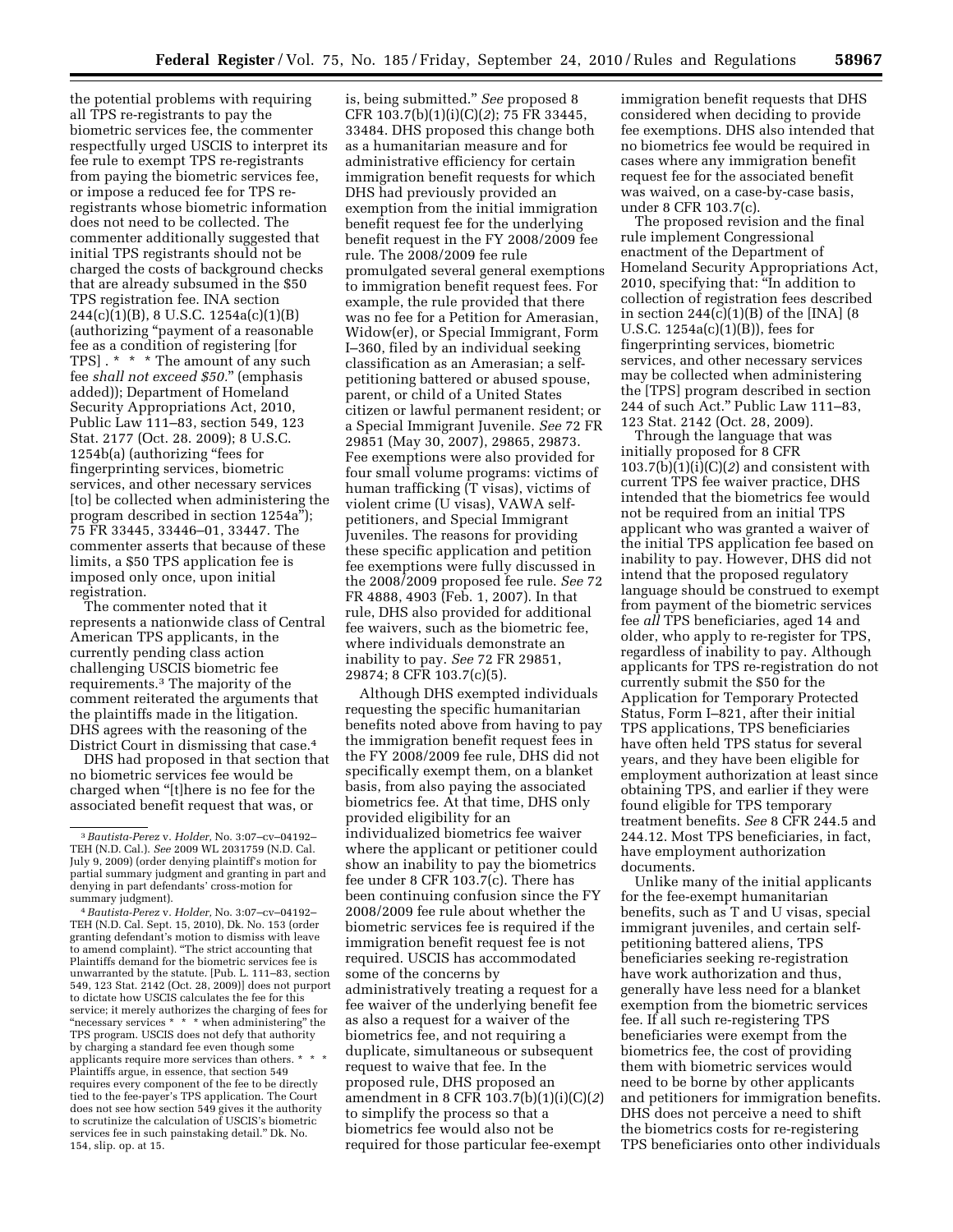the potential problems with requiring all TPS re-registrants to pay the biometric services fee, the commenter respectfully urged USCIS to interpret its fee rule to exempt TPS re-registrants from paying the biometric services fee, or impose a reduced fee for TPS reregistrants whose biometric information does not need to be collected. The commenter additionally suggested that initial TPS registrants should not be charged the costs of background checks that are already subsumed in the \$50 TPS registration fee. INA section 244(c)(1)(B), 8 U.S.C. 1254a(c)(1)(B) (authorizing ''payment of a reasonable fee as a condition of registering [for TPS] . \* \* \* The amount of any such fee *shall not exceed \$50.*'' (emphasis added)); Department of Homeland Security Appropriations Act, 2010, Public Law 111–83, section 549, 123 Stat. 2177 (Oct. 28. 2009); 8 U.S.C. 1254b(a) (authorizing ''fees for fingerprinting services, biometric services, and other necessary services [to] be collected when administering the program described in section 1254a''); 75 FR 33445, 33446–01, 33447. The commenter asserts that because of these limits, a \$50 TPS application fee is imposed only once, upon initial registration.

The commenter noted that it represents a nationwide class of Central American TPS applicants, in the currently pending class action challenging USCIS biometric fee requirements.3 The majority of the comment reiterated the arguments that the plaintiffs made in the litigation. DHS agrees with the reasoning of the District Court in dismissing that case.4

DHS had proposed in that section that no biometric services fee would be charged when ''[t]here is no fee for the associated benefit request that was, or

is, being submitted.'' *See* proposed 8 CFR 103.7(b)(1)(i)(C)(*2*); 75 FR 33445, 33484. DHS proposed this change both as a humanitarian measure and for administrative efficiency for certain immigration benefit requests for which DHS had previously provided an exemption from the initial immigration benefit request fee for the underlying benefit request in the FY 2008/2009 fee rule. The 2008/2009 fee rule promulgated several general exemptions to immigration benefit request fees. For example, the rule provided that there was no fee for a Petition for Amerasian, Widow(er), or Special Immigrant, Form I–360, filed by an individual seeking classification as an Amerasian; a selfpetitioning battered or abused spouse, parent, or child of a United States citizen or lawful permanent resident; or a Special Immigrant Juvenile. *See* 72 FR 29851 (May 30, 2007), 29865, 29873. Fee exemptions were also provided for four small volume programs: victims of human trafficking (T visas), victims of violent crime (U visas), VAWA selfpetitioners, and Special Immigrant Juveniles. The reasons for providing these specific application and petition fee exemptions were fully discussed in the 2008/2009 proposed fee rule. *See* 72 FR 4888, 4903 (Feb. 1, 2007). In that rule, DHS also provided for additional fee waivers, such as the biometric fee, where individuals demonstrate an inability to pay. *See* 72 FR 29851, 29874; 8 CFR 103.7(c)(5).

Although DHS exempted individuals requesting the specific humanitarian benefits noted above from having to pay the immigration benefit request fees in the FY 2008/2009 fee rule, DHS did not specifically exempt them, on a blanket basis, from also paying the associated biometrics fee. At that time, DHS only provided eligibility for an individualized biometrics fee waiver where the applicant or petitioner could show an inability to pay the biometrics fee under 8 CFR 103.7(c). There has been continuing confusion since the FY 2008/2009 fee rule about whether the biometric services fee is required if the immigration benefit request fee is not required. USCIS has accommodated some of the concerns by administratively treating a request for a fee waiver of the underlying benefit fee as also a request for a waiver of the biometrics fee, and not requiring a duplicate, simultaneous or subsequent request to waive that fee. In the proposed rule, DHS proposed an amendment in 8 CFR 103.7(b)(1)(i)(C)(*2*) to simplify the process so that a biometrics fee would also not be required for those particular fee-exempt

immigration benefit requests that DHS considered when deciding to provide fee exemptions. DHS also intended that no biometrics fee would be required in cases where any immigration benefit request fee for the associated benefit was waived, on a case-by-case basis, under 8 CFR 103.7(c).

The proposed revision and the final rule implement Congressional enactment of the Department of Homeland Security Appropriations Act, 2010, specifying that: ''In addition to collection of registration fees described in section  $244(c)(1)(B)$  of the [INA]  $(8$ U.S.C. 1254a(c)(1)(B)), fees for fingerprinting services, biometric services, and other necessary services may be collected when administering the [TPS] program described in section 244 of such Act.'' Public Law 111–83, 123 Stat. 2142 (Oct. 28, 2009).

Through the language that was initially proposed for 8 CFR 103.7(b)(1)(i)(C)(*2*) and consistent with current TPS fee waiver practice, DHS intended that the biometrics fee would not be required from an initial TPS applicant who was granted a waiver of the initial TPS application fee based on inability to pay. However, DHS did not intend that the proposed regulatory language should be construed to exempt from payment of the biometric services fee *all* TPS beneficiaries, aged 14 and older, who apply to re-register for TPS, regardless of inability to pay. Although applicants for TPS re-registration do not currently submit the \$50 for the Application for Temporary Protected Status, Form I–821, after their initial TPS applications, TPS beneficiaries have often held TPS status for several years, and they have been eligible for employment authorization at least since obtaining TPS, and earlier if they were found eligible for TPS temporary treatment benefits. *See* 8 CFR 244.5 and 244.12. Most TPS beneficiaries, in fact, have employment authorization documents.

Unlike many of the initial applicants for the fee-exempt humanitarian benefits, such as T and U visas, special immigrant juveniles, and certain selfpetitioning battered aliens, TPS beneficiaries seeking re-registration have work authorization and thus, generally have less need for a blanket exemption from the biometric services fee. If all such re-registering TPS beneficiaries were exempt from the biometrics fee, the cost of providing them with biometric services would need to be borne by other applicants and petitioners for immigration benefits. DHS does not perceive a need to shift the biometrics costs for re-registering TPS beneficiaries onto other individuals

<sup>3</sup>*Bautista-Perez* v. *Holder,* No. 3:07–cv–04192– TEH (N.D. Cal.). *See* 2009 WL 2031759 (N.D. Cal. July 9, 2009) (order denying plaintiff's motion for partial summary judgment and granting in part and denying in part defendants' cross-motion for summary judgment).

<sup>4</sup>*Bautista-Perez* v. *Holder,* No. 3:07–cv–04192– TEH (N.D. Cal. Sept. 15, 2010), Dk. No. 153 (order granting defendant's motion to dismiss with leave to amend complaint). ''The strict accounting that Plaintiffs demand for the biometric services fee is unwarranted by the statute. [Pub. L. 111–83, section 549, 123 Stat. 2142 (Oct. 28, 2009)] does not purport to dictate how USCIS calculates the fee for this service; it merely authorizes the charging of fees for "necessary services \* \* \* when administering" the TPS program. USCIS does not defy that authority by charging a standard fee even though some applicants require more services than others. \* Plaintiffs argue, in essence, that section 549 requires every component of the fee to be directly tied to the fee-payer's TPS application. The Court does not see how section 549 gives it the authority to scrutinize the calculation of USCIS's biometric services fee in such painstaking detail.'' Dk. No. 154, slip. op. at 15.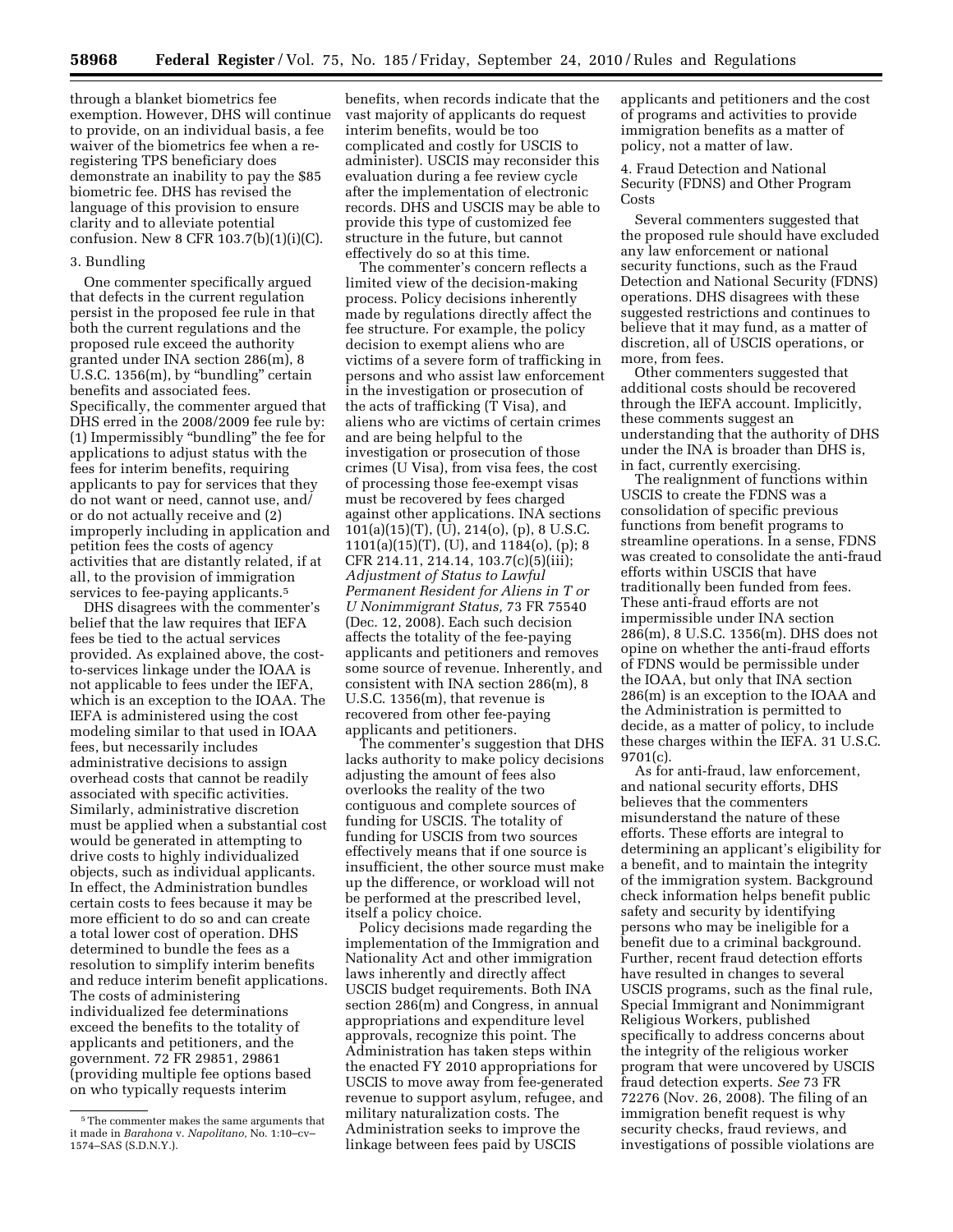through a blanket biometrics fee exemption. However, DHS will continue to provide, on an individual basis, a fee waiver of the biometrics fee when a reregistering TPS beneficiary does demonstrate an inability to pay the \$85 biometric fee. DHS has revised the language of this provision to ensure clarity and to alleviate potential confusion. New 8 CFR  $103.7(b)(1)(i)(C)$ .

#### 3. Bundling

One commenter specifically argued that defects in the current regulation persist in the proposed fee rule in that both the current regulations and the proposed rule exceed the authority granted under INA section 286(m), 8 U.S.C. 1356(m), by ''bundling'' certain benefits and associated fees. Specifically, the commenter argued that DHS erred in the 2008/2009 fee rule by: (1) Impermissibly ''bundling'' the fee for applications to adjust status with the fees for interim benefits, requiring applicants to pay for services that they do not want or need, cannot use, and/ or do not actually receive and (2) improperly including in application and petition fees the costs of agency activities that are distantly related, if at all, to the provision of immigration services to fee-paying applicants.<sup>5</sup>

DHS disagrees with the commenter's belief that the law requires that IEFA fees be tied to the actual services provided. As explained above, the costto-services linkage under the IOAA is not applicable to fees under the IEFA, which is an exception to the IOAA. The IEFA is administered using the cost modeling similar to that used in IOAA fees, but necessarily includes administrative decisions to assign overhead costs that cannot be readily associated with specific activities. Similarly, administrative discretion must be applied when a substantial cost would be generated in attempting to drive costs to highly individualized objects, such as individual applicants. In effect, the Administration bundles certain costs to fees because it may be more efficient to do so and can create a total lower cost of operation. DHS determined to bundle the fees as a resolution to simplify interim benefits and reduce interim benefit applications. The costs of administering individualized fee determinations exceed the benefits to the totality of applicants and petitioners, and the government. 72 FR 29851, 29861 (providing multiple fee options based on who typically requests interim

benefits, when records indicate that the vast majority of applicants do request interim benefits, would be too complicated and costly for USCIS to administer). USCIS may reconsider this evaluation during a fee review cycle after the implementation of electronic records. DHS and USCIS may be able to provide this type of customized fee structure in the future, but cannot effectively do so at this time.

The commenter's concern reflects a limited view of the decision-making process. Policy decisions inherently made by regulations directly affect the fee structure. For example, the policy decision to exempt aliens who are victims of a severe form of trafficking in persons and who assist law enforcement in the investigation or prosecution of the acts of trafficking (T Visa), and aliens who are victims of certain crimes and are being helpful to the investigation or prosecution of those crimes (U Visa), from visa fees, the cost of processing those fee-exempt visas must be recovered by fees charged against other applications. INA sections 101(a)(15)(T), (U), 214(o), (p), 8 U.S.C. 1101(a)(15)(T), (U), and 1184(o), (p); 8 CFR 214.11, 214.14, 103.7(c)(5)(iii); *Adjustment of Status to Lawful Permanent Resident for Aliens in T or U Nonimmigrant Status,* 73 FR 75540 (Dec. 12, 2008). Each such decision affects the totality of the fee-paying applicants and petitioners and removes some source of revenue. Inherently, and consistent with INA section 286(m), 8 U.S.C. 1356(m), that revenue is recovered from other fee-paying applicants and petitioners.

The commenter's suggestion that DHS lacks authority to make policy decisions adjusting the amount of fees also overlooks the reality of the two contiguous and complete sources of funding for USCIS. The totality of funding for USCIS from two sources effectively means that if one source is insufficient, the other source must make up the difference, or workload will not be performed at the prescribed level, itself a policy choice.

Policy decisions made regarding the implementation of the Immigration and Nationality Act and other immigration laws inherently and directly affect USCIS budget requirements. Both INA section 286(m) and Congress, in annual appropriations and expenditure level approvals, recognize this point. The Administration has taken steps within the enacted FY 2010 appropriations for USCIS to move away from fee-generated revenue to support asylum, refugee, and military naturalization costs. The Administration seeks to improve the linkage between fees paid by USCIS

applicants and petitioners and the cost of programs and activities to provide immigration benefits as a matter of policy, not a matter of law.

4. Fraud Detection and National Security (FDNS) and Other Program Costs

Several commenters suggested that the proposed rule should have excluded any law enforcement or national security functions, such as the Fraud Detection and National Security (FDNS) operations. DHS disagrees with these suggested restrictions and continues to believe that it may fund, as a matter of discretion, all of USCIS operations, or more, from fees.

Other commenters suggested that additional costs should be recovered through the IEFA account. Implicitly, these comments suggest an understanding that the authority of DHS under the INA is broader than DHS is, in fact, currently exercising.

The realignment of functions within USCIS to create the FDNS was a consolidation of specific previous functions from benefit programs to streamline operations. In a sense, FDNS was created to consolidate the anti-fraud efforts within USCIS that have traditionally been funded from fees. These anti-fraud efforts are not impermissible under INA section 286(m), 8 U.S.C. 1356(m). DHS does not opine on whether the anti-fraud efforts of FDNS would be permissible under the IOAA, but only that INA section 286(m) is an exception to the IOAA and the Administration is permitted to decide, as a matter of policy, to include these charges within the IEFA. 31 U.S.C. 9701(c).

As for anti-fraud, law enforcement, and national security efforts, DHS believes that the commenters misunderstand the nature of these efforts. These efforts are integral to determining an applicant's eligibility for a benefit, and to maintain the integrity of the immigration system. Background check information helps benefit public safety and security by identifying persons who may be ineligible for a benefit due to a criminal background. Further, recent fraud detection efforts have resulted in changes to several USCIS programs, such as the final rule, Special Immigrant and Nonimmigrant Religious Workers, published specifically to address concerns about the integrity of the religious worker program that were uncovered by USCIS fraud detection experts. *See* 73 FR 72276 (Nov. 26, 2008). The filing of an immigration benefit request is why security checks, fraud reviews, and investigations of possible violations are

<sup>5</sup>The commenter makes the same arguments that it made in *Barahona* v. *Napolitano,* No. 1:10–cv– 1574–SAS (S.D.N.Y.).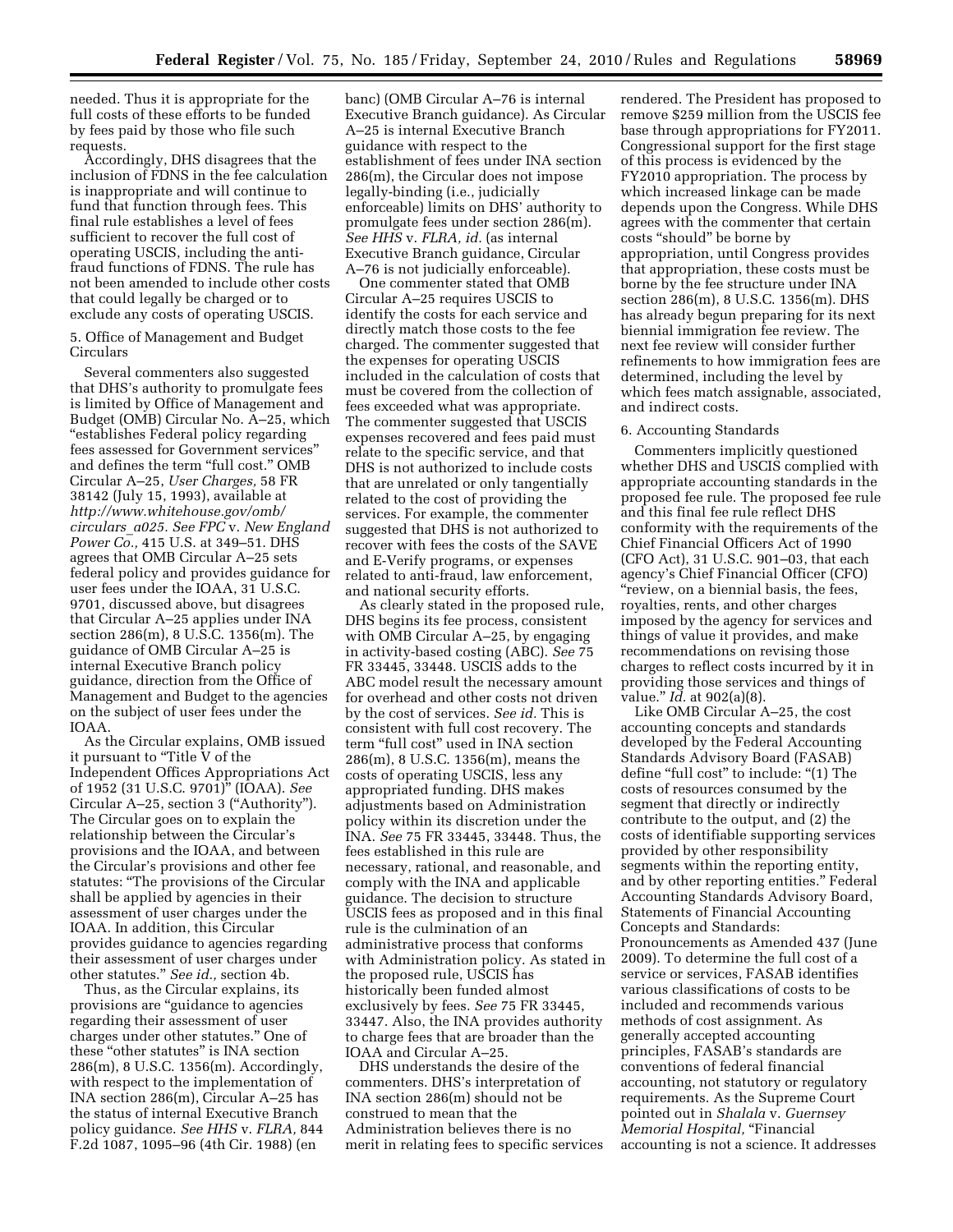needed. Thus it is appropriate for the full costs of these efforts to be funded by fees paid by those who file such requests.

Accordingly, DHS disagrees that the inclusion of FDNS in the fee calculation is inappropriate and will continue to fund that function through fees. This final rule establishes a level of fees sufficient to recover the full cost of operating USCIS, including the antifraud functions of FDNS. The rule has not been amended to include other costs that could legally be charged or to exclude any costs of operating USCIS.

5. Office of Management and Budget Circulars

Several commenters also suggested that DHS's authority to promulgate fees is limited by Office of Management and Budget (OMB) Circular No. A–25, which ''establishes Federal policy regarding fees assessed for Government services'' and defines the term "full cost." OMB Circular A–25, *User Charges,* 58 FR 38142 (July 15, 1993), available at *[http://www.whitehouse.gov/omb/](http://www.whitehouse.gov/omb/circulars_a025) [circulars](http://www.whitehouse.gov/omb/circulars_a025)*\_*a025. See FPC* v. *New England Power Co.,* 415 U.S. at 349–51. DHS agrees that OMB Circular A–25 sets federal policy and provides guidance for user fees under the IOAA, 31 U.S.C. 9701, discussed above, but disagrees that Circular A–25 applies under INA section 286(m), 8 U.S.C. 1356(m). The guidance of OMB Circular A–25 is internal Executive Branch policy guidance, direction from the Office of Management and Budget to the agencies on the subject of user fees under the IOAA.

As the Circular explains, OMB issued it pursuant to ''Title V of the Independent Offices Appropriations Act of 1952 (31 U.S.C. 9701)'' (IOAA). *See*  Circular A–25, section 3 (''Authority''). The Circular goes on to explain the relationship between the Circular's provisions and the IOAA, and between the Circular's provisions and other fee statutes: ''The provisions of the Circular shall be applied by agencies in their assessment of user charges under the IOAA. In addition, this Circular provides guidance to agencies regarding their assessment of user charges under other statutes.'' *See id.,* section 4b.

Thus, as the Circular explains, its provisions are ''guidance to agencies regarding their assessment of user charges under other statutes.'' One of these "other statutes" is INA section 286(m), 8 U.S.C. 1356(m). Accordingly, with respect to the implementation of INA section 286(m), Circular A–25 has the status of internal Executive Branch policy guidance. *See HHS* v. *FLRA,* 844 F.2d 1087, 1095–96 (4th Cir. 1988) (en

banc) (OMB Circular A–76 is internal Executive Branch guidance). As Circular A–25 is internal Executive Branch guidance with respect to the establishment of fees under INA section 286(m), the Circular does not impose legally-binding (i.e., judicially enforceable) limits on DHS' authority to promulgate fees under section 286(m). *See HHS* v. *FLRA, id.* (as internal Executive Branch guidance, Circular A–76 is not judicially enforceable).

One commenter stated that OMB Circular A–25 requires USCIS to identify the costs for each service and directly match those costs to the fee charged. The commenter suggested that the expenses for operating USCIS included in the calculation of costs that must be covered from the collection of fees exceeded what was appropriate. The commenter suggested that USCIS expenses recovered and fees paid must relate to the specific service, and that DHS is not authorized to include costs that are unrelated or only tangentially related to the cost of providing the services. For example, the commenter suggested that DHS is not authorized to recover with fees the costs of the SAVE and E-Verify programs, or expenses related to anti-fraud, law enforcement, and national security efforts.

As clearly stated in the proposed rule, DHS begins its fee process, consistent with OMB Circular A–25, by engaging in activity-based costing (ABC). *See* 75 FR 33445, 33448. USCIS adds to the ABC model result the necessary amount for overhead and other costs not driven by the cost of services. *See id.* This is consistent with full cost recovery. The term "full cost" used in INA section 286(m), 8 U.S.C. 1356(m), means the costs of operating USCIS, less any appropriated funding. DHS makes adjustments based on Administration policy within its discretion under the INA. *See* 75 FR 33445, 33448. Thus, the fees established in this rule are necessary, rational, and reasonable, and comply with the INA and applicable guidance. The decision to structure USCIS fees as proposed and in this final rule is the culmination of an administrative process that conforms with Administration policy. As stated in the proposed rule, USCIS has historically been funded almost exclusively by fees. *See* 75 FR 33445, 33447. Also, the INA provides authority to charge fees that are broader than the IOAA and Circular A–25.

DHS understands the desire of the commenters. DHS's interpretation of INA section 286(m) should not be construed to mean that the Administration believes there is no merit in relating fees to specific services rendered. The President has proposed to remove \$259 million from the USCIS fee base through appropriations for FY2011. Congressional support for the first stage of this process is evidenced by the FY2010 appropriation. The process by which increased linkage can be made depends upon the Congress. While DHS agrees with the commenter that certain costs ''should'' be borne by appropriation, until Congress provides that appropriation, these costs must be borne by the fee structure under INA section 286(m), 8 U.S.C. 1356(m). DHS has already begun preparing for its next biennial immigration fee review. The next fee review will consider further refinements to how immigration fees are determined, including the level by which fees match assignable, associated, and indirect costs.

#### 6. Accounting Standards

Commenters implicitly questioned whether DHS and USCIS complied with appropriate accounting standards in the proposed fee rule. The proposed fee rule and this final fee rule reflect DHS conformity with the requirements of the Chief Financial Officers Act of 1990 (CFO Act), 31 U.S.C. 901–03, that each agency's Chief Financial Officer (CFO) ''review, on a biennial basis, the fees, royalties, rents, and other charges imposed by the agency for services and things of value it provides, and make recommendations on revising those charges to reflect costs incurred by it in providing those services and things of value.'' *Id.* at 902(a)(8).

Like OMB Circular A–25, the cost accounting concepts and standards developed by the Federal Accounting Standards Advisory Board (FASAB) define "full cost" to include: "(1) The costs of resources consumed by the segment that directly or indirectly contribute to the output, and (2) the costs of identifiable supporting services provided by other responsibility segments within the reporting entity, and by other reporting entities.'' Federal Accounting Standards Advisory Board, Statements of Financial Accounting Concepts and Standards: Pronouncements as Amended 437 (June 2009). To determine the full cost of a service or services, FASAB identifies various classifications of costs to be included and recommends various methods of cost assignment. As generally accepted accounting principles, FASAB's standards are conventions of federal financial accounting, not statutory or regulatory requirements. As the Supreme Court pointed out in *Shalala* v. *Guernsey Memorial Hospital,* "Financial accounting is not a science. It addresses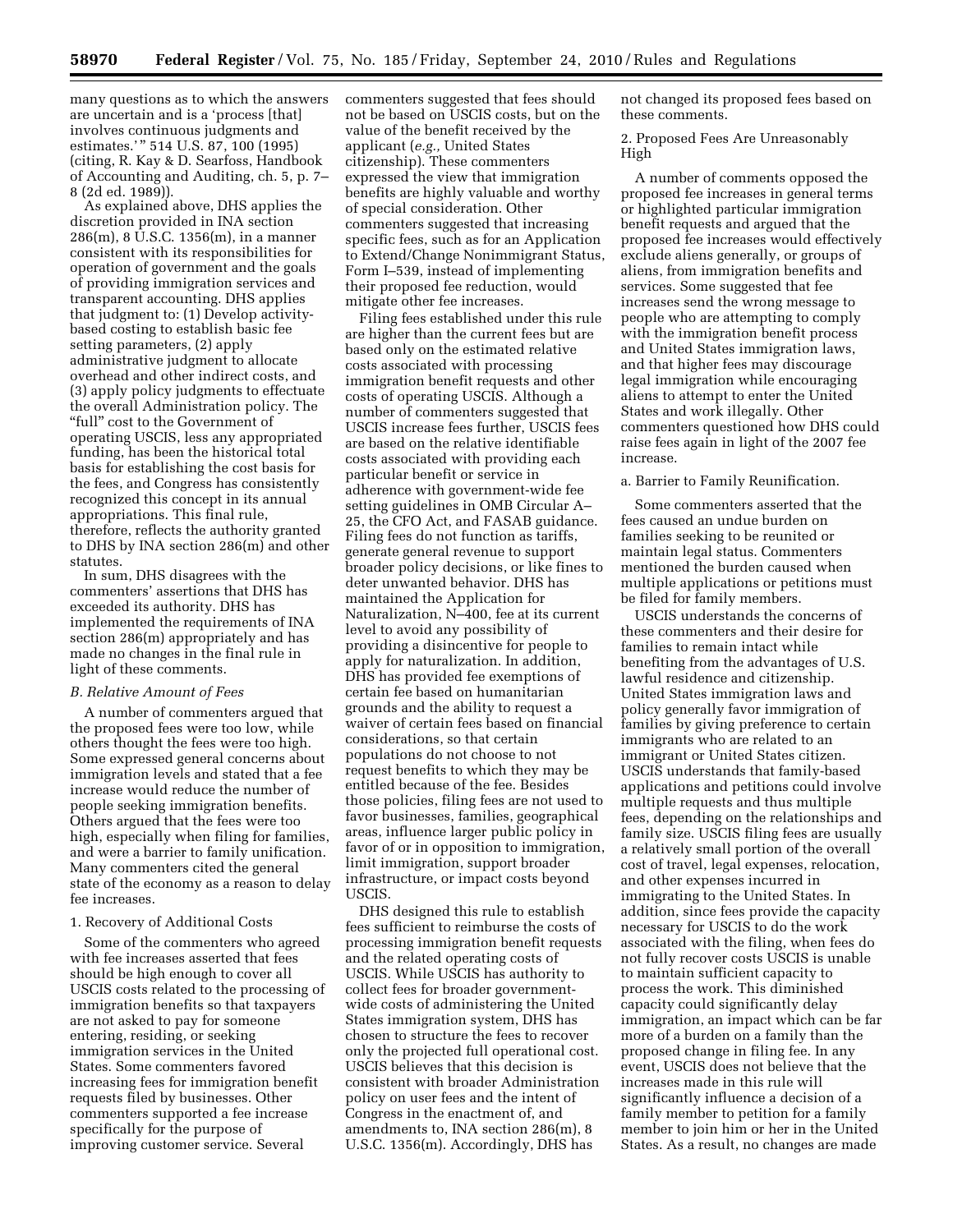many questions as to which the answers are uncertain and is a 'process [that] involves continuous judgments and estimates.'" 514 U.S. 87, 100 (1995) (citing, R. Kay & D. Searfoss, Handbook of Accounting and Auditing, ch. 5, p. 7– 8 (2d ed. 1989)).

As explained above, DHS applies the discretion provided in INA section 286(m), 8 U.S.C. 1356(m), in a manner consistent with its responsibilities for operation of government and the goals of providing immigration services and transparent accounting. DHS applies that judgment to: (1) Develop activitybased costing to establish basic fee setting parameters, (2) apply administrative judgment to allocate overhead and other indirect costs, and (3) apply policy judgments to effectuate the overall Administration policy. The ''full'' cost to the Government of operating USCIS, less any appropriated funding, has been the historical total basis for establishing the cost basis for the fees, and Congress has consistently recognized this concept in its annual appropriations. This final rule, therefore, reflects the authority granted to DHS by INA section 286(m) and other statutes.

In sum, DHS disagrees with the commenters' assertions that DHS has exceeded its authority. DHS has implemented the requirements of INA section 286(m) appropriately and has made no changes in the final rule in light of these comments.

#### *B. Relative Amount of Fees*

A number of commenters argued that the proposed fees were too low, while others thought the fees were too high. Some expressed general concerns about immigration levels and stated that a fee increase would reduce the number of people seeking immigration benefits. Others argued that the fees were too high, especially when filing for families, and were a barrier to family unification. Many commenters cited the general state of the economy as a reason to delay fee increases.

#### 1. Recovery of Additional Costs

Some of the commenters who agreed with fee increases asserted that fees should be high enough to cover all USCIS costs related to the processing of immigration benefits so that taxpayers are not asked to pay for someone entering, residing, or seeking immigration services in the United States. Some commenters favored increasing fees for immigration benefit requests filed by businesses. Other commenters supported a fee increase specifically for the purpose of improving customer service. Several

commenters suggested that fees should not be based on USCIS costs, but on the value of the benefit received by the applicant (*e.g.,* United States citizenship). These commenters expressed the view that immigration benefits are highly valuable and worthy of special consideration. Other commenters suggested that increasing specific fees, such as for an Application to Extend/Change Nonimmigrant Status, Form I–539, instead of implementing their proposed fee reduction, would mitigate other fee increases.

Filing fees established under this rule are higher than the current fees but are based only on the estimated relative costs associated with processing immigration benefit requests and other costs of operating USCIS. Although a number of commenters suggested that USCIS increase fees further, USCIS fees are based on the relative identifiable costs associated with providing each particular benefit or service in adherence with government-wide fee setting guidelines in OMB Circular A– 25, the CFO Act, and FASAB guidance. Filing fees do not function as tariffs, generate general revenue to support broader policy decisions, or like fines to deter unwanted behavior. DHS has maintained the Application for Naturalization, N–400, fee at its current level to avoid any possibility of providing a disincentive for people to apply for naturalization. In addition, DHS has provided fee exemptions of certain fee based on humanitarian grounds and the ability to request a waiver of certain fees based on financial considerations, so that certain populations do not choose to not request benefits to which they may be entitled because of the fee. Besides those policies, filing fees are not used to favor businesses, families, geographical areas, influence larger public policy in favor of or in opposition to immigration, limit immigration, support broader infrastructure, or impact costs beyond USCIS.

DHS designed this rule to establish fees sufficient to reimburse the costs of processing immigration benefit requests and the related operating costs of USCIS. While USCIS has authority to collect fees for broader governmentwide costs of administering the United States immigration system, DHS has chosen to structure the fees to recover only the projected full operational cost. USCIS believes that this decision is consistent with broader Administration policy on user fees and the intent of Congress in the enactment of, and amendments to, INA section 286(m), 8 U.S.C. 1356(m). Accordingly, DHS has

not changed its proposed fees based on these comments.

2. Proposed Fees Are Unreasonably High

A number of comments opposed the proposed fee increases in general terms or highlighted particular immigration benefit requests and argued that the proposed fee increases would effectively exclude aliens generally, or groups of aliens, from immigration benefits and services. Some suggested that fee increases send the wrong message to people who are attempting to comply with the immigration benefit process and United States immigration laws, and that higher fees may discourage legal immigration while encouraging aliens to attempt to enter the United States and work illegally. Other commenters questioned how DHS could raise fees again in light of the 2007 fee increase.

a. Barrier to Family Reunification.

Some commenters asserted that the fees caused an undue burden on families seeking to be reunited or maintain legal status. Commenters mentioned the burden caused when multiple applications or petitions must be filed for family members.

USCIS understands the concerns of these commenters and their desire for families to remain intact while benefiting from the advantages of U.S. lawful residence and citizenship. United States immigration laws and policy generally favor immigration of families by giving preference to certain immigrants who are related to an immigrant or United States citizen. USCIS understands that family-based applications and petitions could involve multiple requests and thus multiple fees, depending on the relationships and family size. USCIS filing fees are usually a relatively small portion of the overall cost of travel, legal expenses, relocation, and other expenses incurred in immigrating to the United States. In addition, since fees provide the capacity necessary for USCIS to do the work associated with the filing, when fees do not fully recover costs USCIS is unable to maintain sufficient capacity to process the work. This diminished capacity could significantly delay immigration, an impact which can be far more of a burden on a family than the proposed change in filing fee. In any event, USCIS does not believe that the increases made in this rule will significantly influence a decision of a family member to petition for a family member to join him or her in the United States. As a result, no changes are made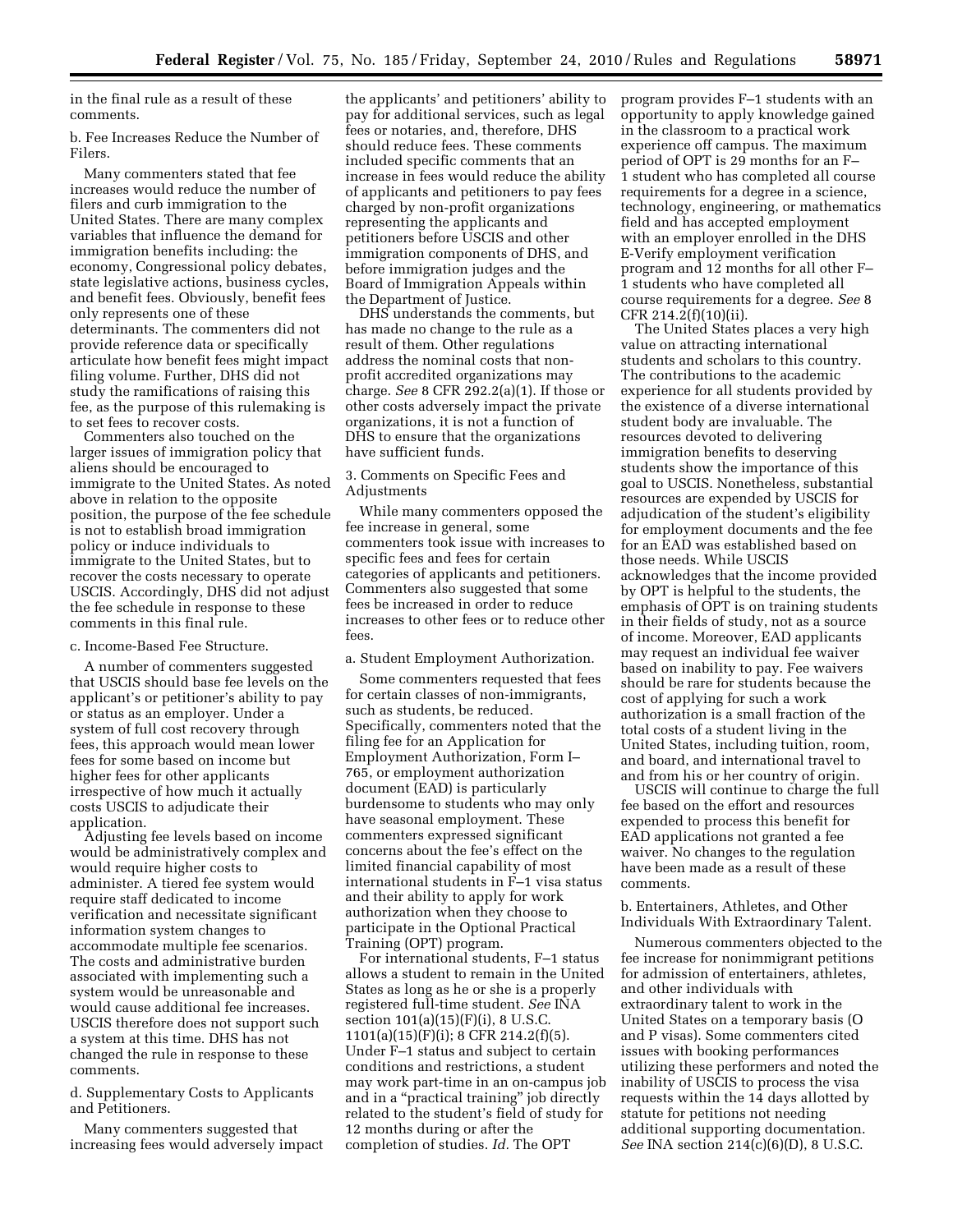in the final rule as a result of these comments.

b. Fee Increases Reduce the Number of Filers.

Many commenters stated that fee increases would reduce the number of filers and curb immigration to the United States. There are many complex variables that influence the demand for immigration benefits including: the economy, Congressional policy debates, state legislative actions, business cycles, and benefit fees. Obviously, benefit fees only represents one of these determinants. The commenters did not provide reference data or specifically articulate how benefit fees might impact filing volume. Further, DHS did not study the ramifications of raising this fee, as the purpose of this rulemaking is to set fees to recover costs.

Commenters also touched on the larger issues of immigration policy that aliens should be encouraged to immigrate to the United States. As noted above in relation to the opposite position, the purpose of the fee schedule is not to establish broad immigration policy or induce individuals to immigrate to the United States, but to recover the costs necessary to operate USCIS. Accordingly, DHS did not adjust the fee schedule in response to these comments in this final rule.

#### c. Income-Based Fee Structure.

A number of commenters suggested that USCIS should base fee levels on the applicant's or petitioner's ability to pay or status as an employer. Under a system of full cost recovery through fees, this approach would mean lower fees for some based on income but higher fees for other applicants irrespective of how much it actually costs USCIS to adjudicate their application.

Adjusting fee levels based on income would be administratively complex and would require higher costs to administer. A tiered fee system would require staff dedicated to income verification and necessitate significant information system changes to accommodate multiple fee scenarios. The costs and administrative burden associated with implementing such a system would be unreasonable and would cause additional fee increases. USCIS therefore does not support such a system at this time. DHS has not changed the rule in response to these comments.

d. Supplementary Costs to Applicants and Petitioners.

Many commenters suggested that increasing fees would adversely impact

the applicants' and petitioners' ability to pay for additional services, such as legal fees or notaries, and, therefore, DHS should reduce fees. These comments included specific comments that an increase in fees would reduce the ability of applicants and petitioners to pay fees charged by non-profit organizations representing the applicants and petitioners before USCIS and other immigration components of DHS, and before immigration judges and the Board of Immigration Appeals within the Department of Justice.

DHS understands the comments, but has made no change to the rule as a result of them. Other regulations address the nominal costs that nonprofit accredited organizations may charge. *See* 8 CFR 292.2(a)(1). If those or other costs adversely impact the private organizations, it is not a function of DHS to ensure that the organizations have sufficient funds.

# 3. Comments on Specific Fees and Adjustments

While many commenters opposed the fee increase in general, some commenters took issue with increases to specific fees and fees for certain categories of applicants and petitioners. Commenters also suggested that some fees be increased in order to reduce increases to other fees or to reduce other fees.

#### a. Student Employment Authorization.

Some commenters requested that fees for certain classes of non-immigrants, such as students, be reduced. Specifically, commenters noted that the filing fee for an Application for Employment Authorization, Form I– 765, or employment authorization document (EAD) is particularly burdensome to students who may only have seasonal employment. These commenters expressed significant concerns about the fee's effect on the limited financial capability of most international students in F–1 visa status and their ability to apply for work authorization when they choose to participate in the Optional Practical Training (OPT) program.

For international students, F–1 status allows a student to remain in the United States as long as he or she is a properly registered full-time student. *See* INA section 101(a)(15)(F)(i), 8 U.S.C. 1101(a)(15)(F)(i); 8 CFR 214.2(f)(5). Under F–1 status and subject to certain conditions and restrictions, a student may work part-time in an on-campus job and in a ''practical training'' job directly related to the student's field of study for 12 months during or after the completion of studies. *Id.* The OPT

program provides F–1 students with an opportunity to apply knowledge gained in the classroom to a practical work experience off campus. The maximum period of OPT is 29 months for an F– 1 student who has completed all course requirements for a degree in a science, technology, engineering, or mathematics field and has accepted employment with an employer enrolled in the DHS E-Verify employment verification program and 12 months for all other F– 1 students who have completed all course requirements for a degree. *See* 8 CFR 214.2(f)(10)(ii).

The United States places a very high value on attracting international students and scholars to this country. The contributions to the academic experience for all students provided by the existence of a diverse international student body are invaluable. The resources devoted to delivering immigration benefits to deserving students show the importance of this goal to USCIS. Nonetheless, substantial resources are expended by USCIS for adjudication of the student's eligibility for employment documents and the fee for an EAD was established based on those needs. While USCIS acknowledges that the income provided by OPT is helpful to the students, the emphasis of OPT is on training students in their fields of study, not as a source of income. Moreover, EAD applicants may request an individual fee waiver based on inability to pay. Fee waivers should be rare for students because the cost of applying for such a work authorization is a small fraction of the total costs of a student living in the United States, including tuition, room, and board, and international travel to and from his or her country of origin.

USCIS will continue to charge the full fee based on the effort and resources expended to process this benefit for EAD applications not granted a fee waiver. No changes to the regulation have been made as a result of these comments.

# b. Entertainers, Athletes, and Other Individuals With Extraordinary Talent.

Numerous commenters objected to the fee increase for nonimmigrant petitions for admission of entertainers, athletes, and other individuals with extraordinary talent to work in the United States on a temporary basis (O and P visas). Some commenters cited issues with booking performances utilizing these performers and noted the inability of USCIS to process the visa requests within the 14 days allotted by statute for petitions not needing additional supporting documentation. *See* INA section 214(c)(6)(D), 8 U.S.C.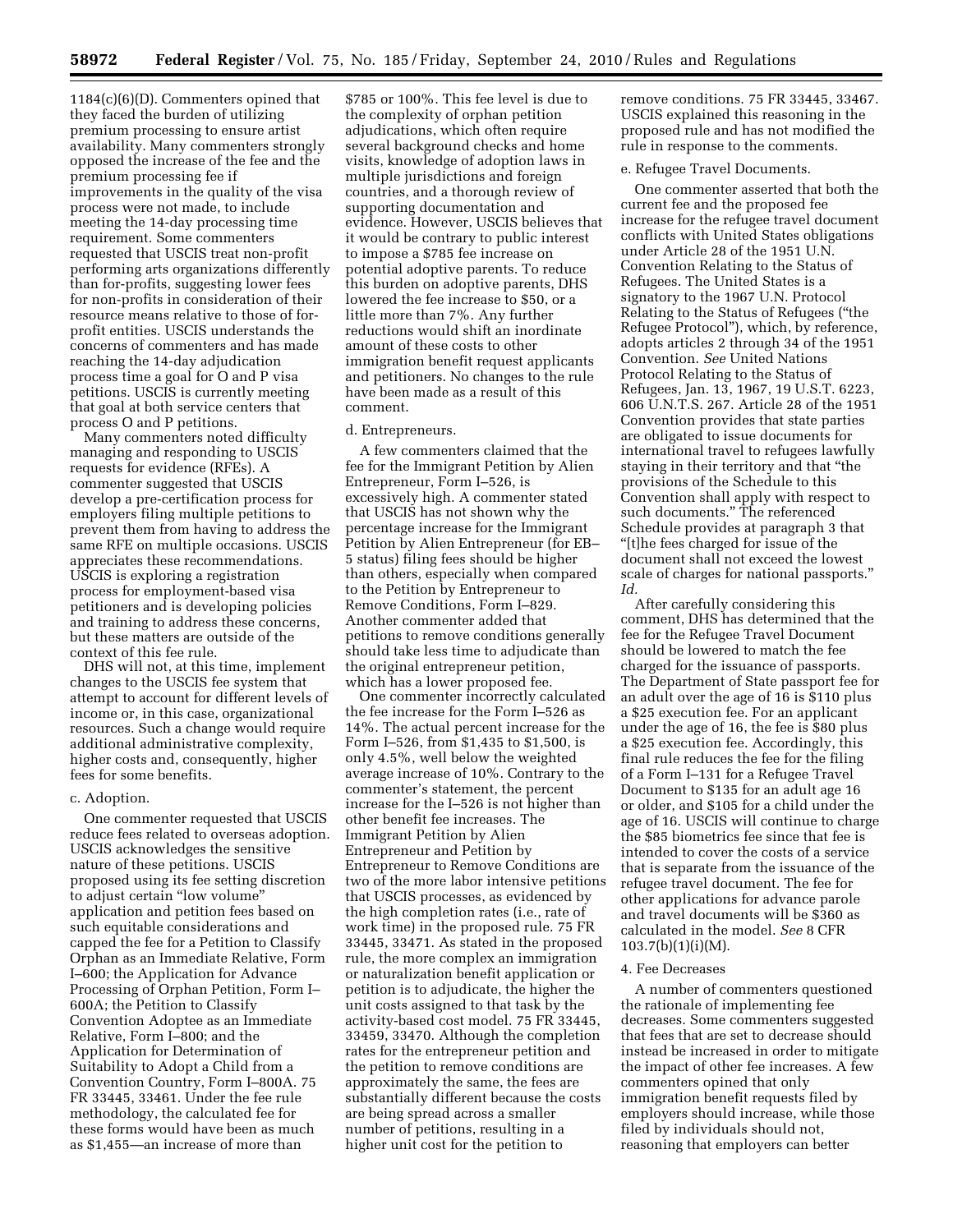1184(c)(6)(D). Commenters opined that they faced the burden of utilizing premium processing to ensure artist availability. Many commenters strongly opposed the increase of the fee and the premium processing fee if improvements in the quality of the visa process were not made, to include meeting the 14-day processing time requirement. Some commenters requested that USCIS treat non-profit performing arts organizations differently than for-profits, suggesting lower fees for non-profits in consideration of their resource means relative to those of forprofit entities. USCIS understands the concerns of commenters and has made reaching the 14-day adjudication process time a goal for O and P visa petitions. USCIS is currently meeting that goal at both service centers that process O and P petitions.

Many commenters noted difficulty managing and responding to USCIS requests for evidence (RFEs). A commenter suggested that USCIS develop a pre-certification process for employers filing multiple petitions to prevent them from having to address the same RFE on multiple occasions. USCIS appreciates these recommendations. USCIS is exploring a registration process for employment-based visa petitioners and is developing policies and training to address these concerns, but these matters are outside of the context of this fee rule.

DHS will not, at this time, implement changes to the USCIS fee system that attempt to account for different levels of income or, in this case, organizational resources. Such a change would require additional administrative complexity, higher costs and, consequently, higher fees for some benefits.

#### c. Adoption.

One commenter requested that USCIS reduce fees related to overseas adoption. USCIS acknowledges the sensitive nature of these petitions. USCIS proposed using its fee setting discretion to adjust certain ''low volume'' application and petition fees based on such equitable considerations and capped the fee for a Petition to Classify Orphan as an Immediate Relative, Form I–600; the Application for Advance Processing of Orphan Petition, Form I– 600A; the Petition to Classify Convention Adoptee as an Immediate Relative, Form I–800; and the Application for Determination of Suitability to Adopt a Child from a Convention Country, Form I–800A. 75 FR 33445, 33461. Under the fee rule methodology, the calculated fee for these forms would have been as much as \$1,455—an increase of more than

\$785 or 100%. This fee level is due to the complexity of orphan petition adjudications, which often require several background checks and home visits, knowledge of adoption laws in multiple jurisdictions and foreign countries, and a thorough review of supporting documentation and evidence. However, USCIS believes that it would be contrary to public interest to impose a \$785 fee increase on potential adoptive parents. To reduce this burden on adoptive parents, DHS lowered the fee increase to \$50, or a little more than 7%. Any further reductions would shift an inordinate amount of these costs to other immigration benefit request applicants and petitioners. No changes to the rule have been made as a result of this comment.

#### d. Entrepreneurs.

A few commenters claimed that the fee for the Immigrant Petition by Alien Entrepreneur, Form I–526, is excessively high. A commenter stated that USCIS has not shown why the percentage increase for the Immigrant Petition by Alien Entrepreneur (for EB– 5 status) filing fees should be higher than others, especially when compared to the Petition by Entrepreneur to Remove Conditions, Form I–829. Another commenter added that petitions to remove conditions generally should take less time to adjudicate than the original entrepreneur petition, which has a lower proposed fee.

One commenter incorrectly calculated the fee increase for the Form I–526 as 14%. The actual percent increase for the Form I–526, from \$1,435 to \$1,500, is only 4.5%, well below the weighted average increase of 10%. Contrary to the commenter's statement, the percent increase for the I–526 is not higher than other benefit fee increases. The Immigrant Petition by Alien Entrepreneur and Petition by Entrepreneur to Remove Conditions are two of the more labor intensive petitions that USCIS processes, as evidenced by the high completion rates (i.e., rate of work time) in the proposed rule. 75 FR 33445, 33471. As stated in the proposed rule, the more complex an immigration or naturalization benefit application or petition is to adjudicate, the higher the unit costs assigned to that task by the activity-based cost model. 75 FR 33445, 33459, 33470. Although the completion rates for the entrepreneur petition and the petition to remove conditions are approximately the same, the fees are substantially different because the costs are being spread across a smaller number of petitions, resulting in a higher unit cost for the petition to

remove conditions. 75 FR 33445, 33467. USCIS explained this reasoning in the proposed rule and has not modified the rule in response to the comments.

#### e. Refugee Travel Documents.

One commenter asserted that both the current fee and the proposed fee increase for the refugee travel document conflicts with United States obligations under Article 28 of the 1951 U.N. Convention Relating to the Status of Refugees. The United States is a signatory to the 1967 U.N. Protocol Relating to the Status of Refugees (''the Refugee Protocol''), which, by reference, adopts articles 2 through 34 of the 1951 Convention. *See* United Nations Protocol Relating to the Status of Refugees, Jan. 13, 1967, 19 U.S.T. 6223, 606 U.N.T.S. 267. Article 28 of the 1951 Convention provides that state parties are obligated to issue documents for international travel to refugees lawfully staying in their territory and that ''the provisions of the Schedule to this Convention shall apply with respect to such documents.'' The referenced Schedule provides at paragraph 3 that ''[t]he fees charged for issue of the document shall not exceed the lowest scale of charges for national passports.'' *Id.* 

After carefully considering this comment, DHS has determined that the fee for the Refugee Travel Document should be lowered to match the fee charged for the issuance of passports. The Department of State passport fee for an adult over the age of 16 is \$110 plus a \$25 execution fee. For an applicant under the age of 16, the fee is \$80 plus a \$25 execution fee. Accordingly, this final rule reduces the fee for the filing of a Form I–131 for a Refugee Travel Document to \$135 for an adult age 16 or older, and \$105 for a child under the age of 16. USCIS will continue to charge the \$85 biometrics fee since that fee is intended to cover the costs of a service that is separate from the issuance of the refugee travel document. The fee for other applications for advance parole and travel documents will be \$360 as calculated in the model. *See* 8 CFR  $103.7(b)(1)(i)(M)$ .

#### 4. Fee Decreases

A number of commenters questioned the rationale of implementing fee decreases. Some commenters suggested that fees that are set to decrease should instead be increased in order to mitigate the impact of other fee increases. A few commenters opined that only immigration benefit requests filed by employers should increase, while those filed by individuals should not, reasoning that employers can better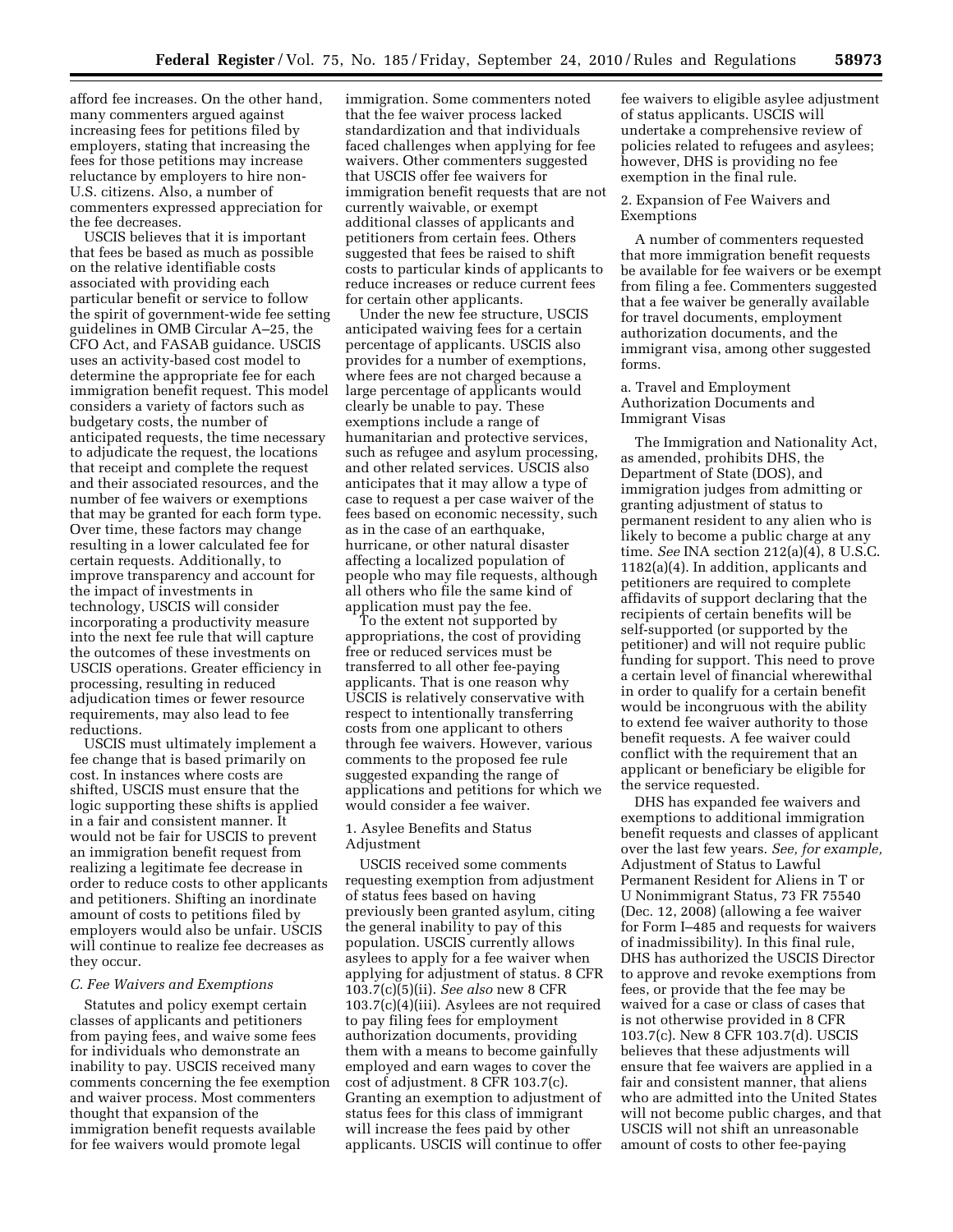afford fee increases. On the other hand, many commenters argued against increasing fees for petitions filed by employers, stating that increasing the fees for those petitions may increase reluctance by employers to hire non-U.S. citizens. Also, a number of commenters expressed appreciation for the fee decreases.

USCIS believes that it is important that fees be based as much as possible on the relative identifiable costs associated with providing each particular benefit or service to follow the spirit of government-wide fee setting guidelines in OMB Circular A–25, the CFO Act, and FASAB guidance. USCIS uses an activity-based cost model to determine the appropriate fee for each immigration benefit request. This model considers a variety of factors such as budgetary costs, the number of anticipated requests, the time necessary to adjudicate the request, the locations that receipt and complete the request and their associated resources, and the number of fee waivers or exemptions that may be granted for each form type. Over time, these factors may change resulting in a lower calculated fee for certain requests. Additionally, to improve transparency and account for the impact of investments in technology, USCIS will consider incorporating a productivity measure into the next fee rule that will capture the outcomes of these investments on USCIS operations. Greater efficiency in processing, resulting in reduced adjudication times or fewer resource requirements, may also lead to fee reductions.

USCIS must ultimately implement a fee change that is based primarily on cost. In instances where costs are shifted, USCIS must ensure that the logic supporting these shifts is applied in a fair and consistent manner. It would not be fair for USCIS to prevent an immigration benefit request from realizing a legitimate fee decrease in order to reduce costs to other applicants and petitioners. Shifting an inordinate amount of costs to petitions filed by employers would also be unfair. USCIS will continue to realize fee decreases as they occur.

#### *C. Fee Waivers and Exemptions*

Statutes and policy exempt certain classes of applicants and petitioners from paying fees, and waive some fees for individuals who demonstrate an inability to pay. USCIS received many comments concerning the fee exemption and waiver process. Most commenters thought that expansion of the immigration benefit requests available for fee waivers would promote legal

immigration. Some commenters noted that the fee waiver process lacked standardization and that individuals faced challenges when applying for fee waivers. Other commenters suggested that USCIS offer fee waivers for immigration benefit requests that are not currently waivable, or exempt additional classes of applicants and petitioners from certain fees. Others suggested that fees be raised to shift costs to particular kinds of applicants to reduce increases or reduce current fees for certain other applicants.

Under the new fee structure, USCIS anticipated waiving fees for a certain percentage of applicants. USCIS also provides for a number of exemptions, where fees are not charged because a large percentage of applicants would clearly be unable to pay. These exemptions include a range of humanitarian and protective services, such as refugee and asylum processing, and other related services. USCIS also anticipates that it may allow a type of case to request a per case waiver of the fees based on economic necessity, such as in the case of an earthquake, hurricane, or other natural disaster affecting a localized population of people who may file requests, although all others who file the same kind of application must pay the fee.

To the extent not supported by appropriations, the cost of providing free or reduced services must be transferred to all other fee-paying applicants. That is one reason why USCIS is relatively conservative with respect to intentionally transferring costs from one applicant to others through fee waivers. However, various comments to the proposed fee rule suggested expanding the range of applications and petitions for which we would consider a fee waiver.

# 1. Asylee Benefits and Status Adjustment

USCIS received some comments requesting exemption from adjustment of status fees based on having previously been granted asylum, citing the general inability to pay of this population. USCIS currently allows asylees to apply for a fee waiver when applying for adjustment of status. 8 CFR 103.7(c)(5)(ii). *See also* new 8 CFR 103.7(c)(4)(iii). Asylees are not required to pay filing fees for employment authorization documents, providing them with a means to become gainfully employed and earn wages to cover the cost of adjustment. 8 CFR 103.7(c). Granting an exemption to adjustment of status fees for this class of immigrant will increase the fees paid by other applicants. USCIS will continue to offer

fee waivers to eligible asylee adjustment of status applicants. USCIS will undertake a comprehensive review of policies related to refugees and asylees; however, DHS is providing no fee exemption in the final rule.

#### 2. Expansion of Fee Waivers and Exemptions

A number of commenters requested that more immigration benefit requests be available for fee waivers or be exempt from filing a fee. Commenters suggested that a fee waiver be generally available for travel documents, employment authorization documents, and the immigrant visa, among other suggested forms.

# a. Travel and Employment Authorization Documents and Immigrant Visas

The Immigration and Nationality Act, as amended, prohibits DHS, the Department of State (DOS), and immigration judges from admitting or granting adjustment of status to permanent resident to any alien who is likely to become a public charge at any time. *See* INA section 212(a)(4), 8 U.S.C. 1182(a)(4). In addition, applicants and petitioners are required to complete affidavits of support declaring that the recipients of certain benefits will be self-supported (or supported by the petitioner) and will not require public funding for support. This need to prove a certain level of financial wherewithal in order to qualify for a certain benefit would be incongruous with the ability to extend fee waiver authority to those benefit requests. A fee waiver could conflict with the requirement that an applicant or beneficiary be eligible for the service requested.

DHS has expanded fee waivers and exemptions to additional immigration benefit requests and classes of applicant over the last few years. *See, for example,*  Adjustment of Status to Lawful Permanent Resident for Aliens in T or U Nonimmigrant Status, 73 FR 75540 (Dec. 12, 2008) (allowing a fee waiver for Form I–485 and requests for waivers of inadmissibility). In this final rule, DHS has authorized the USCIS Director to approve and revoke exemptions from fees, or provide that the fee may be waived for a case or class of cases that is not otherwise provided in 8 CFR 103.7(c). New 8 CFR 103.7(d). USCIS believes that these adjustments will ensure that fee waivers are applied in a fair and consistent manner, that aliens who are admitted into the United States will not become public charges, and that USCIS will not shift an unreasonable amount of costs to other fee-paying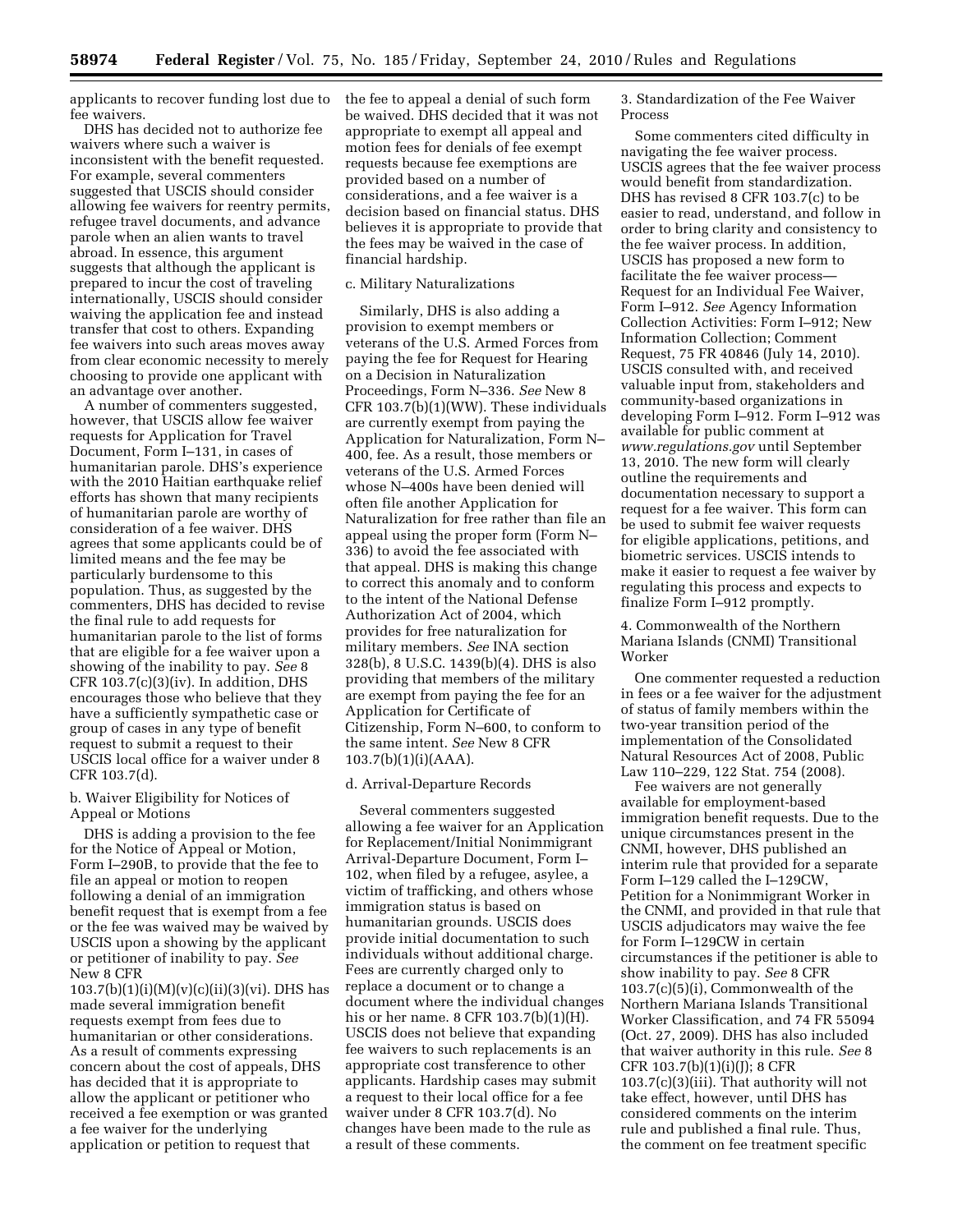applicants to recover funding lost due to fee waivers.

DHS has decided not to authorize fee waivers where such a waiver is inconsistent with the benefit requested. For example, several commenters suggested that USCIS should consider allowing fee waivers for reentry permits, refugee travel documents, and advance parole when an alien wants to travel abroad. In essence, this argument suggests that although the applicant is prepared to incur the cost of traveling internationally, USCIS should consider waiving the application fee and instead transfer that cost to others. Expanding fee waivers into such areas moves away from clear economic necessity to merely choosing to provide one applicant with an advantage over another.

A number of commenters suggested, however, that USCIS allow fee waiver requests for Application for Travel Document, Form I–131, in cases of humanitarian parole. DHS's experience with the 2010 Haitian earthquake relief efforts has shown that many recipients of humanitarian parole are worthy of consideration of a fee waiver. DHS agrees that some applicants could be of limited means and the fee may be particularly burdensome to this population. Thus, as suggested by the commenters, DHS has decided to revise the final rule to add requests for humanitarian parole to the list of forms that are eligible for a fee waiver upon a showing of the inability to pay. *See* 8 CFR  $103.7(c)(3)(iv)$ . In addition, DHS encourages those who believe that they have a sufficiently sympathetic case or group of cases in any type of benefit request to submit a request to their USCIS local office for a waiver under 8 CFR 103.7(d).

# b. Waiver Eligibility for Notices of Appeal or Motions

DHS is adding a provision to the fee for the Notice of Appeal or Motion, Form I–290B, to provide that the fee to file an appeal or motion to reopen following a denial of an immigration benefit request that is exempt from a fee or the fee was waived may be waived by USCIS upon a showing by the applicant or petitioner of inability to pay. *See*  New 8 CFR

 $103.7(b)(1)(i)(M)(v)(c)(ii)(3)(vi)$ . DHS has made several immigration benefit requests exempt from fees due to humanitarian or other considerations. As a result of comments expressing concern about the cost of appeals, DHS has decided that it is appropriate to allow the applicant or petitioner who received a fee exemption or was granted a fee waiver for the underlying application or petition to request that

the fee to appeal a denial of such form be waived. DHS decided that it was not appropriate to exempt all appeal and motion fees for denials of fee exempt requests because fee exemptions are provided based on a number of considerations, and a fee waiver is a decision based on financial status. DHS believes it is appropriate to provide that the fees may be waived in the case of financial hardship.

# c. Military Naturalizations

Similarly, DHS is also adding a provision to exempt members or veterans of the U.S. Armed Forces from paying the fee for Request for Hearing on a Decision in Naturalization Proceedings, Form N–336. *See* New 8 CFR 103.7(b)(1)(WW). These individuals are currently exempt from paying the Application for Naturalization, Form N– 400, fee. As a result, those members or veterans of the U.S. Armed Forces whose N–400s have been denied will often file another Application for Naturalization for free rather than file an appeal using the proper form (Form N– 336) to avoid the fee associated with that appeal. DHS is making this change to correct this anomaly and to conform to the intent of the National Defense Authorization Act of 2004, which provides for free naturalization for military members. *See* INA section 328(b), 8 U.S.C. 1439(b)(4). DHS is also providing that members of the military are exempt from paying the fee for an Application for Certificate of Citizenship, Form N–600, to conform to the same intent. *See* New 8 CFR 103.7(b)(1)(i)(AAA).

#### d. Arrival-Departure Records

Several commenters suggested allowing a fee waiver for an Application for Replacement/Initial Nonimmigrant Arrival-Departure Document, Form I– 102, when filed by a refugee, asylee, a victim of trafficking, and others whose immigration status is based on humanitarian grounds. USCIS does provide initial documentation to such individuals without additional charge. Fees are currently charged only to replace a document or to change a document where the individual changes his or her name. 8 CFR 103.7(b)(1)(H). USCIS does not believe that expanding fee waivers to such replacements is an appropriate cost transference to other applicants. Hardship cases may submit a request to their local office for a fee waiver under 8 CFR 103.7(d). No changes have been made to the rule as a result of these comments.

3. Standardization of the Fee Waiver Process

Some commenters cited difficulty in navigating the fee waiver process. USCIS agrees that the fee waiver process would benefit from standardization. DHS has revised 8 CFR 103.7(c) to be easier to read, understand, and follow in order to bring clarity and consistency to the fee waiver process. In addition, USCIS has proposed a new form to facilitate the fee waiver process— Request for an Individual Fee Waiver, Form I–912. *See* Agency Information Collection Activities: Form I–912; New Information Collection; Comment Request, 75 FR 40846 (July 14, 2010). USCIS consulted with, and received valuable input from, stakeholders and community-based organizations in developing Form I–912. Form I–912 was available for public comment at *[www.regulations.gov](http://www.regulations.gov)* until September 13, 2010. The new form will clearly outline the requirements and documentation necessary to support a request for a fee waiver. This form can be used to submit fee waiver requests for eligible applications, petitions, and biometric services. USCIS intends to make it easier to request a fee waiver by regulating this process and expects to finalize Form I–912 promptly.

4. Commonwealth of the Northern Mariana Islands (CNMI) Transitional Worker

One commenter requested a reduction in fees or a fee waiver for the adjustment of status of family members within the two-year transition period of the implementation of the Consolidated Natural Resources Act of 2008, Public Law 110–229, 122 Stat. 754 (2008).

Fee waivers are not generally available for employment-based immigration benefit requests. Due to the unique circumstances present in the CNMI, however, DHS published an interim rule that provided for a separate Form I–129 called the I–129CW, Petition for a Nonimmigrant Worker in the CNMI, and provided in that rule that USCIS adjudicators may waive the fee for Form I–129CW in certain circumstances if the petitioner is able to show inability to pay. *See* 8 CFR 103.7(c)(5)(i), Commonwealth of the Northern Mariana Islands Transitional Worker Classification, and 74 FR 55094 (Oct. 27, 2009). DHS has also included that waiver authority in this rule. *See* 8 CFR 103.7(b)(1)(i)(J); 8 CFR 103.7(c)(3)(iii). That authority will not take effect, however, until DHS has considered comments on the interim rule and published a final rule. Thus, the comment on fee treatment specific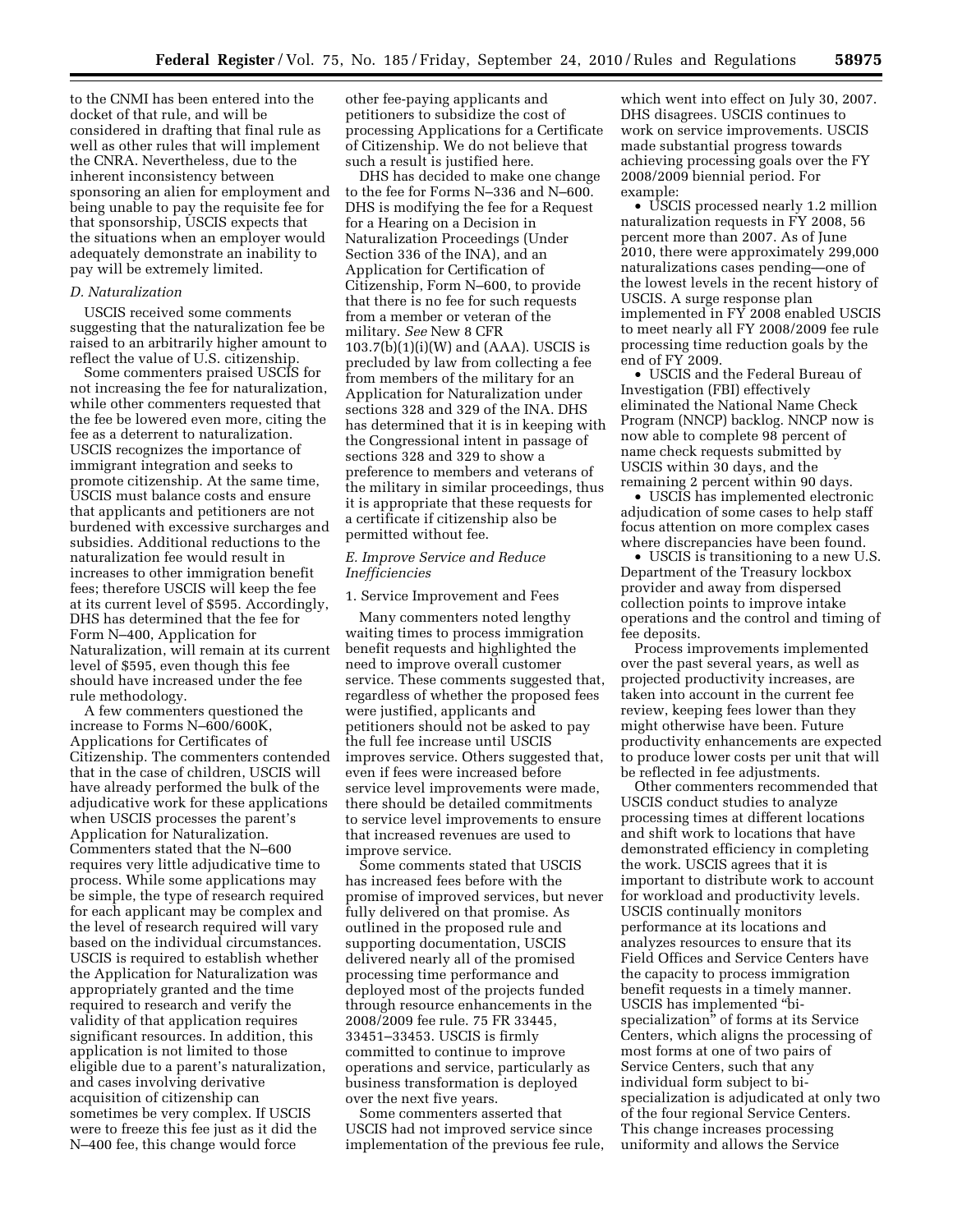to the CNMI has been entered into the docket of that rule, and will be considered in drafting that final rule as well as other rules that will implement the CNRA. Nevertheless, due to the inherent inconsistency between sponsoring an alien for employment and being unable to pay the requisite fee for that sponsorship, USCIS expects that the situations when an employer would adequately demonstrate an inability to pay will be extremely limited.

# *D. Naturalization*

USCIS received some comments suggesting that the naturalization fee be raised to an arbitrarily higher amount to reflect the value of U.S. citizenship.

Some commenters praised USCIS for not increasing the fee for naturalization, while other commenters requested that the fee be lowered even more, citing the fee as a deterrent to naturalization. USCIS recognizes the importance of immigrant integration and seeks to promote citizenship. At the same time, USCIS must balance costs and ensure that applicants and petitioners are not burdened with excessive surcharges and subsidies. Additional reductions to the naturalization fee would result in increases to other immigration benefit fees; therefore USCIS will keep the fee at its current level of \$595. Accordingly, DHS has determined that the fee for Form N–400, Application for Naturalization, will remain at its current level of \$595, even though this fee should have increased under the fee rule methodology.

A few commenters questioned the increase to Forms N–600/600K, Applications for Certificates of Citizenship. The commenters contended that in the case of children, USCIS will have already performed the bulk of the adjudicative work for these applications when USCIS processes the parent's Application for Naturalization. Commenters stated that the N–600 requires very little adjudicative time to process. While some applications may be simple, the type of research required for each applicant may be complex and the level of research required will vary based on the individual circumstances. USCIS is required to establish whether the Application for Naturalization was appropriately granted and the time required to research and verify the validity of that application requires significant resources. In addition, this application is not limited to those eligible due to a parent's naturalization, and cases involving derivative acquisition of citizenship can sometimes be very complex. If USCIS were to freeze this fee just as it did the N–400 fee, this change would force

other fee-paying applicants and petitioners to subsidize the cost of processing Applications for a Certificate of Citizenship. We do not believe that such a result is justified here.

DHS has decided to make one change to the fee for Forms N–336 and N–600. DHS is modifying the fee for a Request for a Hearing on a Decision in Naturalization Proceedings (Under Section 336 of the INA), and an Application for Certification of Citizenship, Form N–600, to provide that there is no fee for such requests from a member or veteran of the military. *See* New 8 CFR  $103.7(b)(1)(i)(W)$  and (AAA). USCIS is precluded by law from collecting a fee from members of the military for an Application for Naturalization under sections 328 and 329 of the INA. DHS has determined that it is in keeping with the Congressional intent in passage of sections 328 and 329 to show a preference to members and veterans of the military in similar proceedings, thus it is appropriate that these requests for a certificate if citizenship also be permitted without fee.

# *E. Improve Service and Reduce Inefficiencies*

1. Service Improvement and Fees

Many commenters noted lengthy waiting times to process immigration benefit requests and highlighted the need to improve overall customer service. These comments suggested that, regardless of whether the proposed fees were justified, applicants and petitioners should not be asked to pay the full fee increase until USCIS improves service. Others suggested that, even if fees were increased before service level improvements were made, there should be detailed commitments to service level improvements to ensure that increased revenues are used to improve service.

Some comments stated that USCIS has increased fees before with the promise of improved services, but never fully delivered on that promise. As outlined in the proposed rule and supporting documentation, USCIS delivered nearly all of the promised processing time performance and deployed most of the projects funded through resource enhancements in the 2008/2009 fee rule. 75 FR 33445, 33451–33453. USCIS is firmly committed to continue to improve operations and service, particularly as business transformation is deployed over the next five years.

Some commenters asserted that USCIS had not improved service since implementation of the previous fee rule,

which went into effect on July 30, 2007. DHS disagrees. USCIS continues to work on service improvements. USCIS made substantial progress towards achieving processing goals over the FY 2008/2009 biennial period. For example:

• USCIS processed nearly 1.2 million naturalization requests in FY 2008, 56 percent more than 2007. As of June 2010, there were approximately 299,000 naturalizations cases pending—one of the lowest levels in the recent history of USCIS. A surge response plan implemented in FY 2008 enabled USCIS to meet nearly all FY 2008/2009 fee rule processing time reduction goals by the end of FY 2009.

• USCIS and the Federal Bureau of Investigation (FBI) effectively eliminated the National Name Check Program (NNCP) backlog. NNCP now is now able to complete 98 percent of name check requests submitted by USCIS within 30 days, and the remaining 2 percent within 90 days.

• USCIS has implemented electronic adjudication of some cases to help staff focus attention on more complex cases where discrepancies have been found.

• USCIS is transitioning to a new U.S. Department of the Treasury lockbox provider and away from dispersed collection points to improve intake operations and the control and timing of fee deposits.

Process improvements implemented over the past several years, as well as projected productivity increases, are taken into account in the current fee review, keeping fees lower than they might otherwise have been. Future productivity enhancements are expected to produce lower costs per unit that will be reflected in fee adjustments.

Other commenters recommended that USCIS conduct studies to analyze processing times at different locations and shift work to locations that have demonstrated efficiency in completing the work. USCIS agrees that it is important to distribute work to account for workload and productivity levels. USCIS continually monitors performance at its locations and analyzes resources to ensure that its Field Offices and Service Centers have the capacity to process immigration benefit requests in a timely manner. USCIS has implemented ''bispecialization'' of forms at its Service Centers, which aligns the processing of most forms at one of two pairs of Service Centers, such that any individual form subject to bispecialization is adjudicated at only two of the four regional Service Centers. This change increases processing uniformity and allows the Service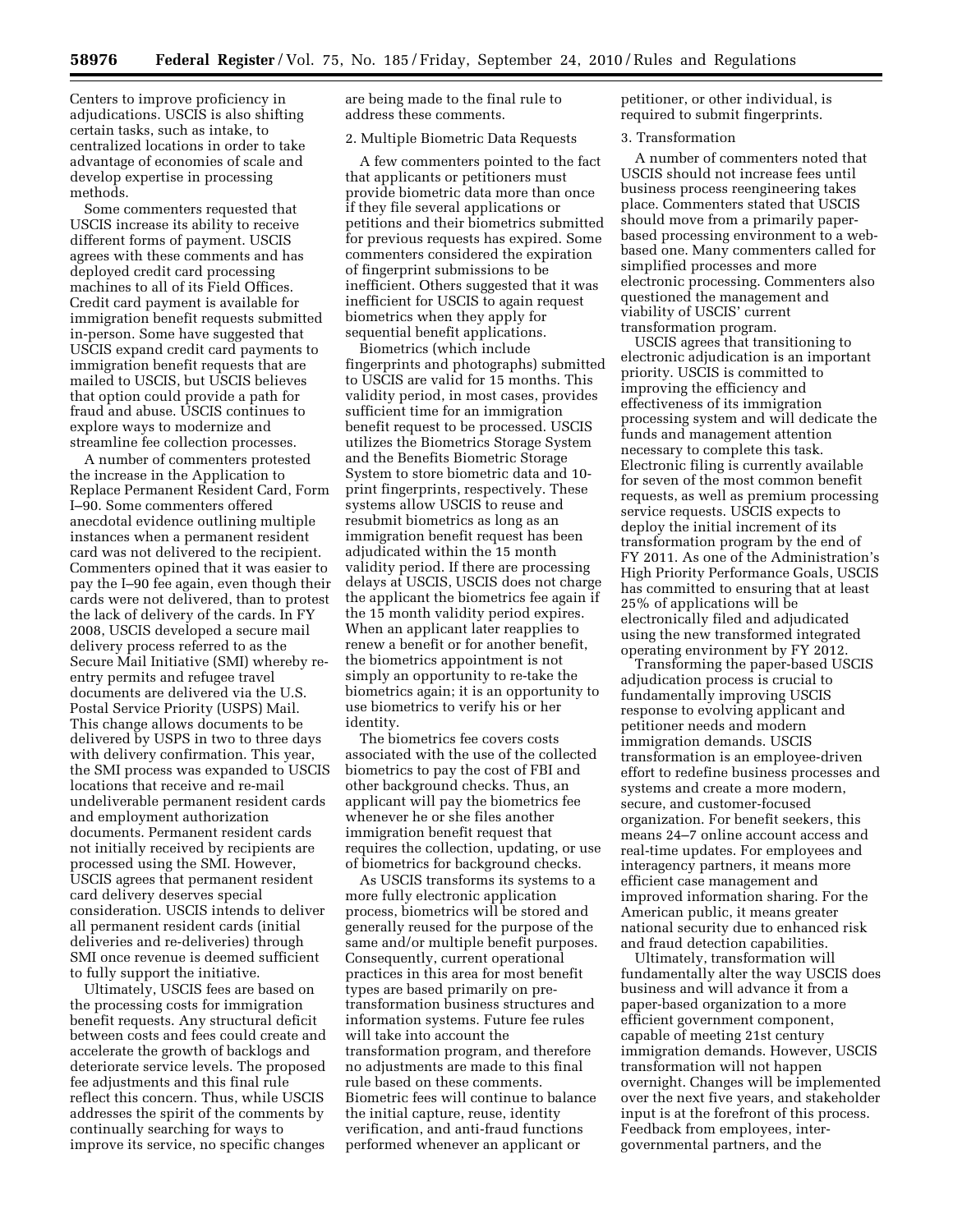Centers to improve proficiency in adjudications. USCIS is also shifting certain tasks, such as intake, to centralized locations in order to take advantage of economies of scale and develop expertise in processing methods.

Some commenters requested that USCIS increase its ability to receive different forms of payment. USCIS agrees with these comments and has deployed credit card processing machines to all of its Field Offices. Credit card payment is available for immigration benefit requests submitted in-person. Some have suggested that USCIS expand credit card payments to immigration benefit requests that are mailed to USCIS, but USCIS believes that option could provide a path for fraud and abuse. USCIS continues to explore ways to modernize and streamline fee collection processes.

A number of commenters protested the increase in the Application to Replace Permanent Resident Card, Form I–90. Some commenters offered anecdotal evidence outlining multiple instances when a permanent resident card was not delivered to the recipient. Commenters opined that it was easier to pay the I–90 fee again, even though their cards were not delivered, than to protest the lack of delivery of the cards. In FY 2008, USCIS developed a secure mail delivery process referred to as the Secure Mail Initiative (SMI) whereby reentry permits and refugee travel documents are delivered via the U.S. Postal Service Priority (USPS) Mail. This change allows documents to be delivered by USPS in two to three days with delivery confirmation. This year, the SMI process was expanded to USCIS locations that receive and re-mail undeliverable permanent resident cards and employment authorization documents. Permanent resident cards not initially received by recipients are processed using the SMI. However, USCIS agrees that permanent resident card delivery deserves special consideration. USCIS intends to deliver all permanent resident cards (initial deliveries and re-deliveries) through SMI once revenue is deemed sufficient to fully support the initiative.

Ultimately, USCIS fees are based on the processing costs for immigration benefit requests. Any structural deficit between costs and fees could create and accelerate the growth of backlogs and deteriorate service levels. The proposed fee adjustments and this final rule reflect this concern. Thus, while USCIS addresses the spirit of the comments by continually searching for ways to improve its service, no specific changes

are being made to the final rule to address these comments.

#### 2. Multiple Biometric Data Requests

A few commenters pointed to the fact that applicants or petitioners must provide biometric data more than once if they file several applications or petitions and their biometrics submitted for previous requests has expired. Some commenters considered the expiration of fingerprint submissions to be inefficient. Others suggested that it was inefficient for USCIS to again request biometrics when they apply for sequential benefit applications.

Biometrics (which include fingerprints and photographs) submitted to USCIS are valid for 15 months. This validity period, in most cases, provides sufficient time for an immigration benefit request to be processed. USCIS utilizes the Biometrics Storage System and the Benefits Biometric Storage System to store biometric data and 10 print fingerprints, respectively. These systems allow USCIS to reuse and resubmit biometrics as long as an immigration benefit request has been adjudicated within the 15 month validity period. If there are processing delays at USCIS, USCIS does not charge the applicant the biometrics fee again if the 15 month validity period expires. When an applicant later reapplies to renew a benefit or for another benefit, the biometrics appointment is not simply an opportunity to re-take the biometrics again; it is an opportunity to use biometrics to verify his or her identity.

The biometrics fee covers costs associated with the use of the collected biometrics to pay the cost of FBI and other background checks. Thus, an applicant will pay the biometrics fee whenever he or she files another immigration benefit request that requires the collection, updating, or use of biometrics for background checks.

As USCIS transforms its systems to a more fully electronic application process, biometrics will be stored and generally reused for the purpose of the same and/or multiple benefit purposes. Consequently, current operational practices in this area for most benefit types are based primarily on pretransformation business structures and information systems. Future fee rules will take into account the transformation program, and therefore no adjustments are made to this final rule based on these comments. Biometric fees will continue to balance the initial capture, reuse, identity verification, and anti-fraud functions performed whenever an applicant or

petitioner, or other individual, is required to submit fingerprints.

#### 3. Transformation

A number of commenters noted that USCIS should not increase fees until business process reengineering takes place. Commenters stated that USCIS should move from a primarily paperbased processing environment to a webbased one. Many commenters called for simplified processes and more electronic processing. Commenters also questioned the management and viability of USCIS' current transformation program.

USCIS agrees that transitioning to electronic adjudication is an important priority. USCIS is committed to improving the efficiency and effectiveness of its immigration processing system and will dedicate the funds and management attention necessary to complete this task. Electronic filing is currently available for seven of the most common benefit requests, as well as premium processing service requests. USCIS expects to deploy the initial increment of its transformation program by the end of FY 2011. As one of the Administration's High Priority Performance Goals, USCIS has committed to ensuring that at least 25% of applications will be electronically filed and adjudicated using the new transformed integrated operating environment by FY 2012.

Transforming the paper-based USCIS adjudication process is crucial to fundamentally improving USCIS response to evolving applicant and petitioner needs and modern immigration demands. USCIS transformation is an employee-driven effort to redefine business processes and systems and create a more modern, secure, and customer-focused organization. For benefit seekers, this means 24–7 online account access and real-time updates. For employees and interagency partners, it means more efficient case management and improved information sharing. For the American public, it means greater national security due to enhanced risk and fraud detection capabilities.

Ultimately, transformation will fundamentally alter the way USCIS does business and will advance it from a paper-based organization to a more efficient government component, capable of meeting 21st century immigration demands. However, USCIS transformation will not happen overnight. Changes will be implemented over the next five years, and stakeholder input is at the forefront of this process. Feedback from employees, intergovernmental partners, and the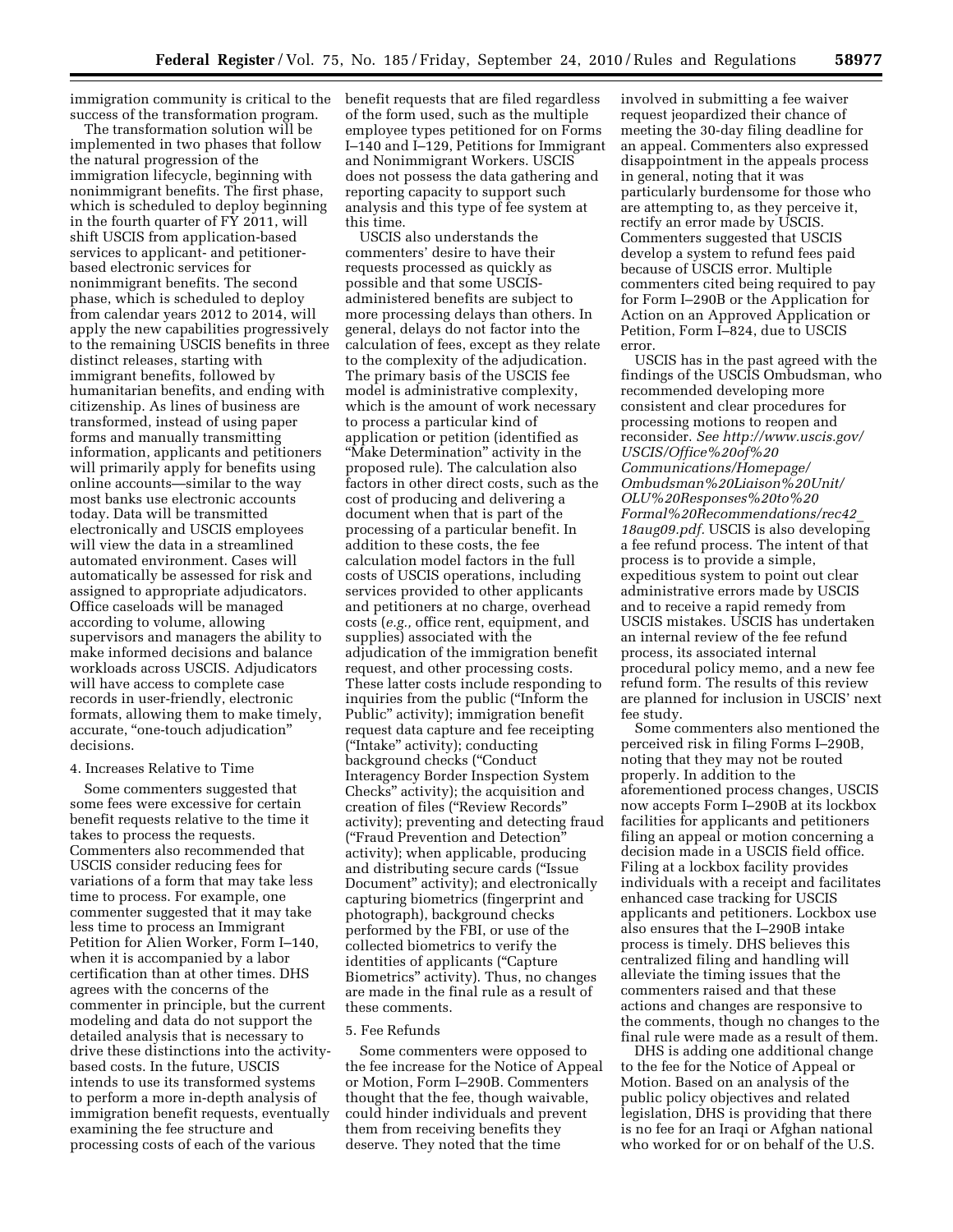immigration community is critical to the success of the transformation program.

The transformation solution will be implemented in two phases that follow the natural progression of the immigration lifecycle, beginning with nonimmigrant benefits. The first phase, which is scheduled to deploy beginning in the fourth quarter of FY 2011, will shift USCIS from application-based services to applicant- and petitionerbased electronic services for nonimmigrant benefits. The second phase, which is scheduled to deploy from calendar years 2012 to 2014, will apply the new capabilities progressively to the remaining USCIS benefits in three distinct releases, starting with immigrant benefits, followed by humanitarian benefits, and ending with citizenship. As lines of business are transformed, instead of using paper forms and manually transmitting information, applicants and petitioners will primarily apply for benefits using online accounts—similar to the way most banks use electronic accounts today. Data will be transmitted electronically and USCIS employees will view the data in a streamlined automated environment. Cases will automatically be assessed for risk and assigned to appropriate adjudicators. Office caseloads will be managed according to volume, allowing supervisors and managers the ability to make informed decisions and balance workloads across USCIS. Adjudicators will have access to complete case records in user-friendly, electronic formats, allowing them to make timely, accurate, ''one-touch adjudication'' decisions.

# 4. Increases Relative to Time

Some commenters suggested that some fees were excessive for certain benefit requests relative to the time it takes to process the requests. Commenters also recommended that USCIS consider reducing fees for variations of a form that may take less time to process. For example, one commenter suggested that it may take less time to process an Immigrant Petition for Alien Worker, Form I–140, when it is accompanied by a labor certification than at other times. DHS agrees with the concerns of the commenter in principle, but the current modeling and data do not support the detailed analysis that is necessary to drive these distinctions into the activitybased costs. In the future, USCIS intends to use its transformed systems to perform a more in-depth analysis of immigration benefit requests, eventually examining the fee structure and processing costs of each of the various

benefit requests that are filed regardless of the form used, such as the multiple employee types petitioned for on Forms I–140 and I–129, Petitions for Immigrant and Nonimmigrant Workers. USCIS does not possess the data gathering and reporting capacity to support such analysis and this type of fee system at this time.

USCIS also understands the commenters' desire to have their requests processed as quickly as possible and that some USCISadministered benefits are subject to more processing delays than others. In general, delays do not factor into the calculation of fees, except as they relate to the complexity of the adjudication. The primary basis of the USCIS fee model is administrative complexity, which is the amount of work necessary to process a particular kind of application or petition (identified as ''Make Determination'' activity in the proposed rule). The calculation also factors in other direct costs, such as the cost of producing and delivering a document when that is part of the processing of a particular benefit. In addition to these costs, the fee calculation model factors in the full costs of USCIS operations, including services provided to other applicants and petitioners at no charge, overhead costs (*e.g.,* office rent, equipment, and supplies) associated with the adjudication of the immigration benefit request, and other processing costs. These latter costs include responding to inquiries from the public (''Inform the Public'' activity); immigration benefit request data capture and fee receipting (''Intake'' activity); conducting background checks (''Conduct Interagency Border Inspection System Checks'' activity); the acquisition and creation of files (''Review Records'' activity); preventing and detecting fraud (''Fraud Prevention and Detection'' activity); when applicable, producing and distributing secure cards (''Issue Document'' activity); and electronically capturing biometrics (fingerprint and photograph), background checks performed by the FBI, or use of the collected biometrics to verify the identities of applicants (''Capture Biometrics'' activity). Thus, no changes are made in the final rule as a result of these comments.

#### 5. Fee Refunds

Some commenters were opposed to the fee increase for the Notice of Appeal or Motion, Form I–290B. Commenters thought that the fee, though waivable, could hinder individuals and prevent them from receiving benefits they deserve. They noted that the time

involved in submitting a fee waiver request jeopardized their chance of meeting the 30-day filing deadline for an appeal. Commenters also expressed disappointment in the appeals process in general, noting that it was particularly burdensome for those who are attempting to, as they perceive it, rectify an error made by USCIS. Commenters suggested that USCIS develop a system to refund fees paid because of USCIS error. Multiple commenters cited being required to pay for Form I–290B or the Application for Action on an Approved Application or Petition, Form I–824, due to USCIS error.

USCIS has in the past agreed with the findings of the USCIS Ombudsman, who recommended developing more consistent and clear procedures for processing motions to reopen and reconsider. *See [http://www.uscis.gov/](http://www.uscis.gov/USCIS/Office%20of%20Communications/Homepage/Ombudsman%20Liaison%20Unit/OLU%20Responses%20to%20Formal%20Recommendations/rec42_18aug09.pdf) [USCIS/Office%20of%20](http://www.uscis.gov/USCIS/Office%20of%20Communications/Homepage/Ombudsman%20Liaison%20Unit/OLU%20Responses%20to%20Formal%20Recommendations/rec42_18aug09.pdf) [Communications/Homepage/](http://www.uscis.gov/USCIS/Office%20of%20Communications/Homepage/Ombudsman%20Liaison%20Unit/OLU%20Responses%20to%20Formal%20Recommendations/rec42_18aug09.pdf) [Ombudsman%20Liaison%20Unit/](http://www.uscis.gov/USCIS/Office%20of%20Communications/Homepage/Ombudsman%20Liaison%20Unit/OLU%20Responses%20to%20Formal%20Recommendations/rec42_18aug09.pdf) [OLU%20Responses%20to%20](http://www.uscis.gov/USCIS/Office%20of%20Communications/Homepage/Ombudsman%20Liaison%20Unit/OLU%20Responses%20to%20Formal%20Recommendations/rec42_18aug09.pdf) [Formal%20Recommendations/rec42](http://www.uscis.gov/USCIS/Office%20of%20Communications/Homepage/Ombudsman%20Liaison%20Unit/OLU%20Responses%20to%20Formal%20Recommendations/rec42_18aug09.pdf)*\_ *[18aug09.pdf.](http://www.uscis.gov/USCIS/Office%20of%20Communications/Homepage/Ombudsman%20Liaison%20Unit/OLU%20Responses%20to%20Formal%20Recommendations/rec42_18aug09.pdf)* USCIS is also developing a fee refund process. The intent of that process is to provide a simple, expeditious system to point out clear administrative errors made by USCIS and to receive a rapid remedy from USCIS mistakes. USCIS has undertaken an internal review of the fee refund process, its associated internal procedural policy memo, and a new fee refund form. The results of this review are planned for inclusion in USCIS' next fee study.

Some commenters also mentioned the perceived risk in filing Forms I–290B, noting that they may not be routed properly. In addition to the aforementioned process changes, USCIS now accepts Form I–290B at its lockbox facilities for applicants and petitioners filing an appeal or motion concerning a decision made in a USCIS field office. Filing at a lockbox facility provides individuals with a receipt and facilitates enhanced case tracking for USCIS applicants and petitioners. Lockbox use also ensures that the I–290B intake process is timely. DHS believes this centralized filing and handling will alleviate the timing issues that the commenters raised and that these actions and changes are responsive to the comments, though no changes to the final rule were made as a result of them.

DHS is adding one additional change to the fee for the Notice of Appeal or Motion. Based on an analysis of the public policy objectives and related legislation, DHS is providing that there is no fee for an Iraqi or Afghan national who worked for or on behalf of the U.S.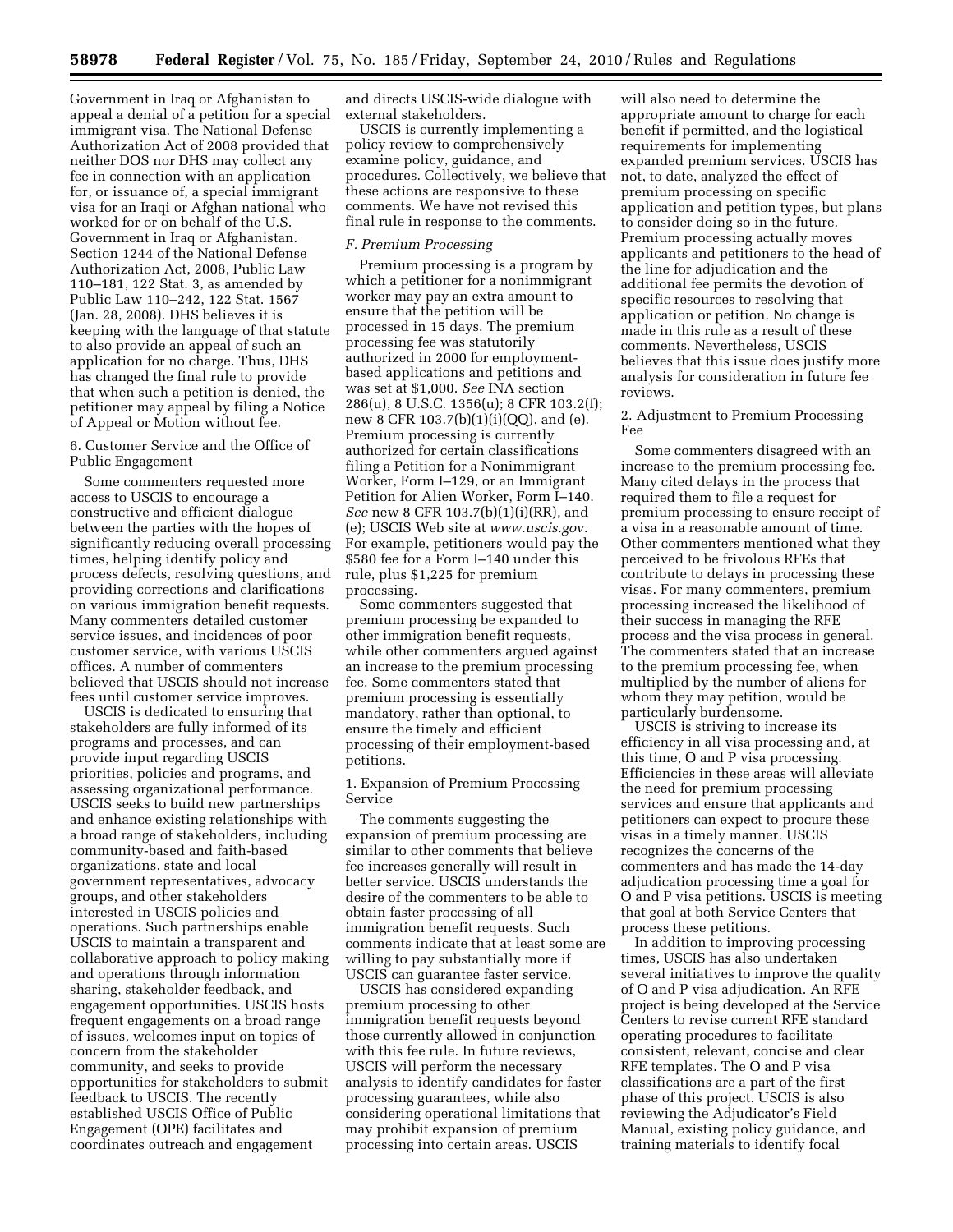Government in Iraq or Afghanistan to appeal a denial of a petition for a special immigrant visa. The National Defense Authorization Act of 2008 provided that neither DOS nor DHS may collect any fee in connection with an application for, or issuance of, a special immigrant visa for an Iraqi or Afghan national who worked for or on behalf of the U.S. Government in Iraq or Afghanistan. Section 1244 of the National Defense Authorization Act, 2008, Public Law 110–181, 122 Stat. 3, as amended by Public Law 110–242, 122 Stat. 1567 (Jan. 28, 2008). DHS believes it is keeping with the language of that statute to also provide an appeal of such an application for no charge. Thus, DHS has changed the final rule to provide that when such a petition is denied, the petitioner may appeal by filing a Notice of Appeal or Motion without fee.

# 6. Customer Service and the Office of Public Engagement

Some commenters requested more access to USCIS to encourage a constructive and efficient dialogue between the parties with the hopes of significantly reducing overall processing times, helping identify policy and process defects, resolving questions, and providing corrections and clarifications on various immigration benefit requests. Many commenters detailed customer service issues, and incidences of poor customer service, with various USCIS offices. A number of commenters believed that USCIS should not increase fees until customer service improves.

USCIS is dedicated to ensuring that stakeholders are fully informed of its programs and processes, and can provide input regarding USCIS priorities, policies and programs, and assessing organizational performance. USCIS seeks to build new partnerships and enhance existing relationships with a broad range of stakeholders, including community-based and faith-based organizations, state and local government representatives, advocacy groups, and other stakeholders interested in USCIS policies and operations. Such partnerships enable USCIS to maintain a transparent and collaborative approach to policy making and operations through information sharing, stakeholder feedback, and engagement opportunities. USCIS hosts frequent engagements on a broad range of issues, welcomes input on topics of concern from the stakeholder community, and seeks to provide opportunities for stakeholders to submit feedback to USCIS. The recently established USCIS Office of Public Engagement (OPE) facilitates and coordinates outreach and engagement

and directs USCIS-wide dialogue with external stakeholders.

USCIS is currently implementing a policy review to comprehensively examine policy, guidance, and procedures. Collectively, we believe that these actions are responsive to these comments. We have not revised this final rule in response to the comments.

# *F. Premium Processing*

Premium processing is a program by which a petitioner for a nonimmigrant worker may pay an extra amount to ensure that the petition will be processed in 15 days. The premium processing fee was statutorily authorized in 2000 for employmentbased applications and petitions and was set at \$1,000. *See* INA section 286(u), 8 U.S.C. 1356(u); 8 CFR 103.2(f); new 8 CFR 103.7(b)(1)(i)(QQ), and (e). Premium processing is currently authorized for certain classifications filing a Petition for a Nonimmigrant Worker, Form I–129, or an Immigrant Petition for Alien Worker, Form I–140. *See* new 8 CFR 103.7(b)(1)(i)(RR), and (e); USCIS Web site at *[www.uscis.gov.](http://www.uscis.gov)*  For example, petitioners would pay the \$580 fee for a Form I–140 under this rule, plus \$1,225 for premium processing.

Some commenters suggested that premium processing be expanded to other immigration benefit requests, while other commenters argued against an increase to the premium processing fee. Some commenters stated that premium processing is essentially mandatory, rather than optional, to ensure the timely and efficient processing of their employment-based petitions.

1. Expansion of Premium Processing Service

The comments suggesting the expansion of premium processing are similar to other comments that believe fee increases generally will result in better service. USCIS understands the desire of the commenters to be able to obtain faster processing of all immigration benefit requests. Such comments indicate that at least some are willing to pay substantially more if USCIS can guarantee faster service.

USCIS has considered expanding premium processing to other immigration benefit requests beyond those currently allowed in conjunction with this fee rule. In future reviews, USCIS will perform the necessary analysis to identify candidates for faster processing guarantees, while also considering operational limitations that may prohibit expansion of premium processing into certain areas. USCIS

will also need to determine the appropriate amount to charge for each benefit if permitted, and the logistical requirements for implementing expanded premium services. USCIS has not, to date, analyzed the effect of premium processing on specific application and petition types, but plans to consider doing so in the future. Premium processing actually moves applicants and petitioners to the head of the line for adjudication and the additional fee permits the devotion of specific resources to resolving that application or petition. No change is made in this rule as a result of these comments. Nevertheless, USCIS believes that this issue does justify more analysis for consideration in future fee reviews.

#### 2. Adjustment to Premium Processing Fee

Some commenters disagreed with an increase to the premium processing fee. Many cited delays in the process that required them to file a request for premium processing to ensure receipt of a visa in a reasonable amount of time. Other commenters mentioned what they perceived to be frivolous RFEs that contribute to delays in processing these visas. For many commenters, premium processing increased the likelihood of their success in managing the RFE process and the visa process in general. The commenters stated that an increase to the premium processing fee, when multiplied by the number of aliens for whom they may petition, would be particularly burdensome.

USCIS is striving to increase its efficiency in all visa processing and, at this time, O and P visa processing. Efficiencies in these areas will alleviate the need for premium processing services and ensure that applicants and petitioners can expect to procure these visas in a timely manner. USCIS recognizes the concerns of the commenters and has made the 14-day adjudication processing time a goal for O and P visa petitions. USCIS is meeting that goal at both Service Centers that process these petitions.

In addition to improving processing times, USCIS has also undertaken several initiatives to improve the quality of O and P visa adjudication. An RFE project is being developed at the Service Centers to revise current RFE standard operating procedures to facilitate consistent, relevant, concise and clear RFE templates. The O and P visa classifications are a part of the first phase of this project. USCIS is also reviewing the Adjudicator's Field Manual, existing policy guidance, and training materials to identify focal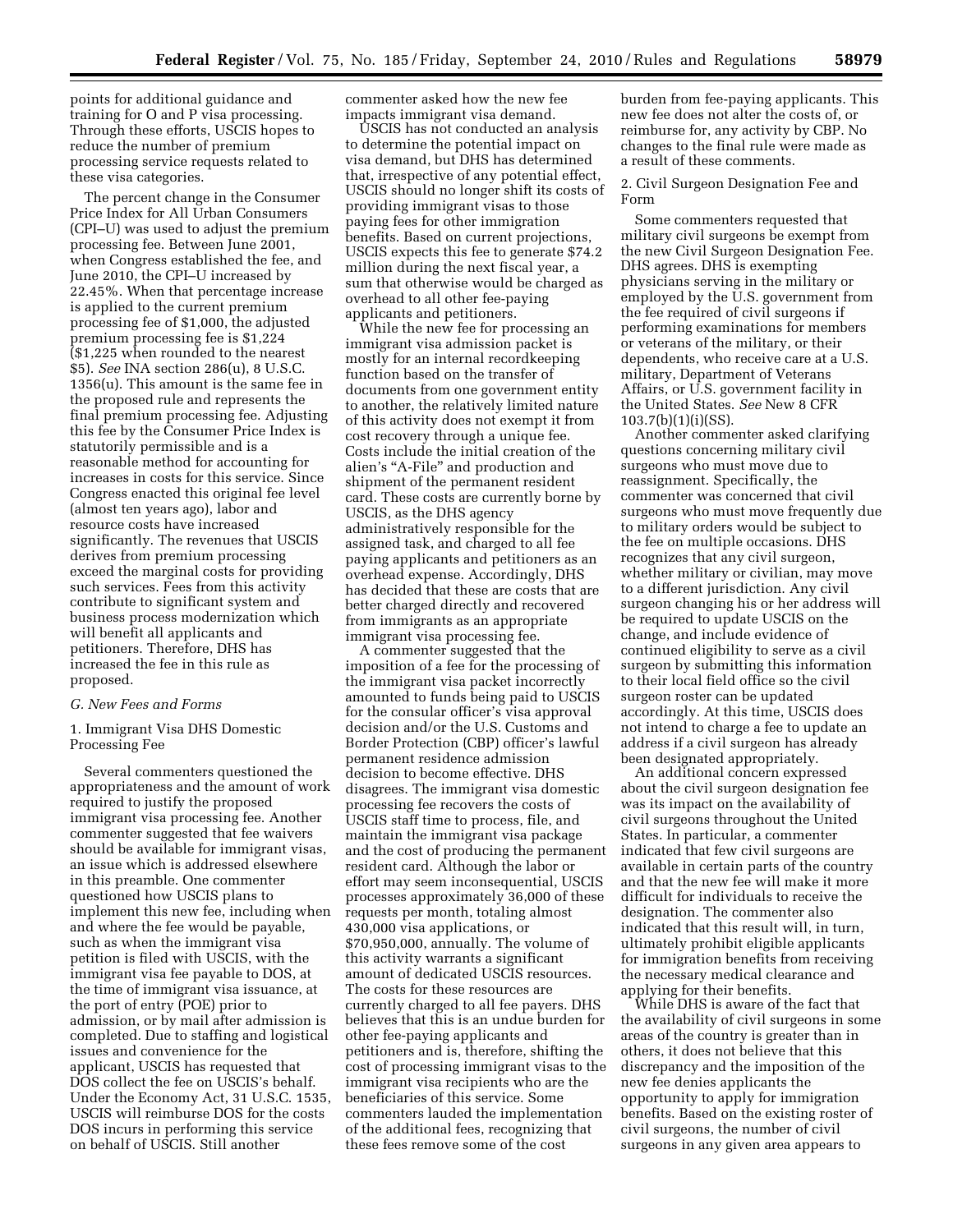points for additional guidance and training for O and P visa processing. Through these efforts, USCIS hopes to reduce the number of premium processing service requests related to these visa categories.

The percent change in the Consumer Price Index for All Urban Consumers (CPI–U) was used to adjust the premium processing fee. Between June 2001, when Congress established the fee, and June 2010, the CPI–U increased by 22.45%. When that percentage increase is applied to the current premium processing fee of \$1,000, the adjusted premium processing fee is \$1,224 (\$1,225 when rounded to the nearest \$5). *See* INA section 286(u), 8 U.S.C. 1356(u). This amount is the same fee in the proposed rule and represents the final premium processing fee. Adjusting this fee by the Consumer Price Index is statutorily permissible and is a reasonable method for accounting for increases in costs for this service. Since Congress enacted this original fee level (almost ten years ago), labor and resource costs have increased significantly. The revenues that USCIS derives from premium processing exceed the marginal costs for providing such services. Fees from this activity contribute to significant system and business process modernization which will benefit all applicants and petitioners. Therefore, DHS has increased the fee in this rule as proposed.

#### *G. New Fees and Forms*

1. Immigrant Visa DHS Domestic Processing Fee

Several commenters questioned the appropriateness and the amount of work required to justify the proposed immigrant visa processing fee. Another commenter suggested that fee waivers should be available for immigrant visas, an issue which is addressed elsewhere in this preamble. One commenter questioned how USCIS plans to implement this new fee, including when and where the fee would be payable, such as when the immigrant visa petition is filed with USCIS, with the immigrant visa fee payable to DOS, at the time of immigrant visa issuance, at the port of entry (POE) prior to admission, or by mail after admission is completed. Due to staffing and logistical issues and convenience for the applicant, USCIS has requested that DOS collect the fee on USCIS's behalf. Under the Economy Act, 31 U.S.C. 1535, USCIS will reimburse DOS for the costs DOS incurs in performing this service on behalf of USCIS. Still another

commenter asked how the new fee impacts immigrant visa demand.

USCIS has not conducted an analysis to determine the potential impact on visa demand, but DHS has determined that, irrespective of any potential effect, USCIS should no longer shift its costs of providing immigrant visas to those paying fees for other immigration benefits. Based on current projections, USCIS expects this fee to generate \$74.2 million during the next fiscal year, a sum that otherwise would be charged as overhead to all other fee-paying applicants and petitioners.

While the new fee for processing an immigrant visa admission packet is mostly for an internal recordkeeping function based on the transfer of documents from one government entity to another, the relatively limited nature of this activity does not exempt it from cost recovery through a unique fee. Costs include the initial creation of the alien's "A-File" and production and shipment of the permanent resident card. These costs are currently borne by USCIS, as the DHS agency administratively responsible for the assigned task, and charged to all fee paying applicants and petitioners as an overhead expense. Accordingly, DHS has decided that these are costs that are better charged directly and recovered from immigrants as an appropriate immigrant visa processing fee.

A commenter suggested that the imposition of a fee for the processing of the immigrant visa packet incorrectly amounted to funds being paid to USCIS for the consular officer's visa approval decision and/or the U.S. Customs and Border Protection (CBP) officer's lawful permanent residence admission decision to become effective. DHS disagrees. The immigrant visa domestic processing fee recovers the costs of USCIS staff time to process, file, and maintain the immigrant visa package and the cost of producing the permanent resident card. Although the labor or effort may seem inconsequential, USCIS processes approximately 36,000 of these requests per month, totaling almost 430,000 visa applications, or \$70,950,000, annually. The volume of this activity warrants a significant amount of dedicated USCIS resources. The costs for these resources are currently charged to all fee payers. DHS believes that this is an undue burden for other fee-paying applicants and petitioners and is, therefore, shifting the cost of processing immigrant visas to the immigrant visa recipients who are the beneficiaries of this service. Some commenters lauded the implementation of the additional fees, recognizing that these fees remove some of the cost

burden from fee-paying applicants. This new fee does not alter the costs of, or reimburse for, any activity by CBP. No changes to the final rule were made as a result of these comments.

2. Civil Surgeon Designation Fee and Form

Some commenters requested that military civil surgeons be exempt from the new Civil Surgeon Designation Fee. DHS agrees. DHS is exempting physicians serving in the military or employed by the U.S. government from the fee required of civil surgeons if performing examinations for members or veterans of the military, or their dependents, who receive care at a U.S. military, Department of Veterans Affairs, or U.S. government facility in the United States. *See* New 8 CFR 103.7(b)(1)(i)(SS).

Another commenter asked clarifying questions concerning military civil surgeons who must move due to reassignment. Specifically, the commenter was concerned that civil surgeons who must move frequently due to military orders would be subject to the fee on multiple occasions. DHS recognizes that any civil surgeon, whether military or civilian, may move to a different jurisdiction. Any civil surgeon changing his or her address will be required to update USCIS on the change, and include evidence of continued eligibility to serve as a civil surgeon by submitting this information to their local field office so the civil surgeon roster can be updated accordingly. At this time, USCIS does not intend to charge a fee to update an address if a civil surgeon has already been designated appropriately.

An additional concern expressed about the civil surgeon designation fee was its impact on the availability of civil surgeons throughout the United States. In particular, a commenter indicated that few civil surgeons are available in certain parts of the country and that the new fee will make it more difficult for individuals to receive the designation. The commenter also indicated that this result will, in turn, ultimately prohibit eligible applicants for immigration benefits from receiving the necessary medical clearance and applying for their benefits.

While DHS is aware of the fact that the availability of civil surgeons in some areas of the country is greater than in others, it does not believe that this discrepancy and the imposition of the new fee denies applicants the opportunity to apply for immigration benefits. Based on the existing roster of civil surgeons, the number of civil surgeons in any given area appears to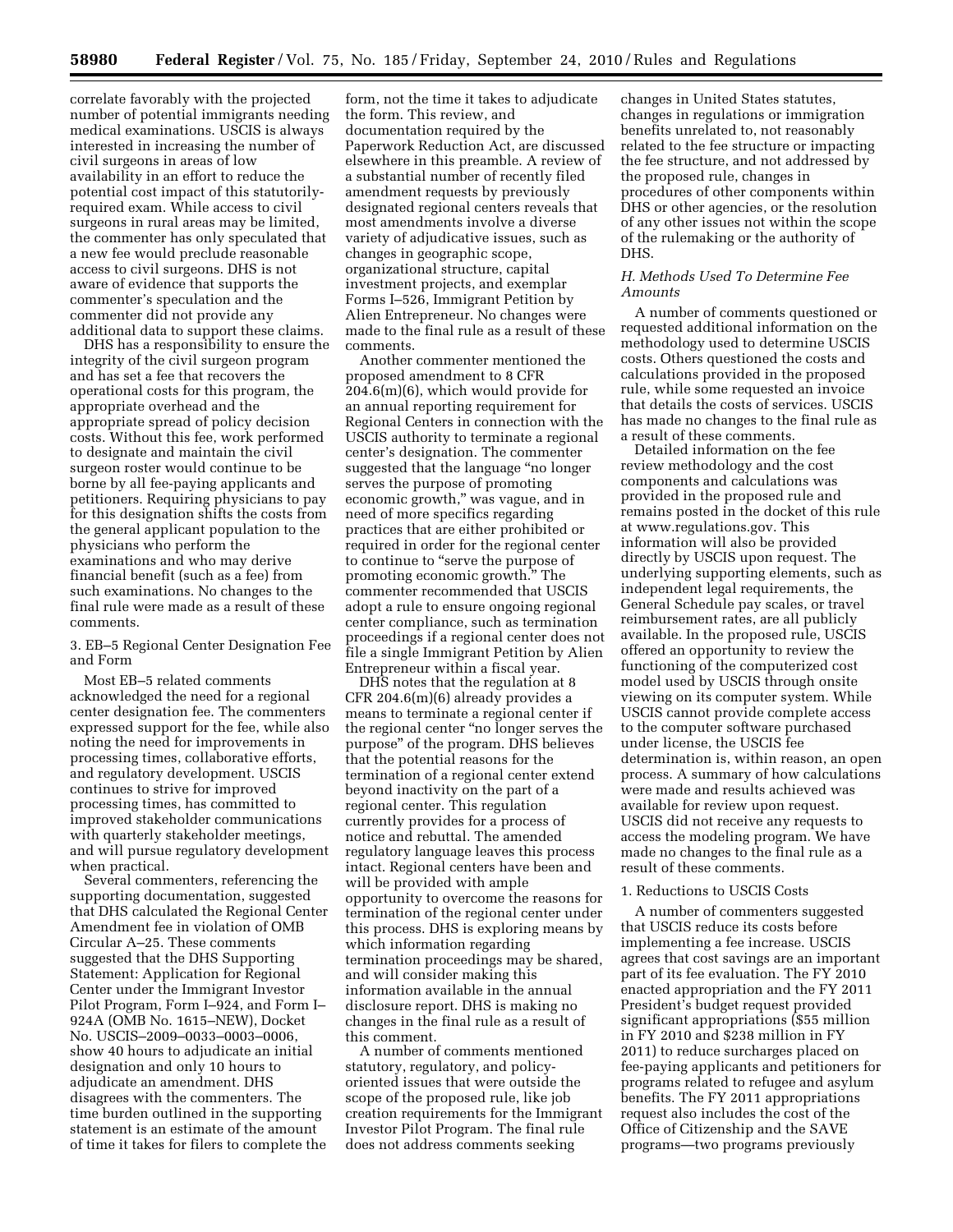correlate favorably with the projected number of potential immigrants needing medical examinations. USCIS is always interested in increasing the number of civil surgeons in areas of low availability in an effort to reduce the potential cost impact of this statutorilyrequired exam. While access to civil surgeons in rural areas may be limited, the commenter has only speculated that a new fee would preclude reasonable access to civil surgeons. DHS is not aware of evidence that supports the commenter's speculation and the commenter did not provide any additional data to support these claims.

DHS has a responsibility to ensure the integrity of the civil surgeon program and has set a fee that recovers the operational costs for this program, the appropriate overhead and the appropriate spread of policy decision costs. Without this fee, work performed to designate and maintain the civil surgeon roster would continue to be borne by all fee-paying applicants and petitioners. Requiring physicians to pay for this designation shifts the costs from the general applicant population to the physicians who perform the examinations and who may derive financial benefit (such as a fee) from such examinations. No changes to the final rule were made as a result of these comments.

3. EB–5 Regional Center Designation Fee and Form

Most EB–5 related comments acknowledged the need for a regional center designation fee. The commenters expressed support for the fee, while also noting the need for improvements in processing times, collaborative efforts, and regulatory development. USCIS continues to strive for improved processing times, has committed to improved stakeholder communications with quarterly stakeholder meetings, and will pursue regulatory development when practical.

Several commenters, referencing the supporting documentation, suggested that DHS calculated the Regional Center Amendment fee in violation of OMB Circular A–25. These comments suggested that the DHS Supporting Statement: Application for Regional Center under the Immigrant Investor Pilot Program, Form I–924, and Form I– 924A (OMB No. 1615–NEW), Docket No. USCIS–2009–0033–0003–0006, show 40 hours to adjudicate an initial designation and only 10 hours to adjudicate an amendment. DHS disagrees with the commenters. The time burden outlined in the supporting statement is an estimate of the amount of time it takes for filers to complete the

form, not the time it takes to adjudicate the form. This review, and documentation required by the Paperwork Reduction Act, are discussed elsewhere in this preamble. A review of a substantial number of recently filed amendment requests by previously designated regional centers reveals that most amendments involve a diverse variety of adjudicative issues, such as changes in geographic scope, organizational structure, capital investment projects, and exemplar Forms I–526, Immigrant Petition by Alien Entrepreneur. No changes were made to the final rule as a result of these comments.

Another commenter mentioned the proposed amendment to 8 CFR 204.6(m)(6), which would provide for an annual reporting requirement for Regional Centers in connection with the USCIS authority to terminate a regional center's designation. The commenter suggested that the language ''no longer serves the purpose of promoting economic growth,'' was vague, and in need of more specifics regarding practices that are either prohibited or required in order for the regional center to continue to ''serve the purpose of promoting economic growth.'' The commenter recommended that USCIS adopt a rule to ensure ongoing regional center compliance, such as termination proceedings if a regional center does not file a single Immigrant Petition by Alien Entrepreneur within a fiscal year.

DHS notes that the regulation at 8 CFR 204.6(m)(6) already provides a means to terminate a regional center if the regional center ''no longer serves the purpose'' of the program. DHS believes that the potential reasons for the termination of a regional center extend beyond inactivity on the part of a regional center. This regulation currently provides for a process of notice and rebuttal. The amended regulatory language leaves this process intact. Regional centers have been and will be provided with ample opportunity to overcome the reasons for termination of the regional center under this process. DHS is exploring means by which information regarding termination proceedings may be shared, and will consider making this information available in the annual disclosure report. DHS is making no changes in the final rule as a result of this comment.

A number of comments mentioned statutory, regulatory, and policyoriented issues that were outside the scope of the proposed rule, like job creation requirements for the Immigrant Investor Pilot Program. The final rule does not address comments seeking

changes in United States statutes, changes in regulations or immigration benefits unrelated to, not reasonably related to the fee structure or impacting the fee structure, and not addressed by the proposed rule, changes in procedures of other components within DHS or other agencies, or the resolution of any other issues not within the scope of the rulemaking or the authority of DHS.

# *H. Methods Used To Determine Fee Amounts*

A number of comments questioned or requested additional information on the methodology used to determine USCIS costs. Others questioned the costs and calculations provided in the proposed rule, while some requested an invoice that details the costs of services. USCIS has made no changes to the final rule as a result of these comments.

Detailed information on the fee review methodology and the cost components and calculations was provided in the proposed rule and remains posted in the docket of this rule at [www.regulations.gov.](http://www.regulations.gov) This information will also be provided directly by USCIS upon request. The underlying supporting elements, such as independent legal requirements, the General Schedule pay scales, or travel reimbursement rates, are all publicly available. In the proposed rule, USCIS offered an opportunity to review the functioning of the computerized cost model used by USCIS through onsite viewing on its computer system. While USCIS cannot provide complete access to the computer software purchased under license, the USCIS fee determination is, within reason, an open process. A summary of how calculations were made and results achieved was available for review upon request. USCIS did not receive any requests to access the modeling program. We have made no changes to the final rule as a result of these comments.

#### 1. Reductions to USCIS Costs

A number of commenters suggested that USCIS reduce its costs before implementing a fee increase. USCIS agrees that cost savings are an important part of its fee evaluation. The FY 2010 enacted appropriation and the FY 2011 President's budget request provided significant appropriations (\$55 million in FY 2010 and \$238 million in FY 2011) to reduce surcharges placed on fee-paying applicants and petitioners for programs related to refugee and asylum benefits. The FY 2011 appropriations request also includes the cost of the Office of Citizenship and the SAVE programs—two programs previously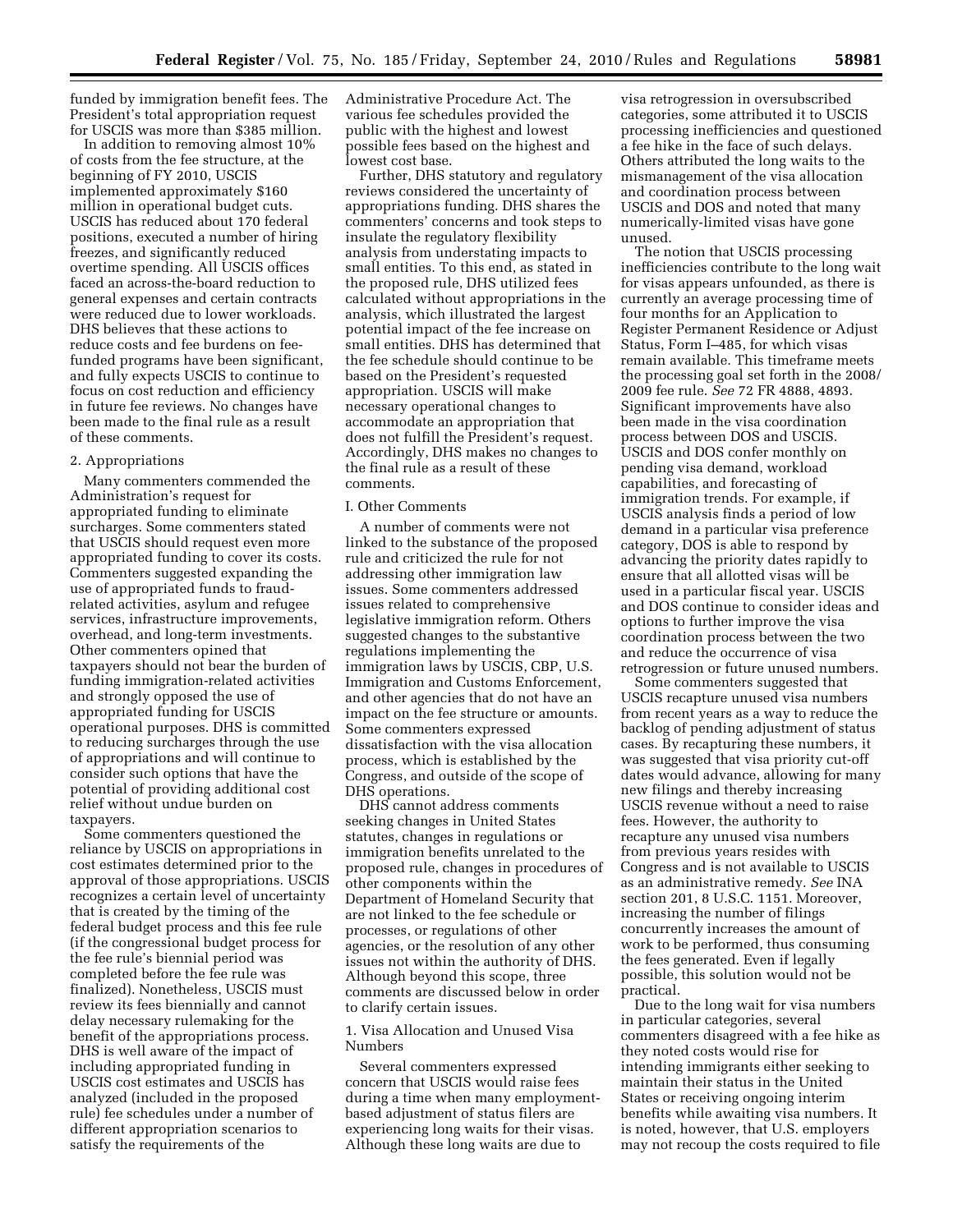funded by immigration benefit fees. The President's total appropriation request for USCIS was more than \$385 million.

In addition to removing almost 10% of costs from the fee structure, at the beginning of FY 2010, USCIS implemented approximately \$160 million in operational budget cuts. USCIS has reduced about 170 federal positions, executed a number of hiring freezes, and significantly reduced overtime spending. All USCIS offices faced an across-the-board reduction to general expenses and certain contracts were reduced due to lower workloads. DHS believes that these actions to reduce costs and fee burdens on feefunded programs have been significant, and fully expects USCIS to continue to focus on cost reduction and efficiency in future fee reviews. No changes have been made to the final rule as a result of these comments.

# 2. Appropriations

Many commenters commended the Administration's request for appropriated funding to eliminate surcharges. Some commenters stated that USCIS should request even more appropriated funding to cover its costs. Commenters suggested expanding the use of appropriated funds to fraudrelated activities, asylum and refugee services, infrastructure improvements, overhead, and long-term investments. Other commenters opined that taxpayers should not bear the burden of funding immigration-related activities and strongly opposed the use of appropriated funding for USCIS operational purposes. DHS is committed to reducing surcharges through the use of appropriations and will continue to consider such options that have the potential of providing additional cost relief without undue burden on taxpayers.

Some commenters questioned the reliance by USCIS on appropriations in cost estimates determined prior to the approval of those appropriations. USCIS recognizes a certain level of uncertainty that is created by the timing of the federal budget process and this fee rule (if the congressional budget process for the fee rule's biennial period was completed before the fee rule was finalized). Nonetheless, USCIS must review its fees biennially and cannot delay necessary rulemaking for the benefit of the appropriations process. DHS is well aware of the impact of including appropriated funding in USCIS cost estimates and USCIS has analyzed (included in the proposed rule) fee schedules under a number of different appropriation scenarios to satisfy the requirements of the

Administrative Procedure Act. The various fee schedules provided the public with the highest and lowest possible fees based on the highest and lowest cost base.

Further, DHS statutory and regulatory reviews considered the uncertainty of appropriations funding. DHS shares the commenters' concerns and took steps to insulate the regulatory flexibility analysis from understating impacts to small entities. To this end, as stated in the proposed rule, DHS utilized fees calculated without appropriations in the analysis, which illustrated the largest potential impact of the fee increase on small entities. DHS has determined that the fee schedule should continue to be based on the President's requested appropriation. USCIS will make necessary operational changes to accommodate an appropriation that does not fulfill the President's request. Accordingly, DHS makes no changes to the final rule as a result of these comments.

# I. Other Comments

A number of comments were not linked to the substance of the proposed rule and criticized the rule for not addressing other immigration law issues. Some commenters addressed issues related to comprehensive legislative immigration reform. Others suggested changes to the substantive regulations implementing the immigration laws by USCIS, CBP, U.S. Immigration and Customs Enforcement, and other agencies that do not have an impact on the fee structure or amounts. Some commenters expressed dissatisfaction with the visa allocation process, which is established by the Congress, and outside of the scope of DHS operations.

DHS cannot address comments seeking changes in United States statutes, changes in regulations or immigration benefits unrelated to the proposed rule, changes in procedures of other components within the Department of Homeland Security that are not linked to the fee schedule or processes, or regulations of other agencies, or the resolution of any other issues not within the authority of DHS. Although beyond this scope, three comments are discussed below in order to clarify certain issues.

1. Visa Allocation and Unused Visa Numbers

Several commenters expressed concern that USCIS would raise fees during a time when many employmentbased adjustment of status filers are experiencing long waits for their visas. Although these long waits are due to

visa retrogression in oversubscribed categories, some attributed it to USCIS processing inefficiencies and questioned a fee hike in the face of such delays. Others attributed the long waits to the mismanagement of the visa allocation and coordination process between USCIS and DOS and noted that many numerically-limited visas have gone unused.

The notion that USCIS processing inefficiencies contribute to the long wait for visas appears unfounded, as there is currently an average processing time of four months for an Application to Register Permanent Residence or Adjust Status, Form I–485, for which visas remain available. This timeframe meets the processing goal set forth in the 2008/ 2009 fee rule. *See* 72 FR 4888, 4893. Significant improvements have also been made in the visa coordination process between DOS and USCIS. USCIS and DOS confer monthly on pending visa demand, workload capabilities, and forecasting of immigration trends. For example, if USCIS analysis finds a period of low demand in a particular visa preference category, DOS is able to respond by advancing the priority dates rapidly to ensure that all allotted visas will be used in a particular fiscal year. USCIS and DOS continue to consider ideas and options to further improve the visa coordination process between the two and reduce the occurrence of visa retrogression or future unused numbers.

Some commenters suggested that USCIS recapture unused visa numbers from recent years as a way to reduce the backlog of pending adjustment of status cases. By recapturing these numbers, it was suggested that visa priority cut-off dates would advance, allowing for many new filings and thereby increasing USCIS revenue without a need to raise fees. However, the authority to recapture any unused visa numbers from previous years resides with Congress and is not available to USCIS as an administrative remedy. *See* INA section 201, 8 U.S.C. 1151. Moreover, increasing the number of filings concurrently increases the amount of work to be performed, thus consuming the fees generated. Even if legally possible, this solution would not be practical.

Due to the long wait for visa numbers in particular categories, several commenters disagreed with a fee hike as they noted costs would rise for intending immigrants either seeking to maintain their status in the United States or receiving ongoing interim benefits while awaiting visa numbers. It is noted, however, that U.S. employers may not recoup the costs required to file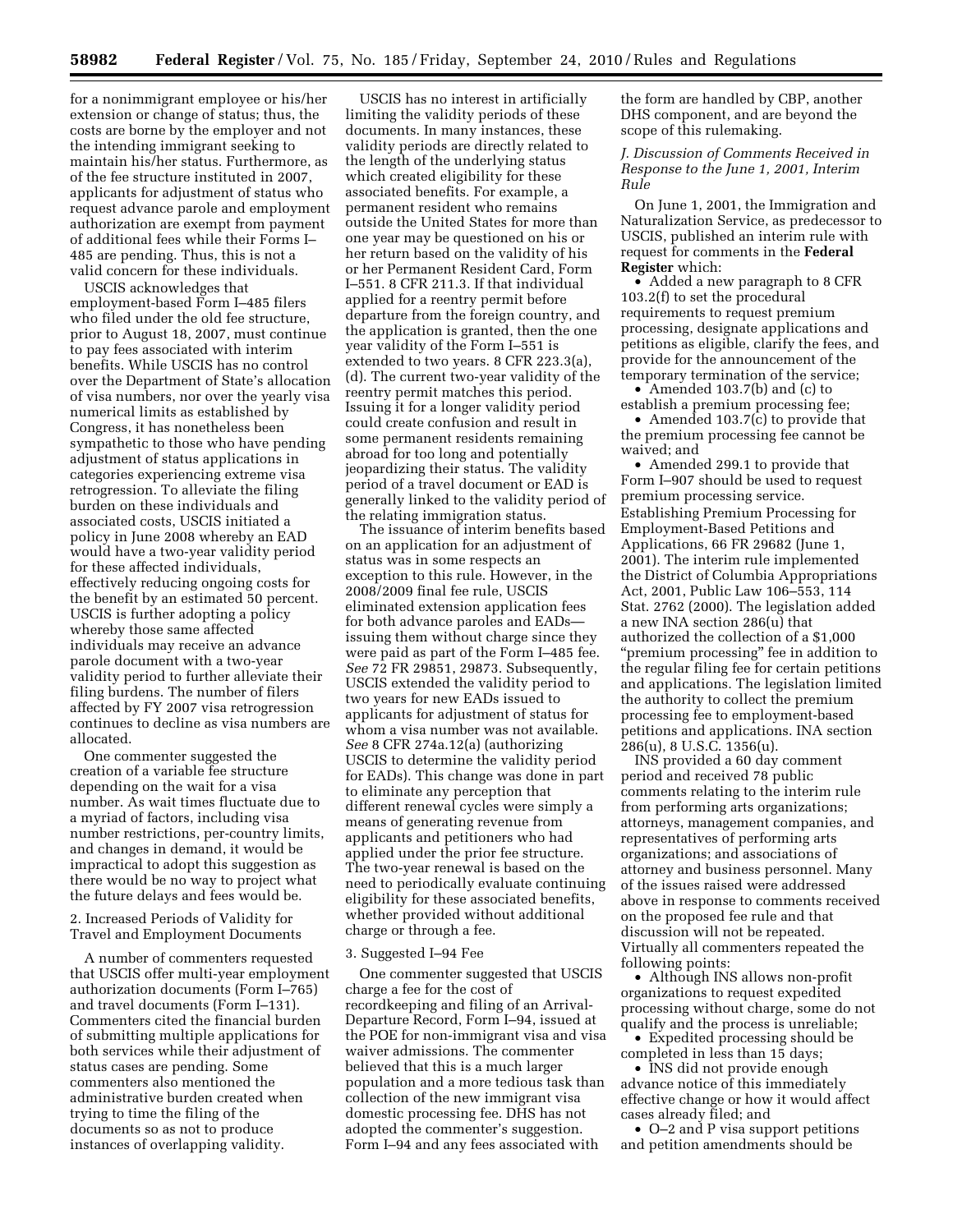for a nonimmigrant employee or his/her extension or change of status; thus, the costs are borne by the employer and not the intending immigrant seeking to maintain his/her status. Furthermore, as of the fee structure instituted in 2007, applicants for adjustment of status who request advance parole and employment authorization are exempt from payment of additional fees while their Forms I– 485 are pending. Thus, this is not a valid concern for these individuals.

USCIS acknowledges that employment-based Form I–485 filers who filed under the old fee structure, prior to August 18, 2007, must continue to pay fees associated with interim benefits. While USCIS has no control over the Department of State's allocation of visa numbers, nor over the yearly visa numerical limits as established by Congress, it has nonetheless been sympathetic to those who have pending adjustment of status applications in categories experiencing extreme visa retrogression. To alleviate the filing burden on these individuals and associated costs, USCIS initiated a policy in June 2008 whereby an EAD would have a two-year validity period for these affected individuals, effectively reducing ongoing costs for the benefit by an estimated 50 percent. USCIS is further adopting a policy whereby those same affected individuals may receive an advance parole document with a two-year validity period to further alleviate their filing burdens. The number of filers affected by FY 2007 visa retrogression continues to decline as visa numbers are allocated.

One commenter suggested the creation of a variable fee structure depending on the wait for a visa number. As wait times fluctuate due to a myriad of factors, including visa number restrictions, per-country limits, and changes in demand, it would be impractical to adopt this suggestion as there would be no way to project what the future delays and fees would be.

2. Increased Periods of Validity for Travel and Employment Documents

A number of commenters requested that USCIS offer multi-year employment authorization documents (Form I–765) and travel documents (Form I–131). Commenters cited the financial burden of submitting multiple applications for both services while their adjustment of status cases are pending. Some commenters also mentioned the administrative burden created when trying to time the filing of the documents so as not to produce instances of overlapping validity.

USCIS has no interest in artificially limiting the validity periods of these documents. In many instances, these validity periods are directly related to the length of the underlying status which created eligibility for these associated benefits. For example, a permanent resident who remains outside the United States for more than one year may be questioned on his or her return based on the validity of his or her Permanent Resident Card, Form I–551. 8 CFR 211.3. If that individual applied for a reentry permit before departure from the foreign country, and the application is granted, then the one year validity of the Form I–551 is extended to two years. 8 CFR 223.3(a), (d). The current two-year validity of the reentry permit matches this period. Issuing it for a longer validity period could create confusion and result in some permanent residents remaining abroad for too long and potentially jeopardizing their status. The validity period of a travel document or EAD is generally linked to the validity period of the relating immigration status.

The issuance of interim benefits based on an application for an adjustment of status was in some respects an exception to this rule. However, in the 2008/2009 final fee rule, USCIS eliminated extension application fees for both advance paroles and EADs issuing them without charge since they were paid as part of the Form I–485 fee. *See* 72 FR 29851, 29873. Subsequently, USCIS extended the validity period to two years for new EADs issued to applicants for adjustment of status for whom a visa number was not available. *See* 8 CFR 274a.12(a) (authorizing USCIS to determine the validity period for EADs). This change was done in part to eliminate any perception that different renewal cycles were simply a means of generating revenue from applicants and petitioners who had applied under the prior fee structure. The two-year renewal is based on the need to periodically evaluate continuing eligibility for these associated benefits, whether provided without additional charge or through a fee.

#### 3. Suggested I–94 Fee

One commenter suggested that USCIS charge a fee for the cost of recordkeeping and filing of an Arrival-Departure Record, Form I–94, issued at the POE for non-immigrant visa and visa waiver admissions. The commenter believed that this is a much larger population and a more tedious task than collection of the new immigrant visa domestic processing fee. DHS has not adopted the commenter's suggestion. Form I–94 and any fees associated with

the form are handled by CBP, another DHS component, and are beyond the scope of this rulemaking.

# *J. Discussion of Comments Received in Response to the June 1, 2001, Interim Rule*

On June 1, 2001, the Immigration and Naturalization Service, as predecessor to USCIS, published an interim rule with request for comments in the **Federal Register** which:

• Added a new paragraph to 8 CFR 103.2(f) to set the procedural requirements to request premium processing, designate applications and petitions as eligible, clarify the fees, and provide for the announcement of the temporary termination of the service;

• Amended 103.7(b) and (c) to establish a premium processing fee;

• Amended 103.7(c) to provide that the premium processing fee cannot be waived; and

• Amended 299.1 to provide that Form I–907 should be used to request premium processing service. Establishing Premium Processing for Employment-Based Petitions and Applications, 66 FR 29682 (June 1, 2001). The interim rule implemented the District of Columbia Appropriations Act, 2001, Public Law 106–553, 114 Stat. 2762 (2000). The legislation added a new INA section 286(u) that authorized the collection of a \$1,000 "premium processing" fee in addition to the regular filing fee for certain petitions and applications. The legislation limited the authority to collect the premium processing fee to employment-based petitions and applications. INA section 286(u), 8 U.S.C. 1356(u).

INS provided a 60 day comment period and received 78 public comments relating to the interim rule from performing arts organizations; attorneys, management companies, and representatives of performing arts organizations; and associations of attorney and business personnel. Many of the issues raised were addressed above in response to comments received on the proposed fee rule and that discussion will not be repeated. Virtually all commenters repeated the following points:

• Although INS allows non-profit organizations to request expedited processing without charge, some do not qualify and the process is unreliable;

• Expedited processing should be completed in less than 15 days;

• INS did not provide enough advance notice of this immediately effective change or how it would affect cases already filed; and

• O–2 and P visa support petitions and petition amendments should be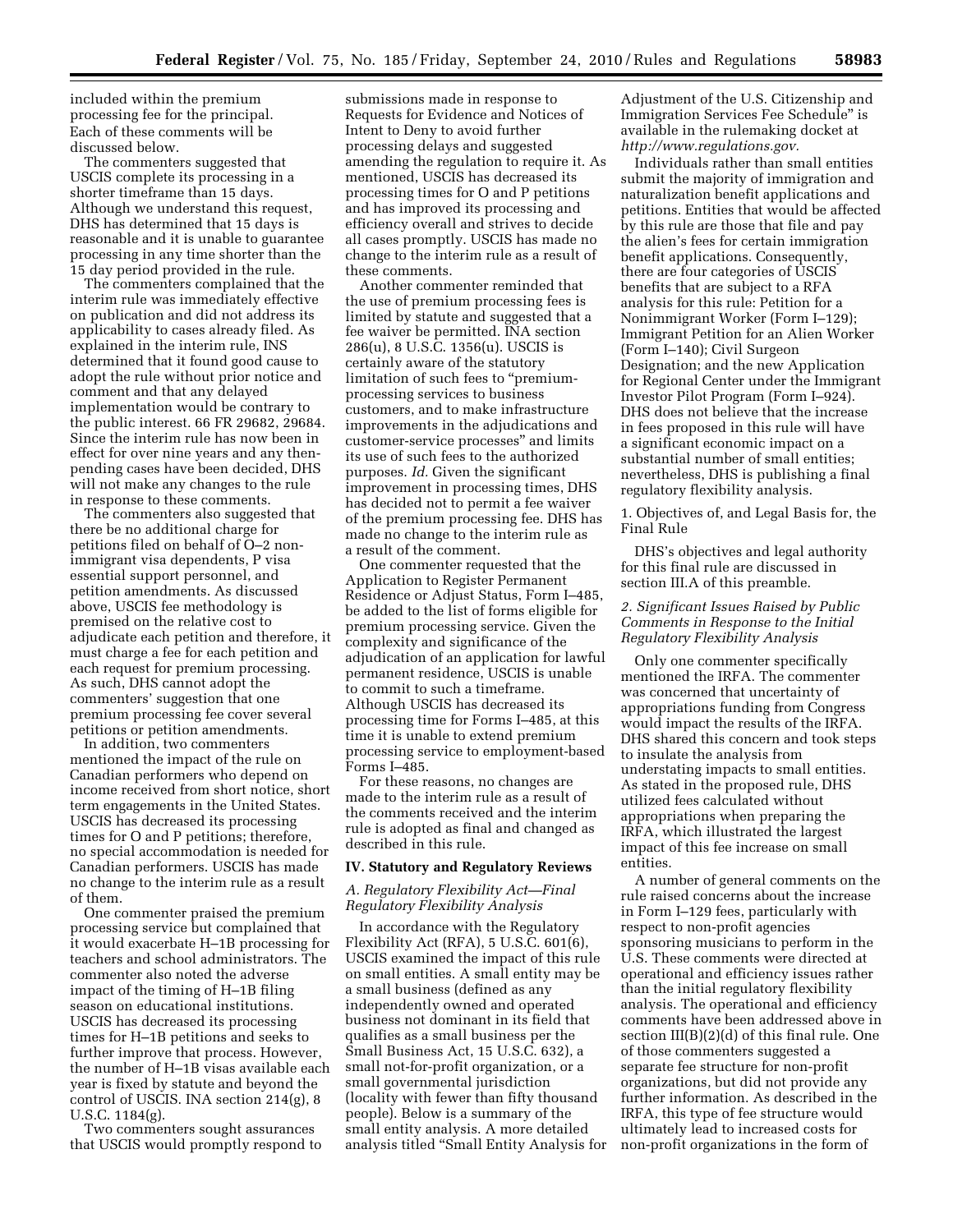included within the premium processing fee for the principal. Each of these comments will be discussed below.

The commenters suggested that USCIS complete its processing in a shorter timeframe than 15 days. Although we understand this request, DHS has determined that 15 days is reasonable and it is unable to guarantee processing in any time shorter than the 15 day period provided in the rule.

The commenters complained that the interim rule was immediately effective on publication and did not address its applicability to cases already filed. As explained in the interim rule, INS determined that it found good cause to adopt the rule without prior notice and comment and that any delayed implementation would be contrary to the public interest. 66 FR 29682, 29684. Since the interim rule has now been in effect for over nine years and any thenpending cases have been decided, DHS will not make any changes to the rule in response to these comments.

The commenters also suggested that there be no additional charge for petitions filed on behalf of O–2 nonimmigrant visa dependents, P visa essential support personnel, and petition amendments. As discussed above, USCIS fee methodology is premised on the relative cost to adjudicate each petition and therefore, it must charge a fee for each petition and each request for premium processing. As such, DHS cannot adopt the commenters' suggestion that one premium processing fee cover several petitions or petition amendments.

In addition, two commenters mentioned the impact of the rule on Canadian performers who depend on income received from short notice, short term engagements in the United States. USCIS has decreased its processing times for O and P petitions; therefore, no special accommodation is needed for Canadian performers. USCIS has made no change to the interim rule as a result of them.

One commenter praised the premium processing service but complained that it would exacerbate H–1B processing for teachers and school administrators. The commenter also noted the adverse impact of the timing of H–1B filing season on educational institutions. USCIS has decreased its processing times for H–1B petitions and seeks to further improve that process. However, the number of H–1B visas available each year is fixed by statute and beyond the control of USCIS. INA section 214(g), 8 U.S.C. 1184(g).

Two commenters sought assurances that USCIS would promptly respond to

submissions made in response to Requests for Evidence and Notices of Intent to Deny to avoid further processing delays and suggested amending the regulation to require it. As mentioned, USCIS has decreased its processing times for O and P petitions and has improved its processing and efficiency overall and strives to decide all cases promptly. USCIS has made no change to the interim rule as a result of these comments.

Another commenter reminded that the use of premium processing fees is limited by statute and suggested that a fee waiver be permitted. INA section 286(u), 8 U.S.C. 1356(u). USCIS is certainly aware of the statutory limitation of such fees to "premiumprocessing services to business customers, and to make infrastructure improvements in the adjudications and customer-service processes'' and limits its use of such fees to the authorized purposes. *Id.* Given the significant improvement in processing times, DHS has decided not to permit a fee waiver of the premium processing fee. DHS has made no change to the interim rule as a result of the comment.

One commenter requested that the Application to Register Permanent Residence or Adjust Status, Form I–485, be added to the list of forms eligible for premium processing service. Given the complexity and significance of the adjudication of an application for lawful permanent residence, USCIS is unable to commit to such a timeframe. Although USCIS has decreased its processing time for Forms I–485, at this time it is unable to extend premium processing service to employment-based Forms I–485.

For these reasons, no changes are made to the interim rule as a result of the comments received and the interim rule is adopted as final and changed as described in this rule.

# **IV. Statutory and Regulatory Reviews**

# *A. Regulatory Flexibility Act—Final Regulatory Flexibility Analysis*

In accordance with the Regulatory Flexibility Act (RFA), 5 U.S.C. 601(6), USCIS examined the impact of this rule on small entities. A small entity may be a small business (defined as any independently owned and operated business not dominant in its field that qualifies as a small business per the Small Business Act, 15 U.S.C. 632), a small not-for-profit organization, or a small governmental jurisdiction (locality with fewer than fifty thousand people). Below is a summary of the small entity analysis. A more detailed analysis titled ''Small Entity Analysis for Adjustment of the U.S. Citizenship and Immigration Services Fee Schedule'' is available in the rulemaking docket at *[http://www.regulations.gov.](http://www.regulations.gov)* 

Individuals rather than small entities submit the majority of immigration and naturalization benefit applications and petitions. Entities that would be affected by this rule are those that file and pay the alien's fees for certain immigration benefit applications. Consequently, there are four categories of USCIS benefits that are subject to a RFA analysis for this rule: Petition for a Nonimmigrant Worker (Form I–129); Immigrant Petition for an Alien Worker (Form I–140); Civil Surgeon Designation; and the new Application for Regional Center under the Immigrant Investor Pilot Program (Form I–924). DHS does not believe that the increase in fees proposed in this rule will have a significant economic impact on a substantial number of small entities; nevertheless, DHS is publishing a final regulatory flexibility analysis.

1. Objectives of, and Legal Basis for, the Final Rule

DHS's objectives and legal authority for this final rule are discussed in section III.A of this preamble.

# *2. Significant Issues Raised by Public Comments in Response to the Initial Regulatory Flexibility Analysis*

Only one commenter specifically mentioned the IRFA. The commenter was concerned that uncertainty of appropriations funding from Congress would impact the results of the IRFA. DHS shared this concern and took steps to insulate the analysis from understating impacts to small entities. As stated in the proposed rule, DHS utilized fees calculated without appropriations when preparing the IRFA, which illustrated the largest impact of this fee increase on small entities.

A number of general comments on the rule raised concerns about the increase in Form I–129 fees, particularly with respect to non-profit agencies sponsoring musicians to perform in the U.S. These comments were directed at operational and efficiency issues rather than the initial regulatory flexibility analysis. The operational and efficiency comments have been addressed above in section III(B)(2)(d) of this final rule. One of those commenters suggested a separate fee structure for non-profit organizations, but did not provide any further information. As described in the IRFA, this type of fee structure would ultimately lead to increased costs for non-profit organizations in the form of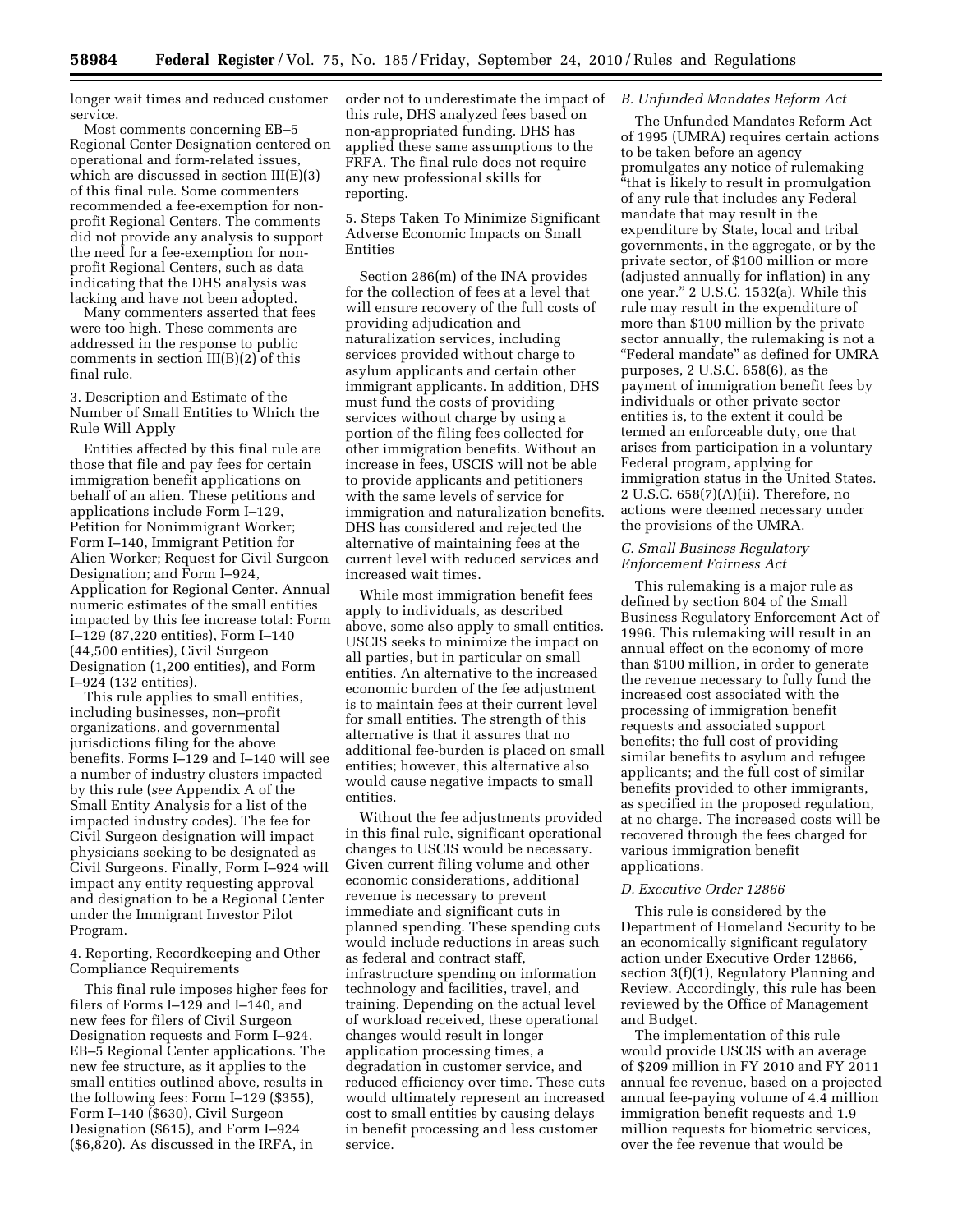longer wait times and reduced customer service.

Most comments concerning EB–5 Regional Center Designation centered on operational and form-related issues, which are discussed in section III(E)(3) of this final rule. Some commenters recommended a fee-exemption for nonprofit Regional Centers. The comments did not provide any analysis to support the need for a fee-exemption for nonprofit Regional Centers, such as data indicating that the DHS analysis was lacking and have not been adopted.

Many commenters asserted that fees were too high. These comments are addressed in the response to public comments in section III(B)(2) of this final rule.

3. Description and Estimate of the Number of Small Entities to Which the Rule Will Apply

Entities affected by this final rule are those that file and pay fees for certain immigration benefit applications on behalf of an alien. These petitions and applications include Form I–129, Petition for Nonimmigrant Worker; Form I–140, Immigrant Petition for Alien Worker; Request for Civil Surgeon Designation; and Form I–924, Application for Regional Center. Annual numeric estimates of the small entities impacted by this fee increase total: Form I–129 (87,220 entities), Form I–140 (44,500 entities), Civil Surgeon Designation (1,200 entities), and Form I–924 (132 entities).

This rule applies to small entities, including businesses, non–profit organizations, and governmental jurisdictions filing for the above benefits. Forms I–129 and I–140 will see a number of industry clusters impacted by this rule (*see* Appendix A of the Small Entity Analysis for a list of the impacted industry codes). The fee for Civil Surgeon designation will impact physicians seeking to be designated as Civil Surgeons. Finally, Form I–924 will impact any entity requesting approval and designation to be a Regional Center under the Immigrant Investor Pilot Program.

4. Reporting, Recordkeeping and Other Compliance Requirements

This final rule imposes higher fees for filers of Forms I–129 and I–140, and new fees for filers of Civil Surgeon Designation requests and Form I–924, EB–5 Regional Center applications. The new fee structure, as it applies to the small entities outlined above, results in the following fees: Form I–129 (\$355), Form I–140 (\$630), Civil Surgeon Designation (\$615), and Form I–924 (\$6,820). As discussed in the IRFA, in

order not to underestimate the impact of *B. Unfunded Mandates Reform Act*  this rule, DHS analyzed fees based on non-appropriated funding. DHS has applied these same assumptions to the FRFA. The final rule does not require any new professional skills for reporting.

5. Steps Taken To Minimize Significant Adverse Economic Impacts on Small Entities

Section 286(m) of the INA provides for the collection of fees at a level that will ensure recovery of the full costs of providing adjudication and naturalization services, including services provided without charge to asylum applicants and certain other immigrant applicants. In addition, DHS must fund the costs of providing services without charge by using a portion of the filing fees collected for other immigration benefits. Without an increase in fees, USCIS will not be able to provide applicants and petitioners with the same levels of service for immigration and naturalization benefits. DHS has considered and rejected the alternative of maintaining fees at the current level with reduced services and increased wait times.

While most immigration benefit fees apply to individuals, as described above, some also apply to small entities. USCIS seeks to minimize the impact on all parties, but in particular on small entities. An alternative to the increased economic burden of the fee adjustment is to maintain fees at their current level for small entities. The strength of this alternative is that it assures that no additional fee-burden is placed on small entities; however, this alternative also would cause negative impacts to small entities.

Without the fee adjustments provided in this final rule, significant operational changes to USCIS would be necessary. Given current filing volume and other economic considerations, additional revenue is necessary to prevent immediate and significant cuts in planned spending. These spending cuts would include reductions in areas such as federal and contract staff, infrastructure spending on information technology and facilities, travel, and training. Depending on the actual level of workload received, these operational changes would result in longer application processing times, a degradation in customer service, and reduced efficiency over time. These cuts would ultimately represent an increased cost to small entities by causing delays in benefit processing and less customer service.

The Unfunded Mandates Reform Act of 1995 (UMRA) requires certain actions to be taken before an agency promulgates any notice of rulemaking ''that is likely to result in promulgation of any rule that includes any Federal mandate that may result in the expenditure by State, local and tribal governments, in the aggregate, or by the private sector, of \$100 million or more (adjusted annually for inflation) in any one year.'' 2 U.S.C. 1532(a). While this rule may result in the expenditure of more than \$100 million by the private sector annually, the rulemaking is not a ''Federal mandate'' as defined for UMRA purposes, 2 U.S.C. 658(6), as the payment of immigration benefit fees by individuals or other private sector entities is, to the extent it could be termed an enforceable duty, one that arises from participation in a voluntary Federal program, applying for immigration status in the United States. 2 U.S.C. 658(7)(A)(ii). Therefore, no actions were deemed necessary under the provisions of the UMRA.

# *C. Small Business Regulatory Enforcement Fairness Act*

This rulemaking is a major rule as defined by section 804 of the Small Business Regulatory Enforcement Act of 1996. This rulemaking will result in an annual effect on the economy of more than \$100 million, in order to generate the revenue necessary to fully fund the increased cost associated with the processing of immigration benefit requests and associated support benefits; the full cost of providing similar benefits to asylum and refugee applicants; and the full cost of similar benefits provided to other immigrants, as specified in the proposed regulation, at no charge. The increased costs will be recovered through the fees charged for various immigration benefit applications.

#### *D. Executive Order 12866*

This rule is considered by the Department of Homeland Security to be an economically significant regulatory action under Executive Order 12866, section 3(f)(1), Regulatory Planning and Review. Accordingly, this rule has been reviewed by the Office of Management and Budget.

The implementation of this rule would provide USCIS with an average of \$209 million in FY 2010 and FY 2011 annual fee revenue, based on a projected annual fee-paying volume of 4.4 million immigration benefit requests and 1.9 million requests for biometric services, over the fee revenue that would be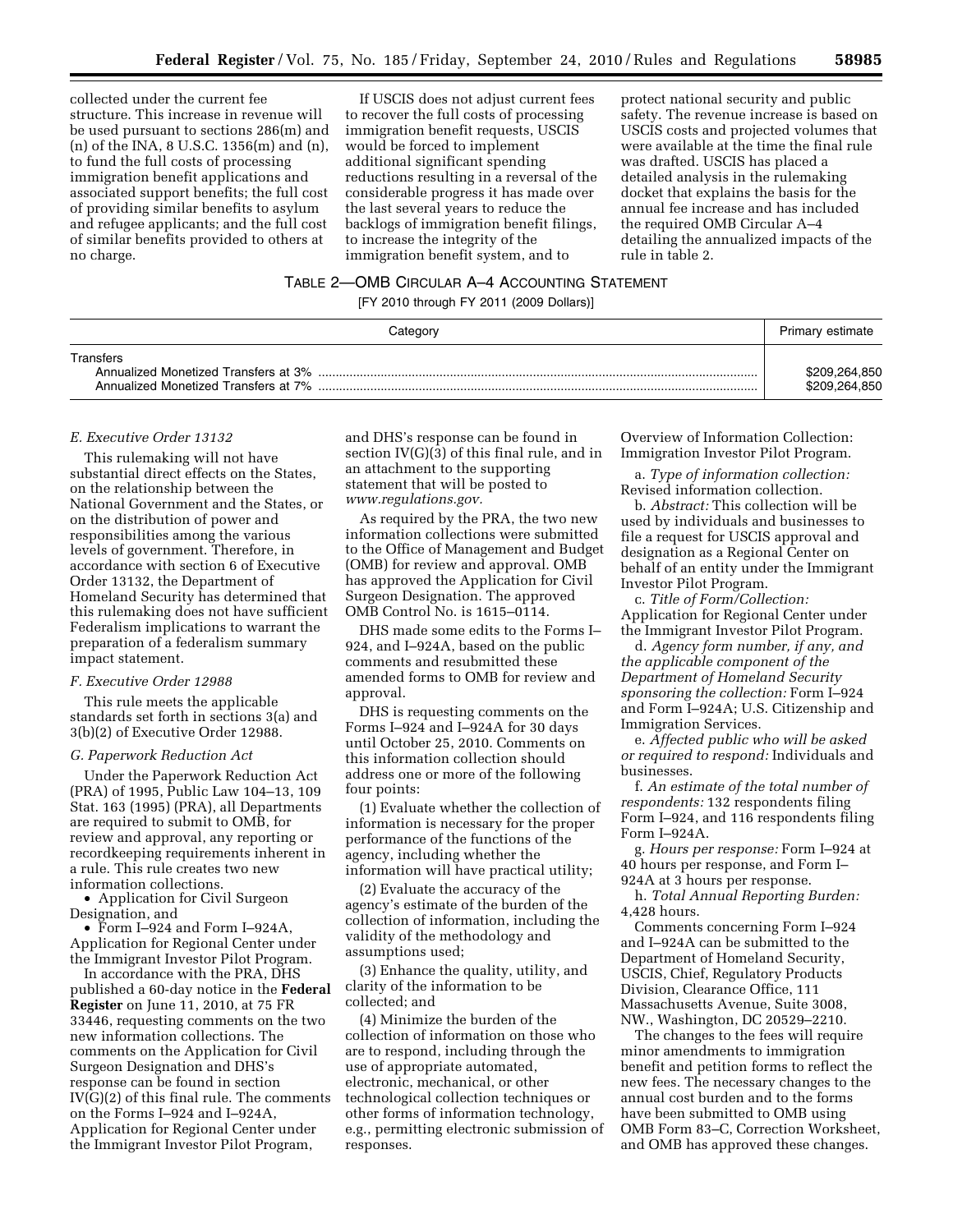collected under the current fee structure. This increase in revenue will be used pursuant to sections 286(m) and (n) of the INA, 8 U.S.C. 1356(m) and (n), to fund the full costs of processing immigration benefit applications and associated support benefits; the full cost of providing similar benefits to asylum and refugee applicants; and the full cost of similar benefits provided to others at no charge.

If USCIS does not adjust current fees to recover the full costs of processing immigration benefit requests, USCIS would be forced to implement additional significant spending reductions resulting in a reversal of the considerable progress it has made over the last several years to reduce the backlogs of immigration benefit filings, to increase the integrity of the immigration benefit system, and to

protect national security and public safety. The revenue increase is based on USCIS costs and projected volumes that were available at the time the final rule was drafted. USCIS has placed a detailed analysis in the rulemaking docket that explains the basis for the annual fee increase and has included the required OMB Circular A–4 detailing the annualized impacts of the rule in table 2.

# TABLE 2—OMB CIRCULAR A–4 ACCOUNTING STATEMENT

[FY 2010 through FY 2011 (2009 Dollars)]

| Category                                          | Primary estimate               |
|---------------------------------------------------|--------------------------------|
| Transfers<br>Annualized Monetized Transfers at 7% | \$209,264,850<br>\$209.264.850 |

#### *E. Executive Order 13132*

This rulemaking will not have substantial direct effects on the States, on the relationship between the National Government and the States, or on the distribution of power and responsibilities among the various levels of government. Therefore, in accordance with section 6 of Executive Order 13132, the Department of Homeland Security has determined that this rulemaking does not have sufficient Federalism implications to warrant the preparation of a federalism summary impact statement.

## *F. Executive Order 12988*

This rule meets the applicable standards set forth in sections 3(a) and 3(b)(2) of Executive Order 12988.

# *G. Paperwork Reduction Act*

Under the Paperwork Reduction Act (PRA) of 1995, Public Law 104–13, 109 Stat. 163 (1995) (PRA), all Departments are required to submit to OMB, for review and approval, any reporting or recordkeeping requirements inherent in a rule. This rule creates two new information collections.

• Application for Civil Surgeon Designation, and

• Form I–924 and Form I–924A, Application for Regional Center under the Immigrant Investor Pilot Program.

In accordance with the PRA, DHS published a 60-day notice in the **Federal Register** on June 11, 2010, at 75 FR 33446, requesting comments on the two new information collections. The comments on the Application for Civil Surgeon Designation and DHS's response can be found in section IV(G)(2) of this final rule. The comments on the Forms I–924 and I–924A, Application for Regional Center under the Immigrant Investor Pilot Program,

and DHS's response can be found in section IV(G)(3) of this final rule, and in an attachment to the supporting statement that will be posted to *[www.regulations.gov.](http://www.regulations.gov)* 

As required by the PRA, the two new information collections were submitted to the Office of Management and Budget (OMB) for review and approval. OMB has approved the Application for Civil Surgeon Designation. The approved OMB Control No. is 1615–0114.

DHS made some edits to the Forms I– 924, and I–924A, based on the public comments and resubmitted these amended forms to OMB for review and approval.

DHS is requesting comments on the Forms I–924 and I–924A for 30 days until October 25, 2010. Comments on this information collection should address one or more of the following four points:

(1) Evaluate whether the collection of information is necessary for the proper performance of the functions of the agency, including whether the information will have practical utility;

(2) Evaluate the accuracy of the agency's estimate of the burden of the collection of information, including the validity of the methodology and assumptions used;

(3) Enhance the quality, utility, and clarity of the information to be collected; and

(4) Minimize the burden of the collection of information on those who are to respond, including through the use of appropriate automated, electronic, mechanical, or other technological collection techniques or other forms of information technology, e.g., permitting electronic submission of responses.

Overview of Information Collection: Immigration Investor Pilot Program.

a. *Type of information collection:*  Revised information collection.

b. *Abstract:* This collection will be used by individuals and businesses to file a request for USCIS approval and designation as a Regional Center on behalf of an entity under the Immigrant Investor Pilot Program.

c. *Title of Form/Collection:*  Application for Regional Center under the Immigrant Investor Pilot Program.

d. *Agency form number, if any, and the applicable component of the Department of Homeland Security sponsoring the collection:* Form I–924 and Form I–924A; U.S. Citizenship and Immigration Services.

e. *Affected public who will be asked or required to respond:* Individuals and businesses.

f. *An estimate of the total number of respondents:* 132 respondents filing Form I–924, and 116 respondents filing Form I–924A.

g. *Hours per response:* Form I–924 at 40 hours per response, and Form I– 924A at 3 hours per response.

h. *Total Annual Reporting Burden:*  4,428 hours.

Comments concerning Form I–924 and I–924A can be submitted to the Department of Homeland Security, USCIS, Chief, Regulatory Products Division, Clearance Office, 111 Massachusetts Avenue, Suite 3008, NW., Washington, DC 20529–2210.

The changes to the fees will require minor amendments to immigration benefit and petition forms to reflect the new fees. The necessary changes to the annual cost burden and to the forms have been submitted to OMB using OMB Form 83–C, Correction Worksheet, and OMB has approved these changes.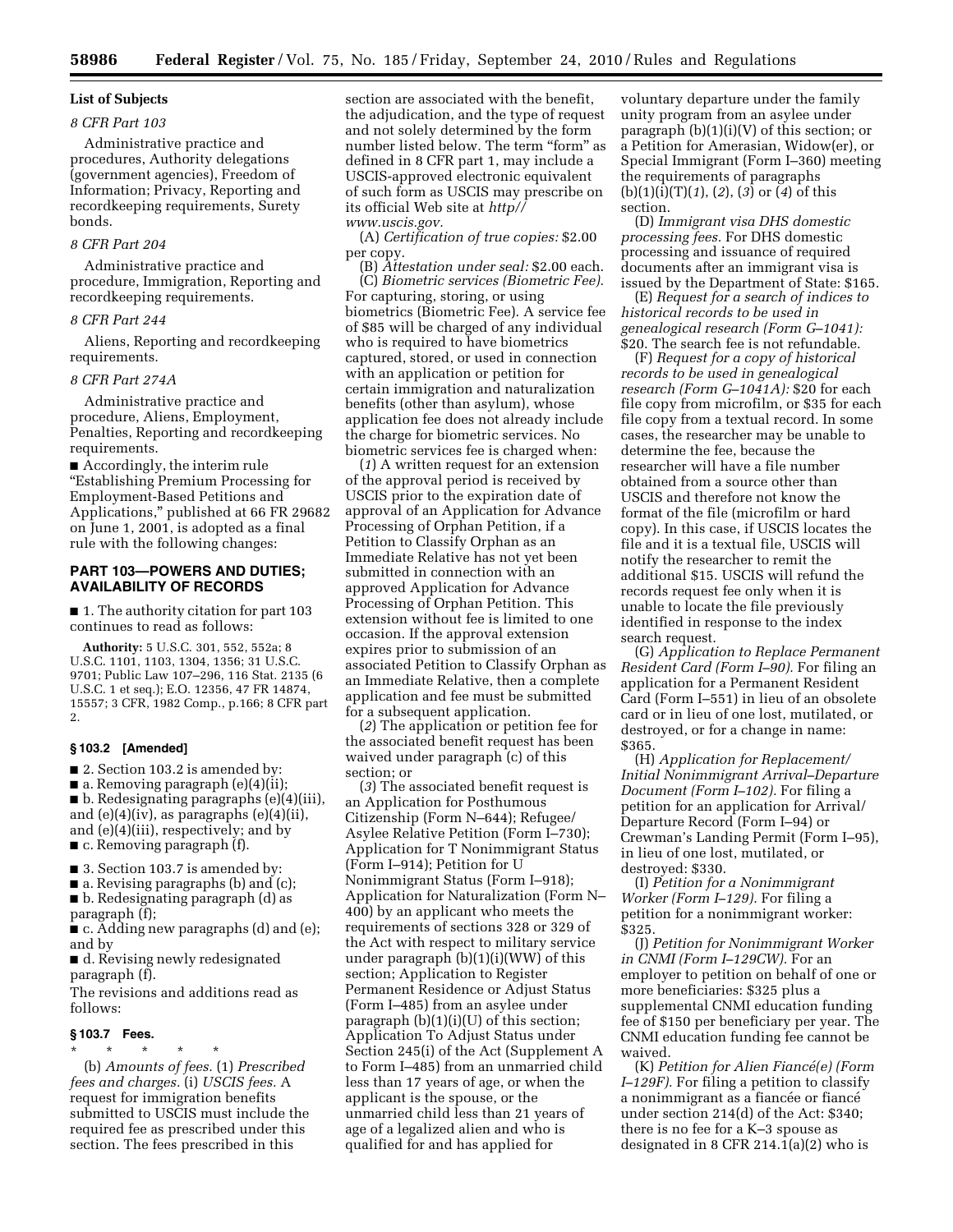# **List of Subjects**

# *8 CFR Part 103*

Administrative practice and procedures, Authority delegations (government agencies), Freedom of Information; Privacy, Reporting and recordkeeping requirements, Surety bonds.

# *8 CFR Part 204*

Administrative practice and procedure, Immigration, Reporting and recordkeeping requirements.

# *8 CFR Part 244*

Aliens, Reporting and recordkeeping requirements.

#### *8 CFR Part 274A*

Administrative practice and procedure, Aliens, Employment, Penalties, Reporting and recordkeeping requirements.

■ Accordingly, the interim rule ''Establishing Premium Processing for Employment-Based Petitions and Applications,'' published at 66 FR 29682 on June 1, 2001, is adopted as a final rule with the following changes:

# **PART 103—POWERS AND DUTIES; AVAILABILITY OF RECORDS**

■ 1. The authority citation for part 103 continues to read as follows:

**Authority:** 5 U.S.C. 301, 552, 552a; 8 U.S.C. 1101, 1103, 1304, 1356; 31 U.S.C. 9701; Public Law 107–296, 116 Stat. 2135 (6 U.S.C. 1 et seq.); E.O. 12356, 47 FR 14874, 15557; 3 CFR, 1982 Comp., p.166; 8 CFR part 2.

#### **§ 103.2 [Amended]**

■ 2. Section 103.2 is amended by:

 $\blacksquare$  a. Removing paragraph (e)(4)(ii);

■ b. Redesignating paragraphs (e)(4)(iii), and  $(e)(4)(iv)$ , as paragraphs  $(e)(4)(ii)$ , and (e)(4)(iii), respectively; and by ■ c. Removing paragraph (f).

■ 3. Section 103.7 is amended by:

 $\blacksquare$  a. Revising paragraphs (b) and (c); ■ b. Redesignating paragraph (d) as

paragraph (f); ■ c. Adding new paragraphs (d) and (e); and by

■ d. Revising newly redesignated paragraph (f).

The revisions and additions read as follows:

#### **§ 103.7 Fees.**

\* \* \* \* \* (b) *Amounts of fees.* (1) *Prescribed fees and charges.* (i) *USCIS fees.* A request for immigration benefits submitted to USCIS must include the required fee as prescribed under this section. The fees prescribed in this

section are associated with the benefit, the adjudication, and the type of request and not solely determined by the form number listed below. The term "form" as defined in 8 CFR part 1, may include a USCIS-approved electronic equivalent of such form as USCIS may prescribe on its official Web site at *[http//](http://www.uscis.gov)  [www.uscis.gov.](http://www.uscis.gov)* 

(A) *Certification of true copies:* \$2.00 per copy.

(B) *Attestation under seal:* \$2.00 each. (C) *Biometric services (Biometric Fee).*  For capturing, storing, or using biometrics (Biometric Fee). A service fee of \$85 will be charged of any individual who is required to have biometrics captured, stored, or used in connection with an application or petition for certain immigration and naturalization benefits (other than asylum), whose application fee does not already include the charge for biometric services. No biometric services fee is charged when:

(*1*) A written request for an extension of the approval period is received by USCIS prior to the expiration date of approval of an Application for Advance Processing of Orphan Petition, if a Petition to Classify Orphan as an Immediate Relative has not yet been submitted in connection with an approved Application for Advance Processing of Orphan Petition. This extension without fee is limited to one occasion. If the approval extension expires prior to submission of an associated Petition to Classify Orphan as an Immediate Relative, then a complete application and fee must be submitted for a subsequent application.

(*2*) The application or petition fee for the associated benefit request has been waived under paragraph (c) of this section; or

(*3*) The associated benefit request is an Application for Posthumous Citizenship (Form N–644); Refugee/ Asylee Relative Petition (Form I–730); Application for T Nonimmigrant Status (Form I–914); Petition for U Nonimmigrant Status (Form I–918); Application for Naturalization (Form N– 400) by an applicant who meets the requirements of sections 328 or 329 of the Act with respect to military service under paragraph (b)(1)(i)(WW) of this section; Application to Register Permanent Residence or Adjust Status (Form I–485) from an asylee under paragraph (b)(1)(i)(U) of this section; Application To Adjust Status under Section 245(i) of the Act (Supplement A to Form I–485) from an unmarried child less than 17 years of age, or when the applicant is the spouse, or the unmarried child less than 21 years of age of a legalized alien and who is qualified for and has applied for

voluntary departure under the family unity program from an asylee under paragraph  $(b)(1)(i)(V)$  of this section; or a Petition for Amerasian, Widow(er), or Special Immigrant (Form I–360) meeting the requirements of paragraphs (b)(1)(i)(T)(*1*), (*2*), (*3*) or (*4*) of this section.

(D) *Immigrant visa DHS domestic processing fees.* For DHS domestic processing and issuance of required documents after an immigrant visa is issued by the Department of State: \$165.

(E) *Request for a search of indices to historical records to be used in genealogical research (Form G–1041):*  \$20. The search fee is not refundable.

(F) *Request for a copy of historical records to be used in genealogical research (Form G–1041A):* \$20 for each file copy from microfilm, or \$35 for each file copy from a textual record. In some cases, the researcher may be unable to determine the fee, because the researcher will have a file number obtained from a source other than USCIS and therefore not know the format of the file (microfilm or hard copy). In this case, if USCIS locates the file and it is a textual file, USCIS will notify the researcher to remit the additional \$15. USCIS will refund the records request fee only when it is unable to locate the file previously identified in response to the index search request.

(G) *Application to Replace Permanent Resident Card (Form I–90).* For filing an application for a Permanent Resident Card (Form I–551) in lieu of an obsolete card or in lieu of one lost, mutilated, or destroyed, or for a change in name: \$365.

(H) *Application for Replacement/ Initial Nonimmigrant Arrival–Departure Document (Form I–102).* For filing a petition for an application for Arrival/ Departure Record (Form I–94) or Crewman's Landing Permit (Form I–95), in lieu of one lost, mutilated, or destroyed: \$330.

(I) *Petition for a Nonimmigrant Worker (Form I–129).* For filing a petition for a nonimmigrant worker: \$325.

(J) *Petition for Nonimmigrant Worker in CNMI (Form I–129CW).* For an employer to petition on behalf of one or more beneficiaries: \$325 plus a supplemental CNMI education funding fee of \$150 per beneficiary per year. The CNMI education funding fee cannot be waived.

(K) *Petition for Alien Fiance´(e) (Form I–129F).* For filing a petition to classify a nonimmigrant as a fiancée or fiancé under section 214(d) of the Act: \$340; there is no fee for a K–3 spouse as designated in 8 CFR 214.1(a)(2) who is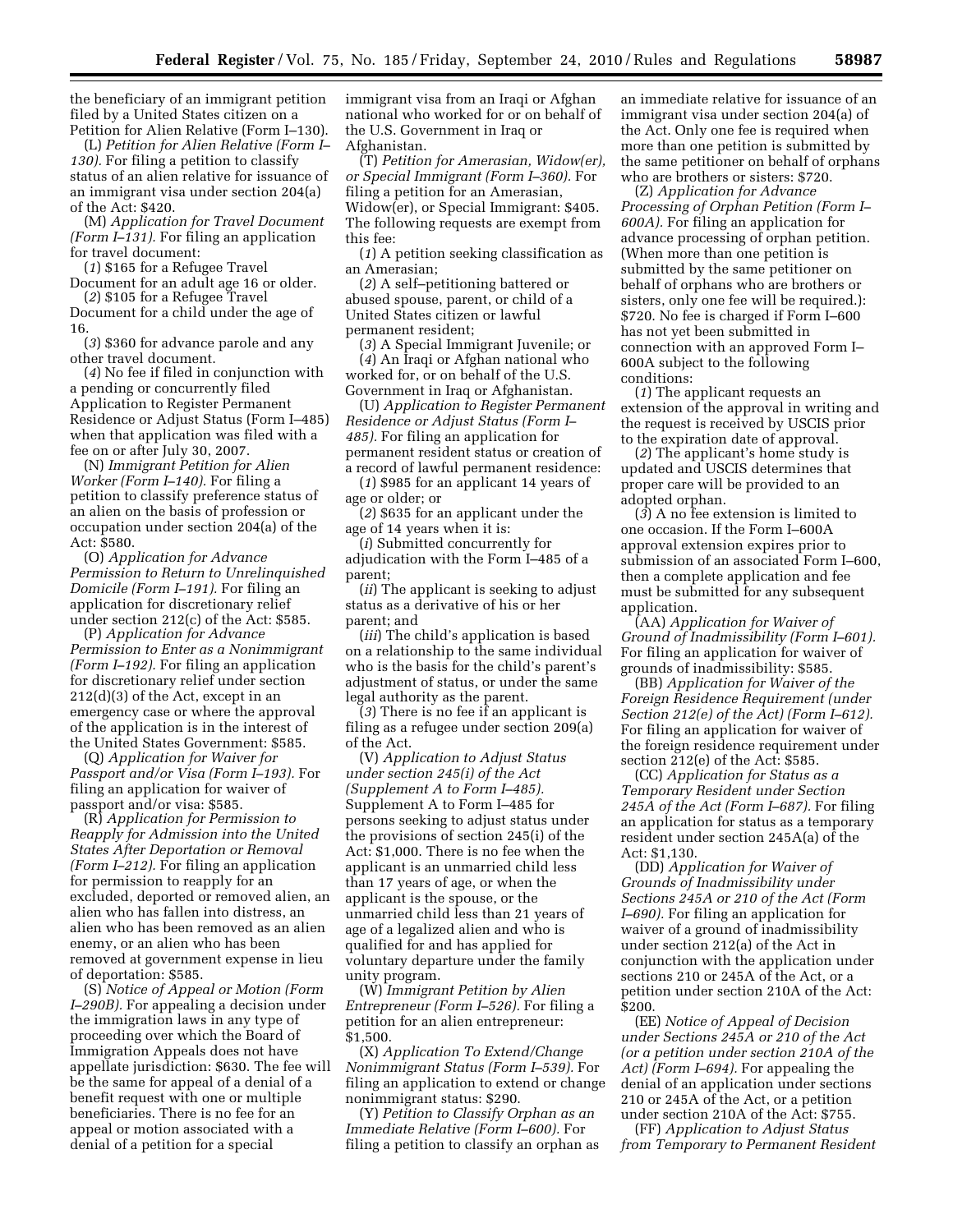the beneficiary of an immigrant petition filed by a United States citizen on a Petition for Alien Relative (Form I–130).

(L) *Petition for Alien Relative (Form I– 130).* For filing a petition to classify status of an alien relative for issuance of an immigrant visa under section 204(a) of the Act: \$420.

(M) *Application for Travel Document (Form I–131).* For filing an application for travel document:

(*1*) \$165 for a Refugee Travel

Document for an adult age 16 or older. (*2*) \$105 for a Refugee Travel

Document for a child under the age of 16.

(*3*) \$360 for advance parole and any other travel document.

(*4*) No fee if filed in conjunction with a pending or concurrently filed Application to Register Permanent Residence or Adjust Status (Form I–485) when that application was filed with a fee on or after July 30, 2007.

(N) *Immigrant Petition for Alien Worker (Form I–140).* For filing a petition to classify preference status of an alien on the basis of profession or occupation under section 204(a) of the Act: \$580.

(O) *Application for Advance Permission to Return to Unrelinquished Domicile (Form I–191).* For filing an application for discretionary relief under section 212(c) of the Act: \$585.

(P) *Application for Advance Permission to Enter as a Nonimmigrant (Form I–192).* For filing an application for discretionary relief under section 212(d)(3) of the Act, except in an emergency case or where the approval of the application is in the interest of the United States Government: \$585.

(Q) *Application for Waiver for Passport and/or Visa (Form I–193).* For filing an application for waiver of passport and/or visa: \$585.

(R) *Application for Permission to Reapply for Admission into the United States After Deportation or Removal (Form I–212).* For filing an application for permission to reapply for an excluded, deported or removed alien, an alien who has fallen into distress, an alien who has been removed as an alien enemy, or an alien who has been removed at government expense in lieu of deportation: \$585.

(S) *Notice of Appeal or Motion (Form I–290B).* For appealing a decision under the immigration laws in any type of proceeding over which the Board of Immigration Appeals does not have appellate jurisdiction: \$630. The fee will be the same for appeal of a denial of a benefit request with one or multiple beneficiaries. There is no fee for an appeal or motion associated with a denial of a petition for a special

immigrant visa from an Iraqi or Afghan national who worked for or on behalf of the U.S. Government in Iraq or Afghanistan.

(T) *Petition for Amerasian, Widow(er), or Special Immigrant (Form I–360).* For filing a petition for an Amerasian, Widow(er), or Special Immigrant: \$405. The following requests are exempt from this fee:

(*1*) A petition seeking classification as an Amerasian;

(*2*) A self–petitioning battered or abused spouse, parent, or child of a United States citizen or lawful permanent resident;

(*3*) A Special Immigrant Juvenile; or (*4*) An Iraqi or Afghan national who worked for, or on behalf of the U.S. Government in Iraq or Afghanistan.

(U) *Application to Register Permanent Residence or Adjust Status (Form I– 485).* For filing an application for permanent resident status or creation of a record of lawful permanent residence:

(*1*) \$985 for an applicant 14 years of age or older; or

(*2*) \$635 for an applicant under the age of 14 years when it is:

(*i*) Submitted concurrently for adjudication with the Form I–485 of a parent;

(*ii*) The applicant is seeking to adjust status as a derivative of his or her parent; and

(*iii*) The child's application is based on a relationship to the same individual who is the basis for the child's parent's adjustment of status, or under the same legal authority as the parent.

(*3*) There is no fee if an applicant is filing as a refugee under section 209(a) of the Act.

(V) *Application to Adjust Status under section 245(i) of the Act (Supplement A to Form I–485).*  Supplement A to Form I–485 for persons seeking to adjust status under the provisions of section 245(i) of the Act: \$1,000. There is no fee when the applicant is an unmarried child less than 17 years of age, or when the applicant is the spouse, or the unmarried child less than 21 years of age of a legalized alien and who is qualified for and has applied for voluntary departure under the family unity program.

(W) *Immigrant Petition by Alien Entrepreneur (Form I–526).* For filing a petition for an alien entrepreneur: \$1,500.

(X) *Application To Extend/Change Nonimmigrant Status (Form I–539).* For filing an application to extend or change nonimmigrant status: \$290.

(Y) *Petition to Classify Orphan as an Immediate Relative (Form I–600).* For filing a petition to classify an orphan as

an immediate relative for issuance of an immigrant visa under section 204(a) of the Act. Only one fee is required when more than one petition is submitted by the same petitioner on behalf of orphans who are brothers or sisters: \$720.

(Z) *Application for Advance Processing of Orphan Petition (Form I– 600A).* For filing an application for advance processing of orphan petition. (When more than one petition is submitted by the same petitioner on behalf of orphans who are brothers or sisters, only one fee will be required.): \$720. No fee is charged if Form I–600 has not yet been submitted in connection with an approved Form I– 600A subject to the following conditions:

(*1*) The applicant requests an extension of the approval in writing and the request is received by USCIS prior to the expiration date of approval.

(*2*) The applicant's home study is updated and USCIS determines that proper care will be provided to an adopted orphan.

(*3*) A no fee extension is limited to one occasion. If the Form I–600A approval extension expires prior to submission of an associated Form I–600, then a complete application and fee must be submitted for any subsequent application.

(AA) *Application for Waiver of Ground of Inadmissibility (Form I–601).*  For filing an application for waiver of grounds of inadmissibility: \$585.

(BB) *Application for Waiver of the Foreign Residence Requirement (under Section 212(e) of the Act) (Form I–612).*  For filing an application for waiver of the foreign residence requirement under section 212(e) of the Act: \$585.

(CC) *Application for Status as a Temporary Resident under Section 245A of the Act (Form I–687).* For filing an application for status as a temporary resident under section 245A(a) of the Act: \$1,130.

(DD) *Application for Waiver of Grounds of Inadmissibility under Sections 245A or 210 of the Act (Form I–690).* For filing an application for waiver of a ground of inadmissibility under section 212(a) of the Act in conjunction with the application under sections 210 or 245A of the Act, or a petition under section 210A of the Act: \$200.

(EE) *Notice of Appeal of Decision under Sections 245A or 210 of the Act (or a petition under section 210A of the Act) (Form I–694).* For appealing the denial of an application under sections 210 or 245A of the Act, or a petition under section 210A of the Act: \$755.

(FF) *Application to Adjust Status from Temporary to Permanent Resident*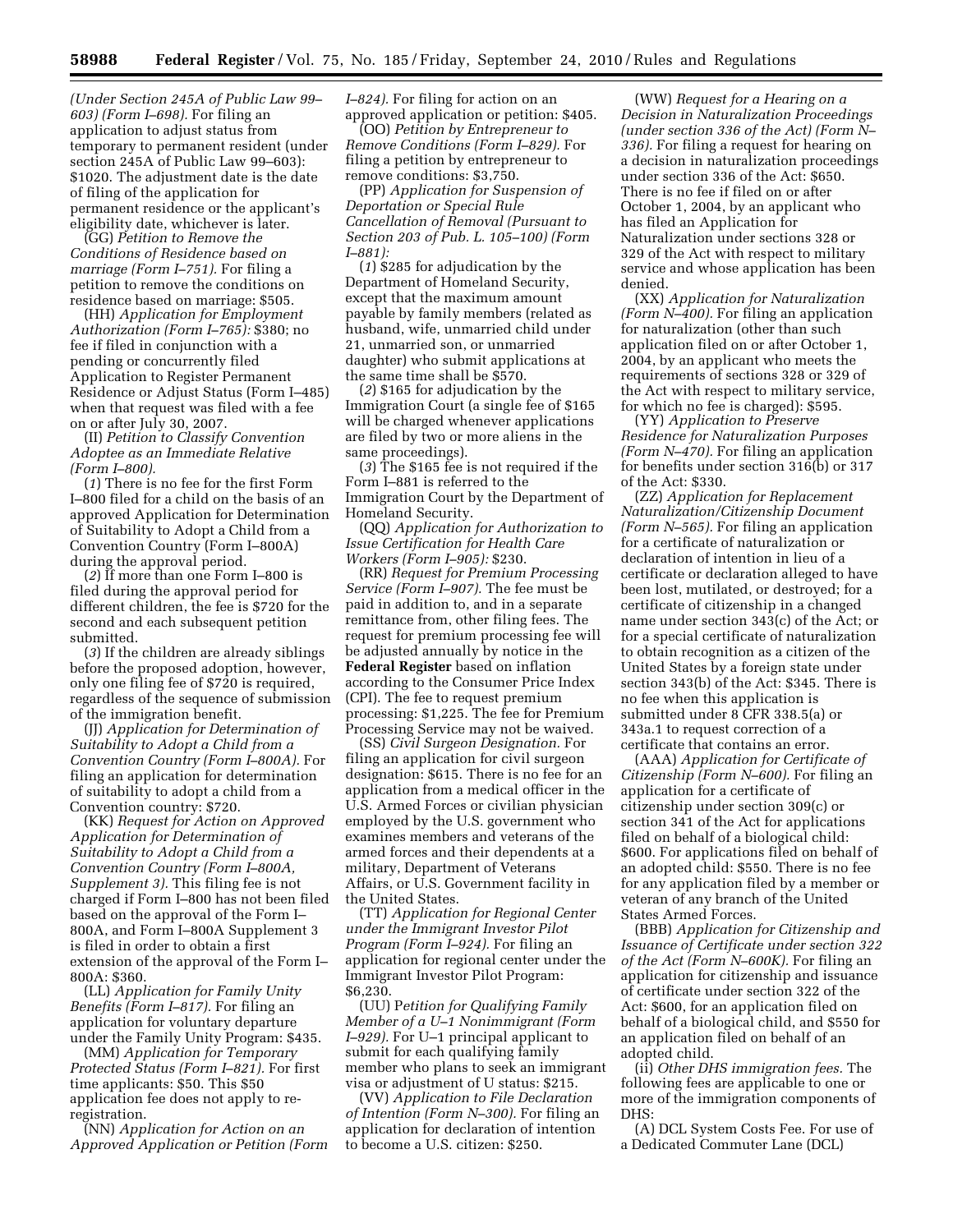*(Under Section 245A of Public Law 99– 603) (Form I–698).* For filing an application to adjust status from temporary to permanent resident (under section 245A of Public Law 99–603): \$1020. The adjustment date is the date of filing of the application for permanent residence or the applicant's eligibility date, whichever is later.

(GG) *Petition to Remove the Conditions of Residence based on marriage (Form I–751).* For filing a petition to remove the conditions on residence based on marriage: \$505.

(HH) *Application for Employment Authorization (Form I–765):* \$380; no fee if filed in conjunction with a pending or concurrently filed Application to Register Permanent Residence or Adjust Status (Form I–485) when that request was filed with a fee on or after July 30, 2007.

(II) *Petition to Classify Convention Adoptee as an Immediate Relative (Form I–800).* 

(*1*) There is no fee for the first Form I–800 filed for a child on the basis of an approved Application for Determination of Suitability to Adopt a Child from a Convention Country (Form I–800A) during the approval period.

(*2*) If more than one Form I–800 is filed during the approval period for different children, the fee is \$720 for the second and each subsequent petition submitted.

(*3*) If the children are already siblings before the proposed adoption, however, only one filing fee of \$720 is required, regardless of the sequence of submission of the immigration benefit.

(JJ) *Application for Determination of Suitability to Adopt a Child from a Convention Country (Form I–800A).* For filing an application for determination of suitability to adopt a child from a Convention country: \$720.

(KK) *Request for Action on Approved Application for Determination of Suitability to Adopt a Child from a Convention Country (Form I–800A, Supplement 3).* This filing fee is not charged if Form I–800 has not been filed based on the approval of the Form I– 800A, and Form I–800A Supplement 3 is filed in order to obtain a first extension of the approval of the Form I– 800A: \$360.

(LL) *Application for Family Unity Benefits (Form I–817).* For filing an application for voluntary departure under the Family Unity Program: \$435.

(MM) *Application for Temporary Protected Status (Form I–821).* For first time applicants: \$50. This \$50 application fee does not apply to reregistration.

(NN) *Application for Action on an Approved Application or Petition (Form*  *I–824).* For filing for action on an approved application or petition: \$405.

(OO) *Petition by Entrepreneur to Remove Conditions (Form I–829).* For filing a petition by entrepreneur to remove conditions: \$3,750.

(PP) *Application for Suspension of Deportation or Special Rule Cancellation of Removal (Pursuant to Section 203 of Pub. L. 105–100) (Form I–881):* 

(*1*) \$285 for adjudication by the Department of Homeland Security, except that the maximum amount payable by family members (related as husband, wife, unmarried child under 21, unmarried son, or unmarried daughter) who submit applications at the same time shall be \$570.

(*2*) \$165 for adjudication by the Immigration Court (a single fee of \$165 will be charged whenever applications are filed by two or more aliens in the same proceedings).

(*3*) The \$165 fee is not required if the Form I–881 is referred to the Immigration Court by the Department of Homeland Security.

(QQ) *Application for Authorization to Issue Certification for Health Care Workers (Form I–905):* \$230.

(RR) *Request for Premium Processing Service (Form I–907).* The fee must be paid in addition to, and in a separate remittance from, other filing fees. The request for premium processing fee will be adjusted annually by notice in the **Federal Register** based on inflation according to the Consumer Price Index (CPI). The fee to request premium processing: \$1,225. The fee for Premium Processing Service may not be waived.

(SS) *Civil Surgeon Designation.* For filing an application for civil surgeon designation: \$615. There is no fee for an application from a medical officer in the U.S. Armed Forces or civilian physician employed by the U.S. government who examines members and veterans of the armed forces and their dependents at a military, Department of Veterans Affairs, or U.S. Government facility in the United States.

(TT) *Application for Regional Center under the Immigrant Investor Pilot Program (Form I–924).* For filing an application for regional center under the Immigrant Investor Pilot Program: \$6,230.

(UU) P*etition for Qualifying Family Member of a U–1 Nonimmigrant (Form I–929).* For U–1 principal applicant to submit for each qualifying family member who plans to seek an immigrant visa or adjustment of U status: \$215.

(VV) *Application to File Declaration of Intention (Form N–300).* For filing an application for declaration of intention to become a U.S. citizen: \$250.

(WW) *Request for a Hearing on a Decision in Naturalization Proceedings (under section 336 of the Act) (Form N– 336).* For filing a request for hearing on a decision in naturalization proceedings under section 336 of the Act: \$650. There is no fee if filed on or after October 1, 2004, by an applicant who has filed an Application for Naturalization under sections 328 or 329 of the Act with respect to military service and whose application has been denied.

(XX) *Application for Naturalization (Form N–400).* For filing an application for naturalization (other than such application filed on or after October 1, 2004, by an applicant who meets the requirements of sections 328 or 329 of the Act with respect to military service, for which no fee is charged): \$595.

(YY) *Application to Preserve Residence for Naturalization Purposes (Form N–470).* For filing an application for benefits under section 316(b) or 317 of the Act: \$330.

(ZZ) *Application for Replacement Naturalization/Citizenship Document (Form N–565).* For filing an application for a certificate of naturalization or declaration of intention in lieu of a certificate or declaration alleged to have been lost, mutilated, or destroyed; for a certificate of citizenship in a changed name under section 343(c) of the Act; or for a special certificate of naturalization to obtain recognition as a citizen of the United States by a foreign state under section 343(b) of the Act: \$345. There is no fee when this application is submitted under 8 CFR 338.5(a) or 343a.1 to request correction of a certificate that contains an error.

(AAA) *Application for Certificate of Citizenship (Form N–600).* For filing an application for a certificate of citizenship under section 309(c) or section 341 of the Act for applications filed on behalf of a biological child: \$600. For applications filed on behalf of an adopted child: \$550. There is no fee for any application filed by a member or veteran of any branch of the United States Armed Forces.

(BBB) *Application for Citizenship and Issuance of Certificate under section 322 of the Act (Form N–600K).* For filing an application for citizenship and issuance of certificate under section 322 of the Act: \$600, for an application filed on behalf of a biological child, and \$550 for an application filed on behalf of an adopted child.

(ii) *Other DHS immigration fees.* The following fees are applicable to one or more of the immigration components of DHS:

(A) DCL System Costs Fee. For use of a Dedicated Commuter Lane (DCL)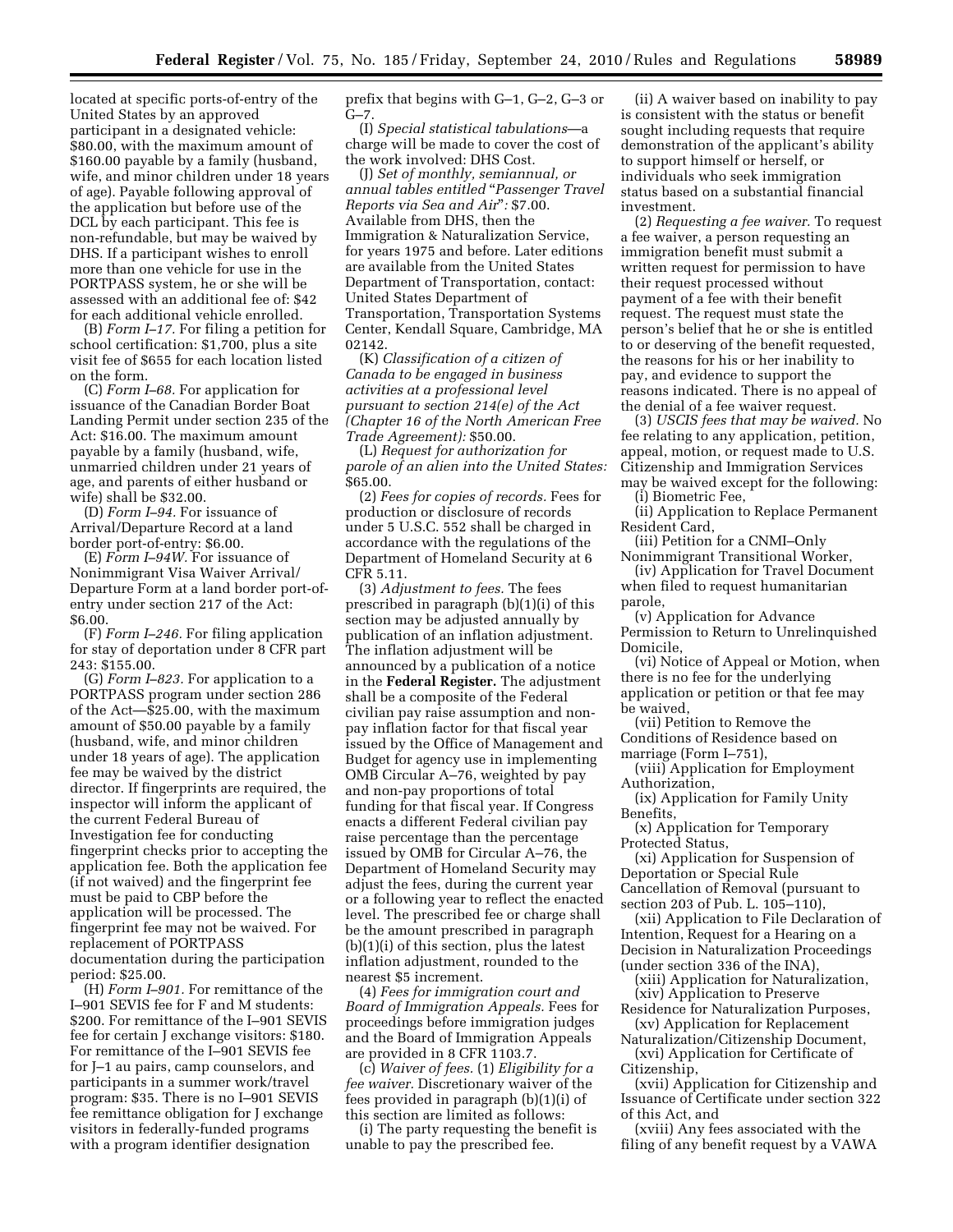located at specific ports-of-entry of the United States by an approved participant in a designated vehicle: \$80.00, with the maximum amount of \$160.00 payable by a family (husband, wife, and minor children under 18 years of age). Payable following approval of the application but before use of the DCL by each participant. This fee is non-refundable, but may be waived by DHS. If a participant wishes to enroll more than one vehicle for use in the PORTPASS system, he or she will be assessed with an additional fee of: \$42 for each additional vehicle enrolled.

(B) *Form I–17.* For filing a petition for school certification: \$1,700, plus a site visit fee of \$655 for each location listed on the form.

(C) *Form I–68.* For application for issuance of the Canadian Border Boat Landing Permit under section 235 of the Act: \$16.00. The maximum amount payable by a family (husband, wife, unmarried children under 21 years of age, and parents of either husband or wife) shall be \$32.00.

(D) *Form I–94.* For issuance of Arrival/Departure Record at a land border port-of-entry: \$6.00.

(E) *Form I–94W.* For issuance of Nonimmigrant Visa Waiver Arrival/ Departure Form at a land border port-ofentry under section 217 of the Act: \$6.00.

(F) *Form I–246.* For filing application for stay of deportation under 8 CFR part 243: \$155.00.

(G) *Form I–823.* For application to a PORTPASS program under section 286 of the Act—\$25.00, with the maximum amount of \$50.00 payable by a family (husband, wife, and minor children under 18 years of age). The application fee may be waived by the district director. If fingerprints are required, the inspector will inform the applicant of the current Federal Bureau of Investigation fee for conducting fingerprint checks prior to accepting the application fee. Both the application fee (if not waived) and the fingerprint fee must be paid to CBP before the application will be processed. The fingerprint fee may not be waived. For replacement of PORTPASS documentation during the participation period: \$25.00.

(H) *Form I–901.* For remittance of the I–901 SEVIS fee for F and M students: \$200. For remittance of the I–901 SEVIS fee for certain J exchange visitors: \$180. For remittance of the I–901 SEVIS fee for J–1 au pairs, camp counselors, and participants in a summer work/travel program: \$35. There is no I–901 SEVIS fee remittance obligation for J exchange visitors in federally-funded programs with a program identifier designation

prefix that begins with G–1, G–2, G–3 or  $G - 7.$ 

(I) *Special statistical tabulations*—a charge will be made to cover the cost of the work involved: DHS Cost.

(J) *Set of monthly, semiannual, or annual tables entitled* ''*Passenger Travel Reports via Sea and Air*''*:* \$7.00. Available from DHS, then the Immigration & Naturalization Service, for years 1975 and before. Later editions are available from the United States Department of Transportation, contact: United States Department of Transportation, Transportation Systems Center, Kendall Square, Cambridge, MA 02142.

(K) *Classification of a citizen of Canada to be engaged in business activities at a professional level pursuant to section 214(e) of the Act (Chapter 16 of the North American Free Trade Agreement):* \$50.00.

(L) *Request for authorization for parole of an alien into the United States:*  \$65.00.

(2) *Fees for copies of records.* Fees for production or disclosure of records under 5 U.S.C. 552 shall be charged in accordance with the regulations of the Department of Homeland Security at 6 CFR 5.11.

(3) *Adjustment to fees.* The fees prescribed in paragraph (b)(1)(i) of this section may be adjusted annually by publication of an inflation adjustment. The inflation adjustment will be announced by a publication of a notice in the **Federal Register.** The adjustment shall be a composite of the Federal civilian pay raise assumption and nonpay inflation factor for that fiscal year issued by the Office of Management and Budget for agency use in implementing OMB Circular A–76, weighted by pay and non-pay proportions of total funding for that fiscal year. If Congress enacts a different Federal civilian pay raise percentage than the percentage issued by OMB for Circular A–76, the Department of Homeland Security may adjust the fees, during the current year or a following year to reflect the enacted level. The prescribed fee or charge shall be the amount prescribed in paragraph (b)(1)(i) of this section, plus the latest inflation adjustment, rounded to the nearest \$5 increment.

(4) *Fees for immigration court and Board of Immigration Appeals.* Fees for proceedings before immigration judges and the Board of Immigration Appeals are provided in 8 CFR 1103.7.

(c) *Waiver of fees.* (1) *Eligibility for a fee waiver.* Discretionary waiver of the fees provided in paragraph (b)(1)(i) of this section are limited as follows:

(i) The party requesting the benefit is unable to pay the prescribed fee.

(ii) A waiver based on inability to pay is consistent with the status or benefit sought including requests that require demonstration of the applicant's ability to support himself or herself, or individuals who seek immigration status based on a substantial financial investment.

(2) *Requesting a fee waiver.* To request a fee waiver, a person requesting an immigration benefit must submit a written request for permission to have their request processed without payment of a fee with their benefit request. The request must state the person's belief that he or she is entitled to or deserving of the benefit requested, the reasons for his or her inability to pay, and evidence to support the reasons indicated. There is no appeal of the denial of a fee waiver request.

(3) *USCIS fees that may be waived.* No fee relating to any application, petition, appeal, motion, or request made to U.S. Citizenship and Immigration Services may be waived except for the following:

(i) Biometric Fee,

(ii) Application to Replace Permanent Resident Card,

(iii) Petition for a CNMI–Only Nonimmigrant Transitional Worker,

(iv) Application for Travel Document when filed to request humanitarian parole,

(v) Application for Advance Permission to Return to Unrelinquished Domicile,

(vi) Notice of Appeal or Motion, when there is no fee for the underlying application or petition or that fee may be waived,

(vii) Petition to Remove the Conditions of Residence based on marriage (Form I–751),

(viii) Application for Employment Authorization,

(ix) Application for Family Unity Benefits,

(x) Application for Temporary Protected Status,

(xi) Application for Suspension of Deportation or Special Rule Cancellation of Removal (pursuant to section 203 of Pub. L. 105–110),

(xii) Application to File Declaration of Intention, Request for a Hearing on a Decision in Naturalization Proceedings (under section 336 of the INA),

(xiii) Application for Naturalization, (xiv) Application to Preserve

Residence for Naturalization Purposes, (xv) Application for Replacement

Naturalization/Citizenship Document, (xvi) Application for Certificate of

Citizenship,

(xvii) Application for Citizenship and Issuance of Certificate under section 322 of this Act, and

(xviii) Any fees associated with the filing of any benefit request by a VAWA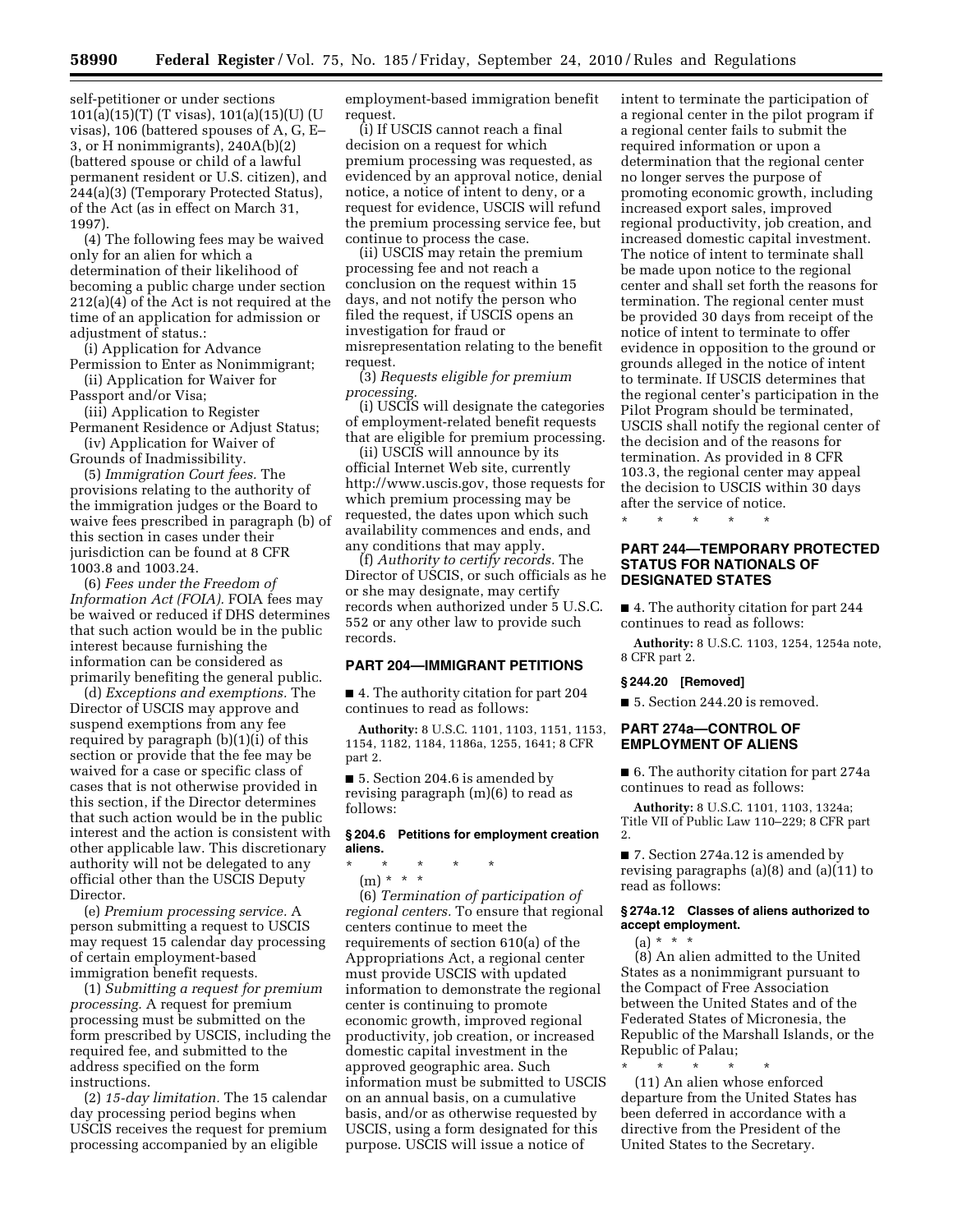self-petitioner or under sections 101(a)(15)(T) (T visas), 101(a)(15)(U) (U visas), 106 (battered spouses of A, G, E– 3, or H nonimmigrants), 240A(b)(2) (battered spouse or child of a lawful permanent resident or U.S. citizen), and 244(a)(3) (Temporary Protected Status), of the Act (as in effect on March 31, 1997).

(4) The following fees may be waived only for an alien for which a determination of their likelihood of becoming a public charge under section 212(a)(4) of the Act is not required at the time of an application for admission or adjustment of status.:

(i) Application for Advance Permission to Enter as Nonimmigrant; (ii) Application for Waiver for

Passport and/or Visa;

(iii) Application to Register Permanent Residence or Adjust Status;

(iv) Application for Waiver of Grounds of Inadmissibility.

(5) *Immigration Court fees.* The provisions relating to the authority of the immigration judges or the Board to waive fees prescribed in paragraph (b) of this section in cases under their jurisdiction can be found at 8 CFR 1003.8 and 1003.24.

(6) *Fees under the Freedom of Information Act (FOIA).* FOIA fees may be waived or reduced if DHS determines that such action would be in the public interest because furnishing the information can be considered as primarily benefiting the general public.

(d) *Exceptions and exemptions.* The Director of USCIS may approve and suspend exemptions from any fee required by paragraph  $(b)(1)(i)$  of this section or provide that the fee may be waived for a case or specific class of cases that is not otherwise provided in this section, if the Director determines that such action would be in the public interest and the action is consistent with other applicable law. This discretionary authority will not be delegated to any official other than the USCIS Deputy Director.

(e) *Premium processing service.* A person submitting a request to USCIS may request 15 calendar day processing of certain employment-based immigration benefit requests.

(1) *Submitting a request for premium processing.* A request for premium processing must be submitted on the form prescribed by USCIS, including the required fee, and submitted to the address specified on the form instructions.

(2) *15-day limitation.* The 15 calendar day processing period begins when USCIS receives the request for premium processing accompanied by an eligible

employment-based immigration benefit request.

(i) If USCIS cannot reach a final decision on a request for which premium processing was requested, as evidenced by an approval notice, denial notice, a notice of intent to deny, or a request for evidence, USCIS will refund the premium processing service fee, but continue to process the case.

(ii) USCIS may retain the premium processing fee and not reach a conclusion on the request within 15 days, and not notify the person who filed the request, if USCIS opens an investigation for fraud or misrepresentation relating to the benefit request.

(3) *Requests eligible for premium processing.* 

(i) USCIS will designate the categories of employment-related benefit requests that are eligible for premium processing.

(ii) USCIS will announce by its official Internet Web site, currently [http://www.uscis.gov,](http://www.uscis.gov) those requests for which premium processing may be requested, the dates upon which such availability commences and ends, and any conditions that may apply.

(f) *Authority to certify records.* The Director of USCIS, or such officials as he or she may designate, may certify records when authorized under 5 U.S.C. 552 or any other law to provide such records.

# **PART 204—IMMIGRANT PETITIONS**

■ 4. The authority citation for part 204 continues to read as follows:

**Authority:** 8 U.S.C. 1101, 1103, 1151, 1153, 1154, 1182, 1184, 1186a, 1255, 1641; 8 CFR part 2.

■ 5. Section 204.6 is amended by revising paragraph (m)(6) to read as follows:

# **§ 204.6 Petitions for employment creation aliens.**

\* \* \* \* \* (m) \* \* \*

(6) *Termination of participation of regional centers.* To ensure that regional centers continue to meet the requirements of section 610(a) of the Appropriations Act, a regional center must provide USCIS with updated information to demonstrate the regional center is continuing to promote economic growth, improved regional productivity, job creation, or increased domestic capital investment in the approved geographic area. Such information must be submitted to USCIS on an annual basis, on a cumulative basis, and/or as otherwise requested by USCIS, using a form designated for this purpose. USCIS will issue a notice of

intent to terminate the participation of a regional center in the pilot program if a regional center fails to submit the required information or upon a determination that the regional center no longer serves the purpose of promoting economic growth, including increased export sales, improved regional productivity, job creation, and increased domestic capital investment. The notice of intent to terminate shall be made upon notice to the regional center and shall set forth the reasons for termination. The regional center must be provided 30 days from receipt of the notice of intent to terminate to offer evidence in opposition to the ground or grounds alleged in the notice of intent to terminate. If USCIS determines that the regional center's participation in the Pilot Program should be terminated, USCIS shall notify the regional center of the decision and of the reasons for termination. As provided in 8 CFR 103.3, the regional center may appeal the decision to USCIS within 30 days after the service of notice.

\* \* \* \* \*

# **PART 244—TEMPORARY PROTECTED STATUS FOR NATIONALS OF DESIGNATED STATES**

■ 4. The authority citation for part 244 continues to read as follows:

**Authority:** 8 U.S.C. 1103, 1254, 1254a note, 8 CFR part 2.

# **§ 244.20 [Removed]**

■ 5. Section 244.20 is removed.

# **PART 274a—CONTROL OF EMPLOYMENT OF ALIENS**

■ 6. The authority citation for part 274a continues to read as follows:

**Authority:** 8 U.S.C. 1101, 1103, 1324a; Title VII of Public Law 110–229; 8 CFR part 2.

■ 7. Section 274a.12 is amended by revising paragraphs (a)(8) and (a)(11) to read as follows:

# **§ 274a.12 Classes of aliens authorized to accept employment.**

(a) \* \* \*

(8) An alien admitted to the United States as a nonimmigrant pursuant to the Compact of Free Association between the United States and of the Federated States of Micronesia, the Republic of the Marshall Islands, or the Republic of Palau;

\* \* \* \* \* (11) An alien whose enforced departure from the United States has been deferred in accordance with a directive from the President of the United States to the Secretary.